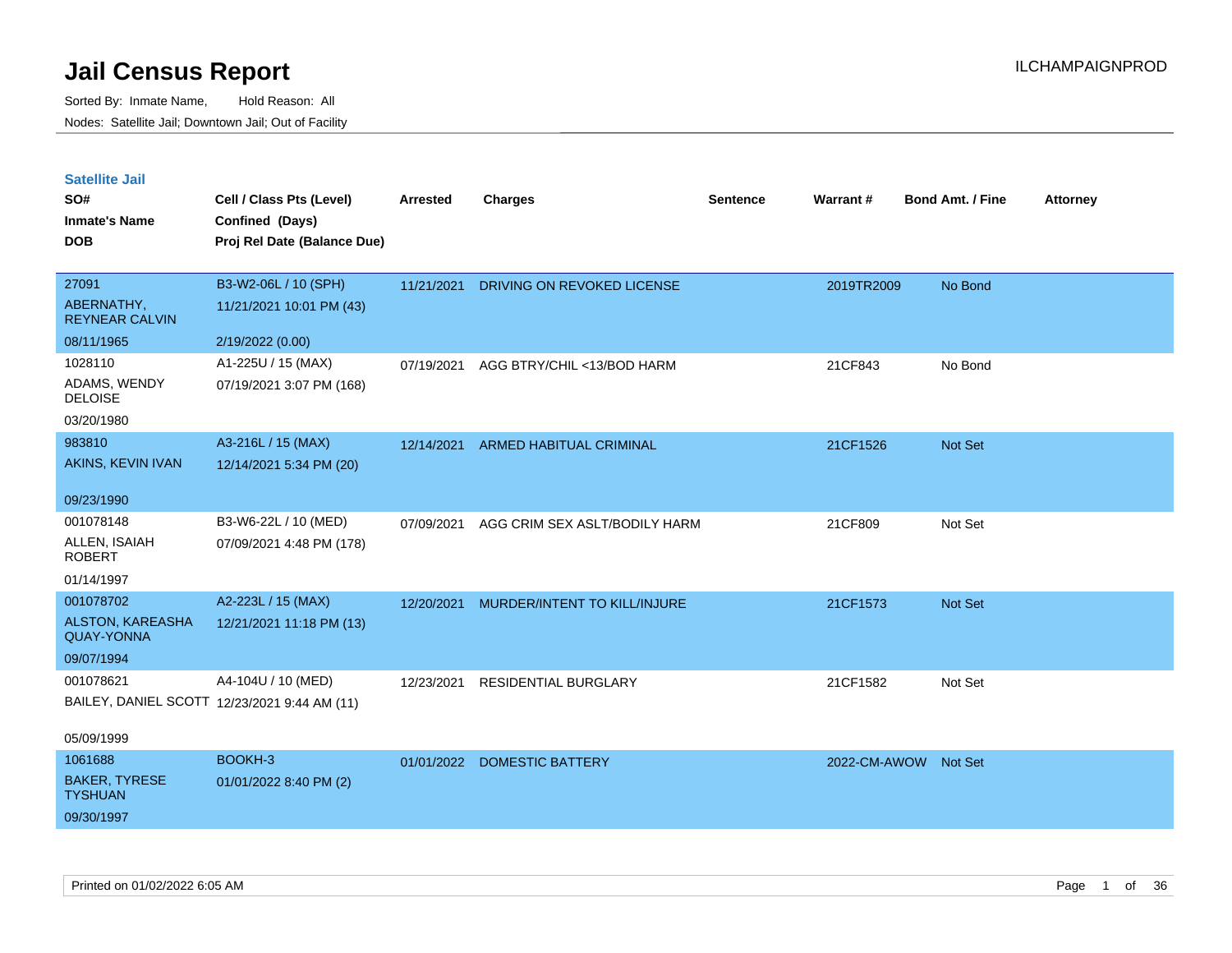| <b>Satellite Jail</b> |  |  |
|-----------------------|--|--|
|-----------------------|--|--|

| UULVIILU VUII<br>SO#<br><b>Inmate's Name</b><br><b>DOB</b> | Cell / Class Pts (Level)<br>Confined (Days)<br>Proj Rel Date (Balance Due) | Arrested   | <b>Charges</b>                | Sentence | Warrant#             | <b>Bond Amt. / Fine</b> | <b>Attorney</b> |
|------------------------------------------------------------|----------------------------------------------------------------------------|------------|-------------------------------|----------|----------------------|-------------------------|-----------------|
|                                                            |                                                                            |            |                               |          |                      |                         |                 |
| 27091                                                      | B3-W2-06L / 10 (SPH)                                                       | 11/21/2021 | DRIVING ON REVOKED LICENSE    |          | 2019TR2009           | No Bond                 |                 |
| ABERNATHY,<br><b>REYNEAR CALVIN</b>                        | 11/21/2021 10:01 PM (43)                                                   |            |                               |          |                      |                         |                 |
| 08/11/1965                                                 | 2/19/2022 (0.00)                                                           |            |                               |          |                      |                         |                 |
| 1028110                                                    | A1-225U / 15 (MAX)                                                         | 07/19/2021 | AGG BTRY/CHIL <13/BOD HARM    |          | 21CF843              | No Bond                 |                 |
| ADAMS, WENDY<br><b>DELOISE</b>                             | 07/19/2021 3:07 PM (168)                                                   |            |                               |          |                      |                         |                 |
| 03/20/1980                                                 |                                                                            |            |                               |          |                      |                         |                 |
| 983810                                                     | A3-216L / 15 (MAX)                                                         | 12/14/2021 | ARMED HABITUAL CRIMINAL       |          | 21CF1526             | Not Set                 |                 |
| AKINS, KEVIN IVAN                                          | 12/14/2021 5:34 PM (20)                                                    |            |                               |          |                      |                         |                 |
| 09/23/1990                                                 |                                                                            |            |                               |          |                      |                         |                 |
| 001078148                                                  | B3-W6-22L / 10 (MED)                                                       | 07/09/2021 | AGG CRIM SEX ASLT/BODILY HARM |          | 21CF809              | Not Set                 |                 |
| ALLEN, ISAIAH<br><b>ROBERT</b>                             | 07/09/2021 4:48 PM (178)                                                   |            |                               |          |                      |                         |                 |
| 01/14/1997                                                 |                                                                            |            |                               |          |                      |                         |                 |
| 001078702                                                  | A2-223L / 15 (MAX)                                                         | 12/20/2021 | MURDER/INTENT TO KILL/INJURE  |          | 21CF1573             | Not Set                 |                 |
| ALSTON, KAREASHA<br><b>QUAY-YONNA</b>                      | 12/21/2021 11:18 PM (13)                                                   |            |                               |          |                      |                         |                 |
| 09/07/1994                                                 |                                                                            |            |                               |          |                      |                         |                 |
| 001078621                                                  | A4-104U / 10 (MED)                                                         | 12/23/2021 | <b>RESIDENTIAL BURGLARY</b>   |          | 21CF1582             | Not Set                 |                 |
|                                                            | BAILEY, DANIEL SCOTT 12/23/2021 9:44 AM (11)                               |            |                               |          |                      |                         |                 |
| 05/09/1999                                                 |                                                                            |            |                               |          |                      |                         |                 |
| 1061688                                                    | BOOKH-3                                                                    | 01/01/2022 | <b>DOMESTIC BATTERY</b>       |          | 2022-CM-AWOW Not Set |                         |                 |
| <b>BAKER, TYRESE</b><br><b>TYSHUAN</b>                     | 01/01/2022 8:40 PM (2)                                                     |            |                               |          |                      |                         |                 |
| 09/30/1997                                                 |                                                                            |            |                               |          |                      |                         |                 |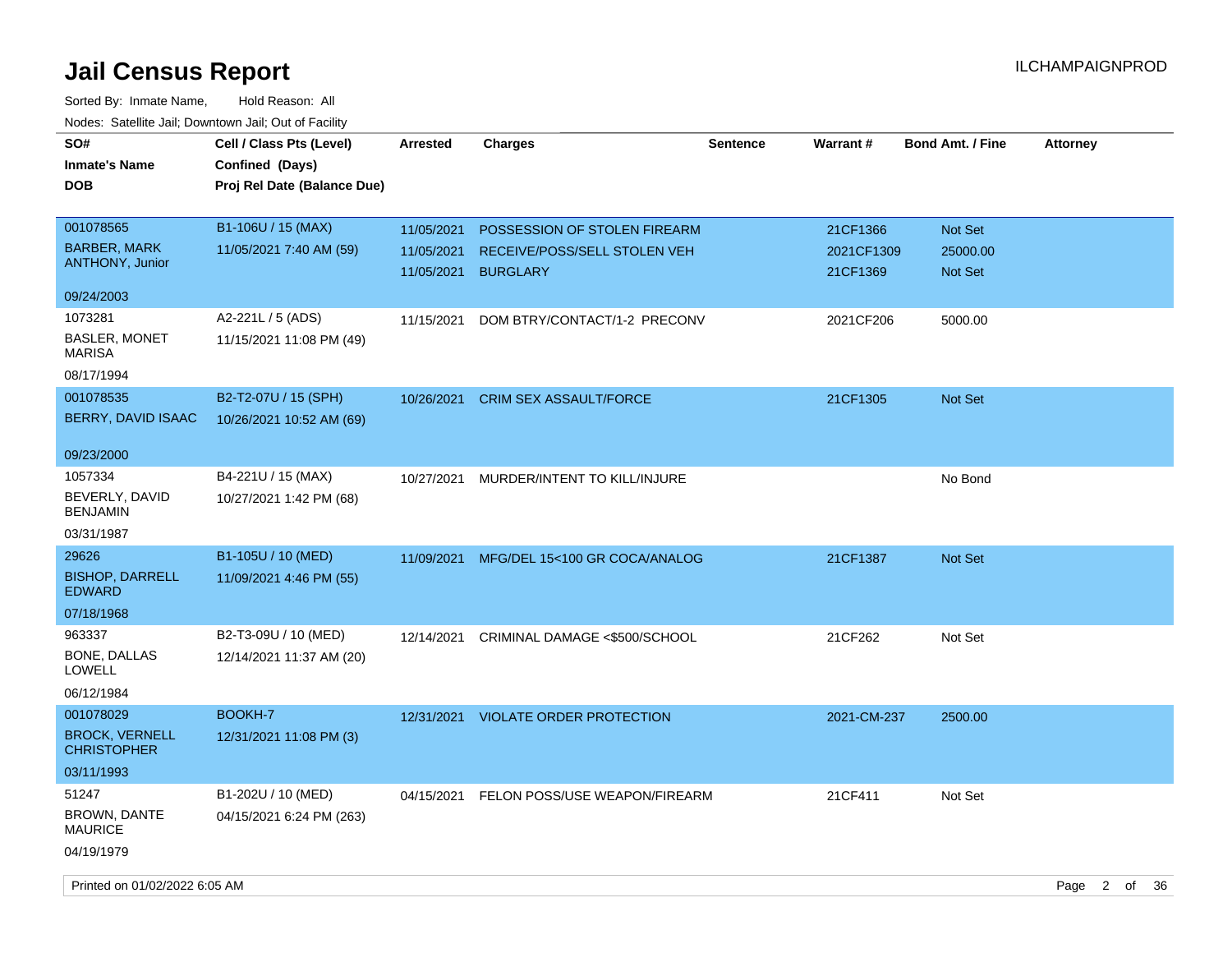| SO#<br><b>Inmate's Name</b><br><b>DOB</b>     | Cell / Class Pts (Level)<br>Confined (Days)<br>Proj Rel Date (Balance Due) | <b>Arrested</b>          | <b>Charges</b>                                  | <b>Sentence</b> | Warrant#               | <b>Bond Amt. / Fine</b>    | <b>Attorney</b> |      |
|-----------------------------------------------|----------------------------------------------------------------------------|--------------------------|-------------------------------------------------|-----------------|------------------------|----------------------------|-----------------|------|
| 001078565                                     | B1-106U / 15 (MAX)                                                         | 11/05/2021               | POSSESSION OF STOLEN FIREARM                    |                 | 21CF1366               | Not Set                    |                 |      |
| <b>BARBER, MARK</b><br><b>ANTHONY, Junior</b> | 11/05/2021 7:40 AM (59)                                                    | 11/05/2021<br>11/05/2021 | RECEIVE/POSS/SELL STOLEN VEH<br><b>BURGLARY</b> |                 | 2021CF1309<br>21CF1369 | 25000.00<br><b>Not Set</b> |                 |      |
| 09/24/2003                                    |                                                                            |                          |                                                 |                 |                        |                            |                 |      |
| 1073281                                       | A2-221L / 5 (ADS)                                                          | 11/15/2021               | DOM BTRY/CONTACT/1-2 PRECONV                    |                 | 2021CF206              | 5000.00                    |                 |      |
| <b>BASLER, MONET</b><br>MARISA                | 11/15/2021 11:08 PM (49)                                                   |                          |                                                 |                 |                        |                            |                 |      |
| 08/17/1994                                    |                                                                            |                          |                                                 |                 |                        |                            |                 |      |
| 001078535                                     | B2-T2-07U / 15 (SPH)                                                       | 10/26/2021               | <b>CRIM SEX ASSAULT/FORCE</b>                   |                 | 21CF1305               | <b>Not Set</b>             |                 |      |
| BERRY, DAVID ISAAC                            | 10/26/2021 10:52 AM (69)                                                   |                          |                                                 |                 |                        |                            |                 |      |
| 09/23/2000                                    |                                                                            |                          |                                                 |                 |                        |                            |                 |      |
| 1057334                                       | B4-221U / 15 (MAX)                                                         | 10/27/2021               | MURDER/INTENT TO KILL/INJURE                    |                 |                        | No Bond                    |                 |      |
| BEVERLY, DAVID<br>BENJAMIN                    | 10/27/2021 1:42 PM (68)                                                    |                          |                                                 |                 |                        |                            |                 |      |
| 03/31/1987                                    |                                                                            |                          |                                                 |                 |                        |                            |                 |      |
| 29626                                         | B1-105U / 10 (MED)                                                         | 11/09/2021               | MFG/DEL 15<100 GR COCA/ANALOG                   |                 | 21CF1387               | <b>Not Set</b>             |                 |      |
| <b>BISHOP, DARRELL</b><br><b>EDWARD</b>       | 11/09/2021 4:46 PM (55)                                                    |                          |                                                 |                 |                        |                            |                 |      |
| 07/18/1968                                    |                                                                            |                          |                                                 |                 |                        |                            |                 |      |
| 963337                                        | B2-T3-09U / 10 (MED)                                                       | 12/14/2021               | CRIMINAL DAMAGE <\$500/SCHOOL                   |                 | 21CF262                | Not Set                    |                 |      |
| <b>BONE, DALLAS</b><br>LOWELL                 | 12/14/2021 11:37 AM (20)                                                   |                          |                                                 |                 |                        |                            |                 |      |
| 06/12/1984                                    |                                                                            |                          |                                                 |                 |                        |                            |                 |      |
| 001078029                                     | <b>BOOKH-7</b>                                                             | 12/31/2021               | <b>VIOLATE ORDER PROTECTION</b>                 |                 | 2021-CM-237            | 2500.00                    |                 |      |
| <b>BROCK, VERNELL</b><br><b>CHRISTOPHER</b>   | 12/31/2021 11:08 PM (3)                                                    |                          |                                                 |                 |                        |                            |                 |      |
| 03/11/1993                                    |                                                                            |                          |                                                 |                 |                        |                            |                 |      |
| 51247                                         | B1-202U / 10 (MED)                                                         | 04/15/2021               | FELON POSS/USE WEAPON/FIREARM                   |                 | 21CF411                | Not Set                    |                 |      |
| BROWN, DANTE<br><b>MAURICE</b>                | 04/15/2021 6:24 PM (263)                                                   |                          |                                                 |                 |                        |                            |                 |      |
| 04/19/1979                                    |                                                                            |                          |                                                 |                 |                        |                            |                 |      |
| Printed on 01/02/2022 6:05 AM                 |                                                                            |                          |                                                 |                 |                        |                            | Page 2 of       | - 36 |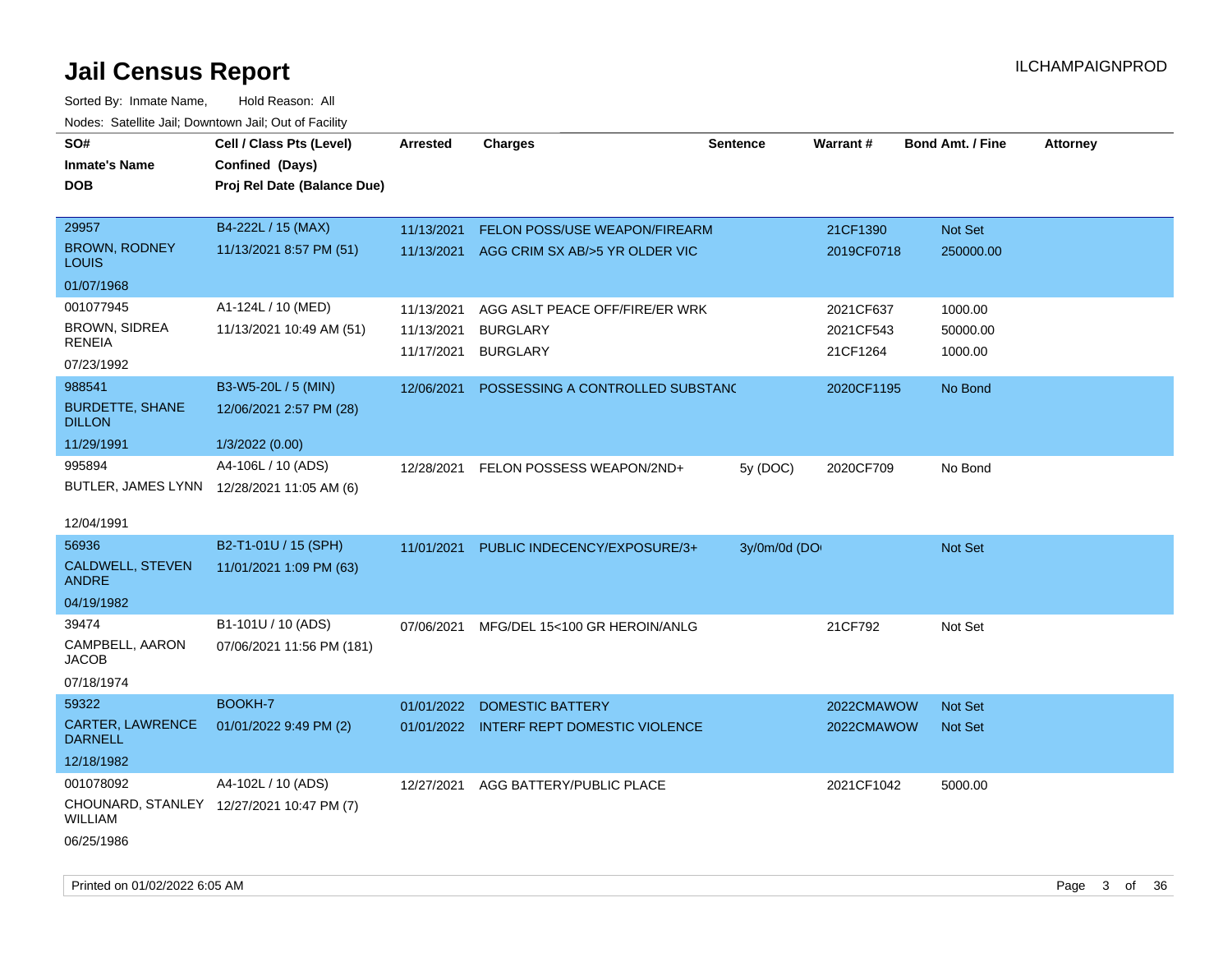| noaco. Catomto can, Domntonn can, Cat or I domt<br>SO#<br><b>Inmate's Name</b><br><b>DOB</b> | Cell / Class Pts (Level)<br>Confined (Days)<br>Proj Rel Date (Balance Due) | Arrested   | <b>Charges</b>                           | Sentence     | Warrant#   | <b>Bond Amt. / Fine</b> | <b>Attorney</b> |
|----------------------------------------------------------------------------------------------|----------------------------------------------------------------------------|------------|------------------------------------------|--------------|------------|-------------------------|-----------------|
| 29957                                                                                        | B4-222L / 15 (MAX)                                                         | 11/13/2021 | FELON POSS/USE WEAPON/FIREARM            |              | 21CF1390   | Not Set                 |                 |
| <b>BROWN, RODNEY</b><br><b>LOUIS</b>                                                         | 11/13/2021 8:57 PM (51)                                                    | 11/13/2021 | AGG CRIM SX AB/>5 YR OLDER VIC           |              | 2019CF0718 | 250000.00               |                 |
| 01/07/1968                                                                                   |                                                                            |            |                                          |              |            |                         |                 |
| 001077945                                                                                    | A1-124L / 10 (MED)                                                         | 11/13/2021 | AGG ASLT PEACE OFF/FIRE/ER WRK           |              | 2021CF637  | 1000.00                 |                 |
| <b>BROWN, SIDREA</b><br><b>RENEIA</b>                                                        | 11/13/2021 10:49 AM (51)                                                   | 11/13/2021 | <b>BURGLARY</b>                          |              | 2021CF543  | 50000.00                |                 |
| 07/23/1992                                                                                   |                                                                            | 11/17/2021 | <b>BURGLARY</b>                          |              | 21CF1264   | 1000.00                 |                 |
| 988541                                                                                       | B3-W5-20L / 5 (MIN)                                                        | 12/06/2021 | POSSESSING A CONTROLLED SUBSTANC         |              | 2020CF1195 | No Bond                 |                 |
| <b>BURDETTE, SHANE</b><br><b>DILLON</b>                                                      | 12/06/2021 2:57 PM (28)                                                    |            |                                          |              |            |                         |                 |
| 11/29/1991                                                                                   | 1/3/2022 (0.00)                                                            |            |                                          |              |            |                         |                 |
| 995894                                                                                       | A4-106L / 10 (ADS)                                                         | 12/28/2021 | FELON POSSESS WEAPON/2ND+                | 5y (DOC)     | 2020CF709  | No Bond                 |                 |
| BUTLER, JAMES LYNN 12/28/2021 11:05 AM (6)                                                   |                                                                            |            |                                          |              |            |                         |                 |
| 12/04/1991                                                                                   |                                                                            |            |                                          |              |            |                         |                 |
| 56936                                                                                        | B2-T1-01U / 15 (SPH)                                                       | 11/01/2021 | PUBLIC INDECENCY/EXPOSURE/3+             | 3y/0m/0d (DO |            | Not Set                 |                 |
| CALDWELL, STEVEN<br><b>ANDRE</b>                                                             | 11/01/2021 1:09 PM (63)                                                    |            |                                          |              |            |                         |                 |
| 04/19/1982                                                                                   |                                                                            |            |                                          |              |            |                         |                 |
| 39474                                                                                        | B1-101U / 10 (ADS)                                                         | 07/06/2021 | MFG/DEL 15<100 GR HEROIN/ANLG            |              | 21CF792    | Not Set                 |                 |
| CAMPBELL, AARON<br>JACOB                                                                     | 07/06/2021 11:56 PM (181)                                                  |            |                                          |              |            |                         |                 |
| 07/18/1974                                                                                   |                                                                            |            |                                          |              |            |                         |                 |
| 59322                                                                                        | <b>BOOKH-7</b>                                                             | 01/01/2022 | <b>DOMESTIC BATTERY</b>                  |              | 2022CMAWOW | <b>Not Set</b>          |                 |
| <b>CARTER, LAWRENCE</b><br><b>DARNELL</b>                                                    | 01/01/2022 9:49 PM (2)                                                     |            | 01/01/2022 INTERF REPT DOMESTIC VIOLENCE |              | 2022CMAWOW | <b>Not Set</b>          |                 |
| 12/18/1982                                                                                   |                                                                            |            |                                          |              |            |                         |                 |
| 001078092                                                                                    | A4-102L / 10 (ADS)                                                         | 12/27/2021 | AGG BATTERY/PUBLIC PLACE                 |              | 2021CF1042 | 5000.00                 |                 |
| CHOUNARD, STANLEY 12/27/2021 10:47 PM (7)<br>WILLIAM                                         |                                                                            |            |                                          |              |            |                         |                 |
| 06/25/1986                                                                                   |                                                                            |            |                                          |              |            |                         |                 |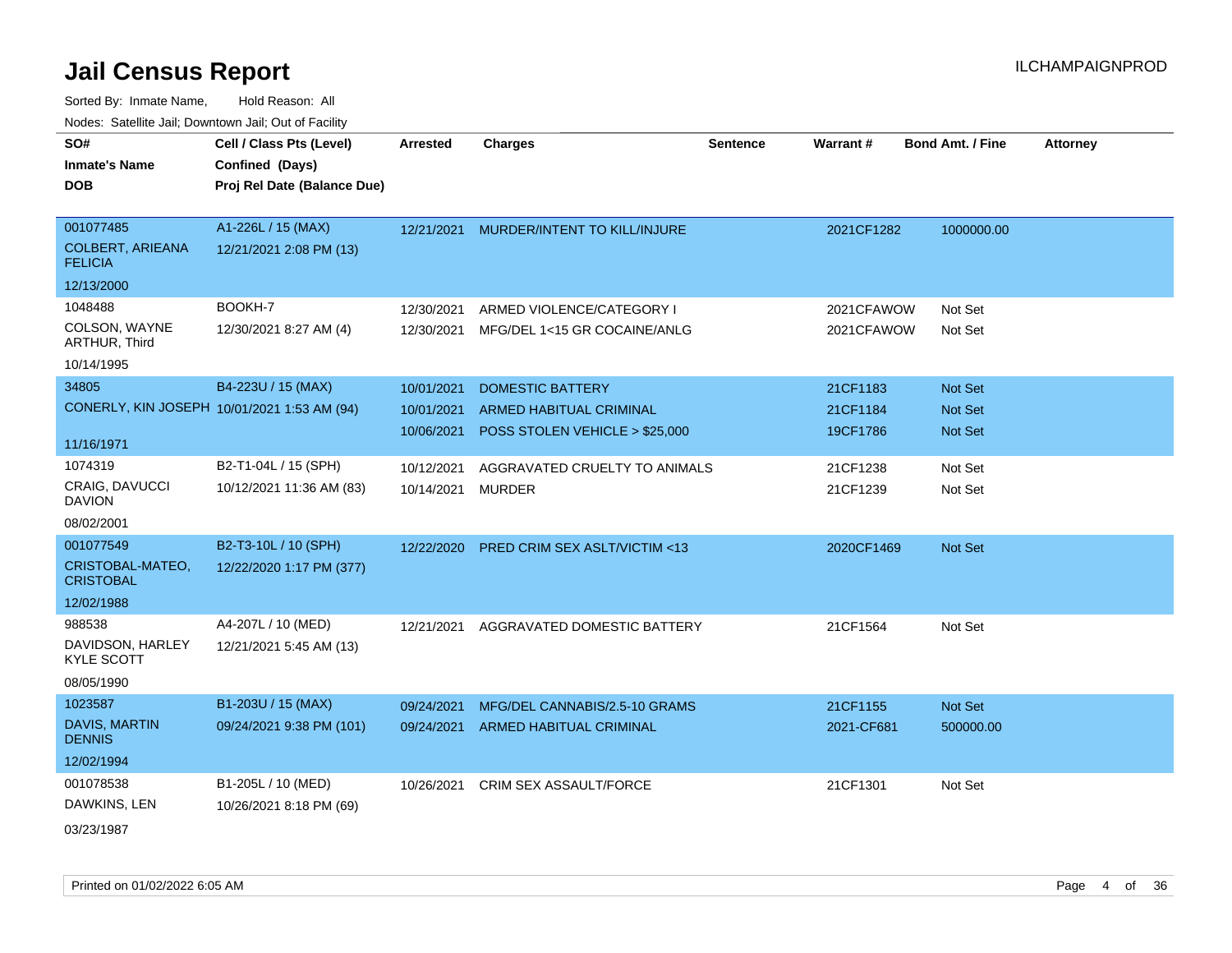| rougs. Calcing Jan, Downtown Jan, Out of Facility      |                                                                            |                 |                                         |                 |            |                         |                 |
|--------------------------------------------------------|----------------------------------------------------------------------------|-----------------|-----------------------------------------|-----------------|------------|-------------------------|-----------------|
| SO#<br><b>Inmate's Name</b><br><b>DOB</b>              | Cell / Class Pts (Level)<br>Confined (Days)<br>Proj Rel Date (Balance Due) | <b>Arrested</b> | <b>Charges</b>                          | <b>Sentence</b> | Warrant#   | <b>Bond Amt. / Fine</b> | <b>Attorney</b> |
| 001077485<br><b>COLBERT, ARIEANA</b><br><b>FELICIA</b> | A1-226L / 15 (MAX)<br>12/21/2021 2:08 PM (13)                              |                 | 12/21/2021 MURDER/INTENT TO KILL/INJURE |                 | 2021CF1282 | 1000000.00              |                 |
| 12/13/2000                                             |                                                                            |                 |                                         |                 |            |                         |                 |
| 1048488                                                | BOOKH-7                                                                    | 12/30/2021      | ARMED VIOLENCE/CATEGORY I               |                 | 2021CFAWOW | Not Set                 |                 |
| COLSON, WAYNE<br>ARTHUR, Third                         | 12/30/2021 8:27 AM (4)                                                     | 12/30/2021      | MFG/DEL 1<15 GR COCAINE/ANLG            |                 | 2021CFAWOW | Not Set                 |                 |
| 10/14/1995                                             |                                                                            |                 |                                         |                 |            |                         |                 |
| 34805                                                  | B4-223U / 15 (MAX)                                                         | 10/01/2021      | <b>DOMESTIC BATTERY</b>                 |                 | 21CF1183   | <b>Not Set</b>          |                 |
| CONERLY, KIN JOSEPH 10/01/2021 1:53 AM (94)            |                                                                            | 10/01/2021      | ARMED HABITUAL CRIMINAL                 |                 | 21CF1184   | <b>Not Set</b>          |                 |
|                                                        |                                                                            | 10/06/2021      | POSS STOLEN VEHICLE > \$25,000          |                 | 19CF1786   | Not Set                 |                 |
| 11/16/1971                                             |                                                                            |                 |                                         |                 |            |                         |                 |
| 1074319                                                | B2-T1-04L / 15 (SPH)                                                       | 10/12/2021      | AGGRAVATED CRUELTY TO ANIMALS           |                 | 21CF1238   | Not Set                 |                 |
| <b>CRAIG, DAVUCCI</b><br><b>DAVION</b>                 | 10/12/2021 11:36 AM (83)                                                   | 10/14/2021      | <b>MURDER</b>                           |                 | 21CF1239   | Not Set                 |                 |
| 08/02/2001                                             |                                                                            |                 |                                         |                 |            |                         |                 |
| 001077549                                              | B2-T3-10L / 10 (SPH)                                                       | 12/22/2020      | <b>PRED CRIM SEX ASLT/VICTIM &lt;13</b> |                 | 2020CF1469 | <b>Not Set</b>          |                 |
| CRISTOBAL-MATEO,<br><b>CRISTOBAL</b>                   | 12/22/2020 1:17 PM (377)                                                   |                 |                                         |                 |            |                         |                 |
| 12/02/1988                                             |                                                                            |                 |                                         |                 |            |                         |                 |
| 988538                                                 | A4-207L / 10 (MED)                                                         | 12/21/2021      | AGGRAVATED DOMESTIC BATTERY             |                 | 21CF1564   | Not Set                 |                 |
| DAVIDSON, HARLEY<br><b>KYLE SCOTT</b>                  | 12/21/2021 5:45 AM (13)                                                    |                 |                                         |                 |            |                         |                 |
| 08/05/1990                                             |                                                                            |                 |                                         |                 |            |                         |                 |
| 1023587                                                | B1-203U / 15 (MAX)                                                         | 09/24/2021      | MFG/DEL CANNABIS/2.5-10 GRAMS           |                 | 21CF1155   | Not Set                 |                 |
| <b>DAVIS, MARTIN</b><br><b>DENNIS</b>                  | 09/24/2021 9:38 PM (101)                                                   | 09/24/2021      | ARMED HABITUAL CRIMINAL                 |                 | 2021-CF681 | 500000.00               |                 |
| 12/02/1994                                             |                                                                            |                 |                                         |                 |            |                         |                 |
| 001078538                                              | B1-205L / 10 (MED)                                                         | 10/26/2021      | <b>CRIM SEX ASSAULT/FORCE</b>           |                 | 21CF1301   | Not Set                 |                 |
| DAWKINS, LEN                                           | 10/26/2021 8:18 PM (69)                                                    |                 |                                         |                 |            |                         |                 |
| 03/23/1987                                             |                                                                            |                 |                                         |                 |            |                         |                 |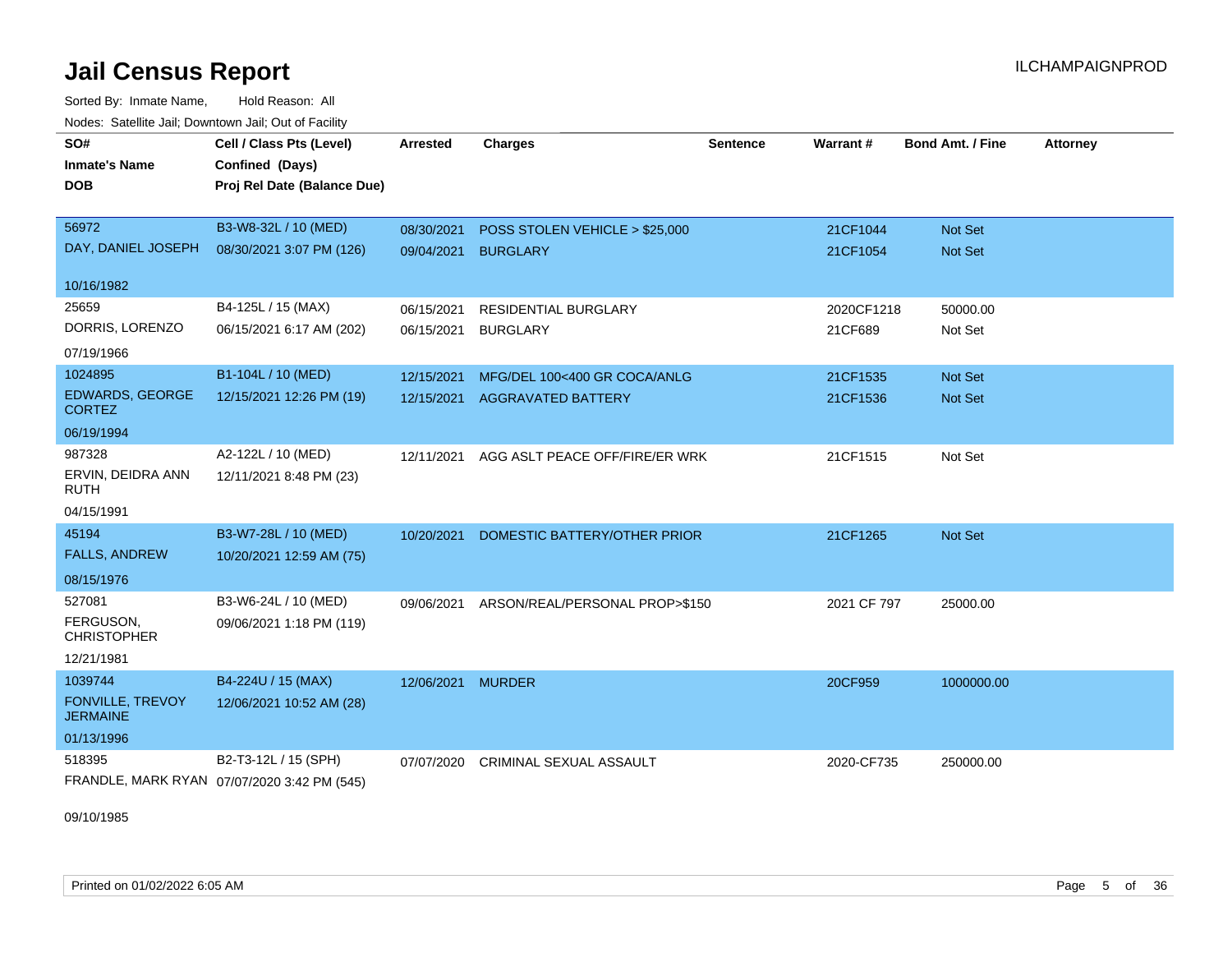Sorted By: Inmate Name, Hold Reason: All Nodes: Satellite Jail; Downtown Jail; Out of Facility

| SO#<br><b>Inmate's Name</b><br><b>DOB</b>                           | Cell / Class Pts (Level)<br>Confined (Days)<br>Proj Rel Date (Balance Due) | <b>Arrested</b>          | <b>Charges</b>                                            | <b>Sentence</b> | Warrant#              | <b>Bond Amt. / Fine</b>   | <b>Attorney</b> |
|---------------------------------------------------------------------|----------------------------------------------------------------------------|--------------------------|-----------------------------------------------------------|-----------------|-----------------------|---------------------------|-----------------|
| 56972<br>DAY, DANIEL JOSEPH                                         | B3-W8-32L / 10 (MED)<br>08/30/2021 3:07 PM (126)                           | 08/30/2021<br>09/04/2021 | POSS STOLEN VEHICLE > \$25,000<br><b>BURGLARY</b>         |                 | 21CF1044<br>21CF1054  | Not Set<br>Not Set        |                 |
| 10/16/1982                                                          |                                                                            |                          |                                                           |                 |                       |                           |                 |
| 25659<br>DORRIS, LORENZO<br>07/19/1966                              | B4-125L / 15 (MAX)<br>06/15/2021 6:17 AM (202)                             | 06/15/2021<br>06/15/2021 | <b>RESIDENTIAL BURGLARY</b><br><b>BURGLARY</b>            |                 | 2020CF1218<br>21CF689 | 50000.00<br>Not Set       |                 |
| 1024895<br><b>EDWARDS, GEORGE</b><br><b>CORTEZ</b><br>06/19/1994    | B1-104L / 10 (MED)<br>12/15/2021 12:26 PM (19)                             | 12/15/2021<br>12/15/2021 | MFG/DEL 100<400 GR COCA/ANLG<br><b>AGGRAVATED BATTERY</b> |                 | 21CF1535<br>21CF1536  | <b>Not Set</b><br>Not Set |                 |
| 987328<br>ERVIN, DEIDRA ANN<br><b>RUTH</b><br>04/15/1991            | A2-122L / 10 (MED)<br>12/11/2021 8:48 PM (23)                              | 12/11/2021               | AGG ASLT PEACE OFF/FIRE/ER WRK                            |                 | 21CF1515              | Not Set                   |                 |
| 45194<br><b>FALLS, ANDREW</b><br>08/15/1976                         | B3-W7-28L / 10 (MED)<br>10/20/2021 12:59 AM (75)                           | 10/20/2021               | DOMESTIC BATTERY/OTHER PRIOR                              |                 | 21CF1265              | Not Set                   |                 |
| 527081<br>FERGUSON,<br><b>CHRISTOPHER</b><br>12/21/1981             | B3-W6-24L / 10 (MED)<br>09/06/2021 1:18 PM (119)                           | 09/06/2021               | ARSON/REAL/PERSONAL PROP>\$150                            |                 | 2021 CF 797           | 25000.00                  |                 |
| 1039744<br><b>FONVILLE, TREVOY</b><br><b>JERMAINE</b><br>01/13/1996 | B4-224U / 15 (MAX)<br>12/06/2021 10:52 AM (28)                             | 12/06/2021               | <b>MURDER</b>                                             |                 | 20CF959               | 1000000.00                |                 |
| 518395                                                              | B2-T3-12L / 15 (SPH)<br>FRANDLE, MARK RYAN 07/07/2020 3:42 PM (545)        | 07/07/2020               | <b>CRIMINAL SEXUAL ASSAULT</b>                            |                 | 2020-CF735            | 250000.00                 |                 |

09/10/1985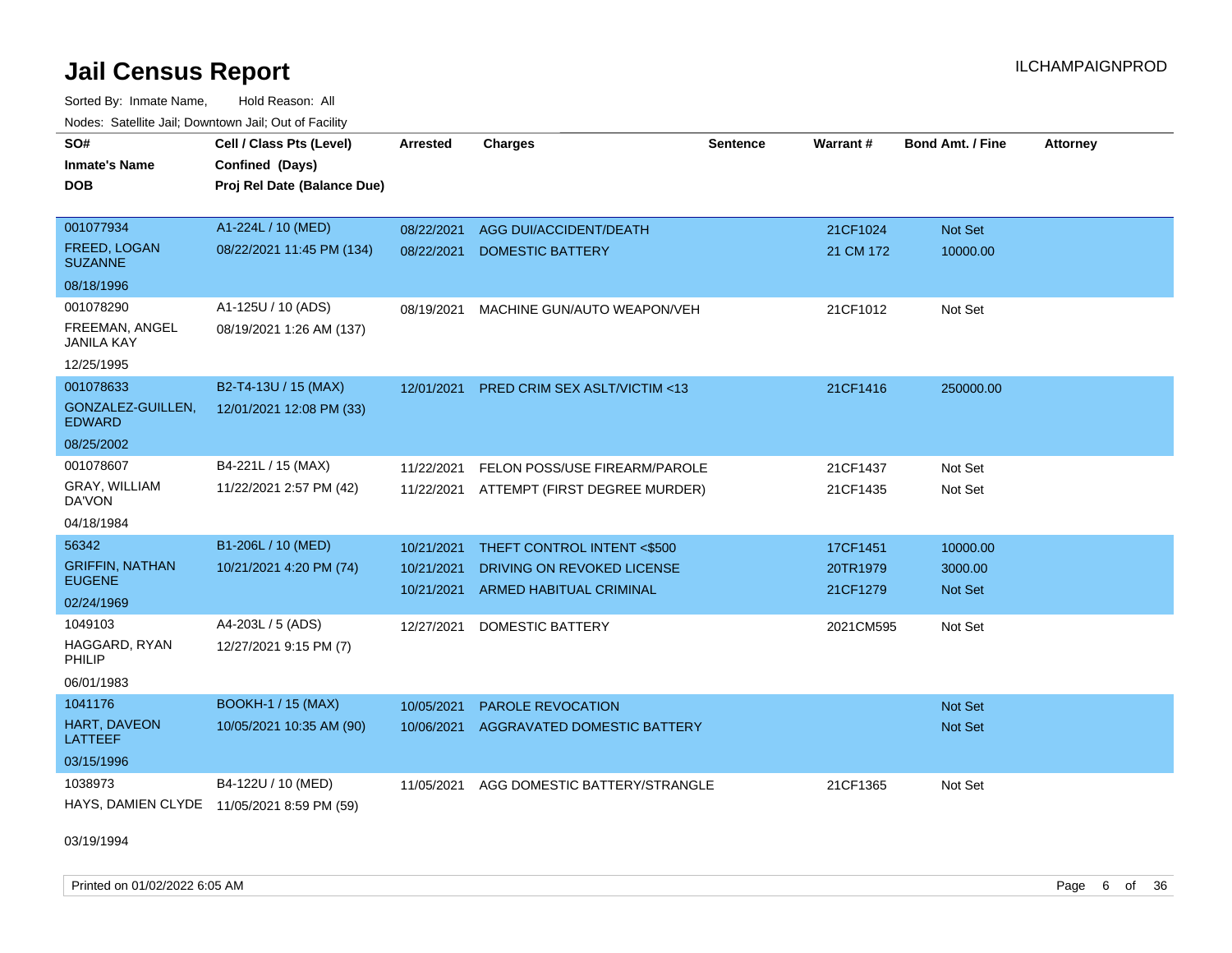Sorted By: Inmate Name, Hold Reason: All Nodes: Satellite Jail; Downtown Jail; Out of Facility

| SO#<br><b>Inmate's Name</b>         | Cell / Class Pts (Level)<br>Confined (Days) | <b>Arrested</b> | <b>Charges</b>                           | <b>Sentence</b> | Warrant#  | <b>Bond Amt. / Fine</b> | <b>Attorney</b> |
|-------------------------------------|---------------------------------------------|-----------------|------------------------------------------|-----------------|-----------|-------------------------|-----------------|
| <b>DOB</b>                          | Proj Rel Date (Balance Due)                 |                 |                                          |                 |           |                         |                 |
|                                     |                                             |                 |                                          |                 |           |                         |                 |
| 001077934                           | A1-224L / 10 (MED)                          | 08/22/2021      | AGG DUI/ACCIDENT/DEATH                   |                 | 21CF1024  | Not Set                 |                 |
| FREED, LOGAN<br><b>SUZANNE</b>      | 08/22/2021 11:45 PM (134)                   | 08/22/2021      | <b>DOMESTIC BATTERY</b>                  |                 | 21 CM 172 | 10000.00                |                 |
| 08/18/1996                          |                                             |                 |                                          |                 |           |                         |                 |
| 001078290                           | A1-125U / 10 (ADS)                          | 08/19/2021      | MACHINE GUN/AUTO WEAPON/VEH              |                 | 21CF1012  | Not Set                 |                 |
| FREEMAN, ANGEL<br><b>JANILA KAY</b> | 08/19/2021 1:26 AM (137)                    |                 |                                          |                 |           |                         |                 |
| 12/25/1995                          |                                             |                 |                                          |                 |           |                         |                 |
| 001078633                           | B2-T4-13U / 15 (MAX)                        | 12/01/2021      | <b>PRED CRIM SEX ASLT/VICTIM &lt;13</b>  |                 | 21CF1416  | 250000.00               |                 |
| GONZALEZ-GUILLEN,<br><b>EDWARD</b>  | 12/01/2021 12:08 PM (33)                    |                 |                                          |                 |           |                         |                 |
| 08/25/2002                          |                                             |                 |                                          |                 |           |                         |                 |
| 001078607                           | B4-221L / 15 (MAX)                          | 11/22/2021      | FELON POSS/USE FIREARM/PAROLE            |                 | 21CF1437  | Not Set                 |                 |
| GRAY, WILLIAM<br>DA'VON             | 11/22/2021 2:57 PM (42)                     |                 | 11/22/2021 ATTEMPT (FIRST DEGREE MURDER) |                 | 21CF1435  | Not Set                 |                 |
| 04/18/1984                          |                                             |                 |                                          |                 |           |                         |                 |
| 56342                               | B1-206L / 10 (MED)                          | 10/21/2021      | THEFT CONTROL INTENT <\$500              |                 | 17CF1451  | 10000.00                |                 |
| <b>GRIFFIN, NATHAN</b>              | 10/21/2021 4:20 PM (74)                     | 10/21/2021      | DRIVING ON REVOKED LICENSE               |                 | 20TR1979  | 3000.00                 |                 |
| <b>EUGENE</b>                       |                                             | 10/21/2021      | ARMED HABITUAL CRIMINAL                  |                 | 21CF1279  | Not Set                 |                 |
| 02/24/1969                          |                                             |                 |                                          |                 |           |                         |                 |
| 1049103                             | A4-203L / 5 (ADS)                           | 12/27/2021      | <b>DOMESTIC BATTERY</b>                  |                 | 2021CM595 | Not Set                 |                 |
| HAGGARD, RYAN<br>PHILIP             | 12/27/2021 9:15 PM (7)                      |                 |                                          |                 |           |                         |                 |
| 06/01/1983                          |                                             |                 |                                          |                 |           |                         |                 |
| 1041176                             | <b>BOOKH-1 / 15 (MAX)</b>                   | 10/05/2021      | <b>PAROLE REVOCATION</b>                 |                 |           | <b>Not Set</b>          |                 |
| HART, DAVEON<br><b>LATTEEF</b>      | 10/05/2021 10:35 AM (90)                    | 10/06/2021      | AGGRAVATED DOMESTIC BATTERY              |                 |           | <b>Not Set</b>          |                 |
| 03/15/1996                          |                                             |                 |                                          |                 |           |                         |                 |
| 1038973                             | B4-122U / 10 (MED)                          | 11/05/2021      | AGG DOMESTIC BATTERY/STRANGLE            |                 | 21CF1365  | Not Set                 |                 |
|                                     | HAYS, DAMIEN CLYDE 11/05/2021 8:59 PM (59)  |                 |                                          |                 |           |                         |                 |

03/19/1994

Printed on 01/02/2022 6:05 AM Page 6 of 36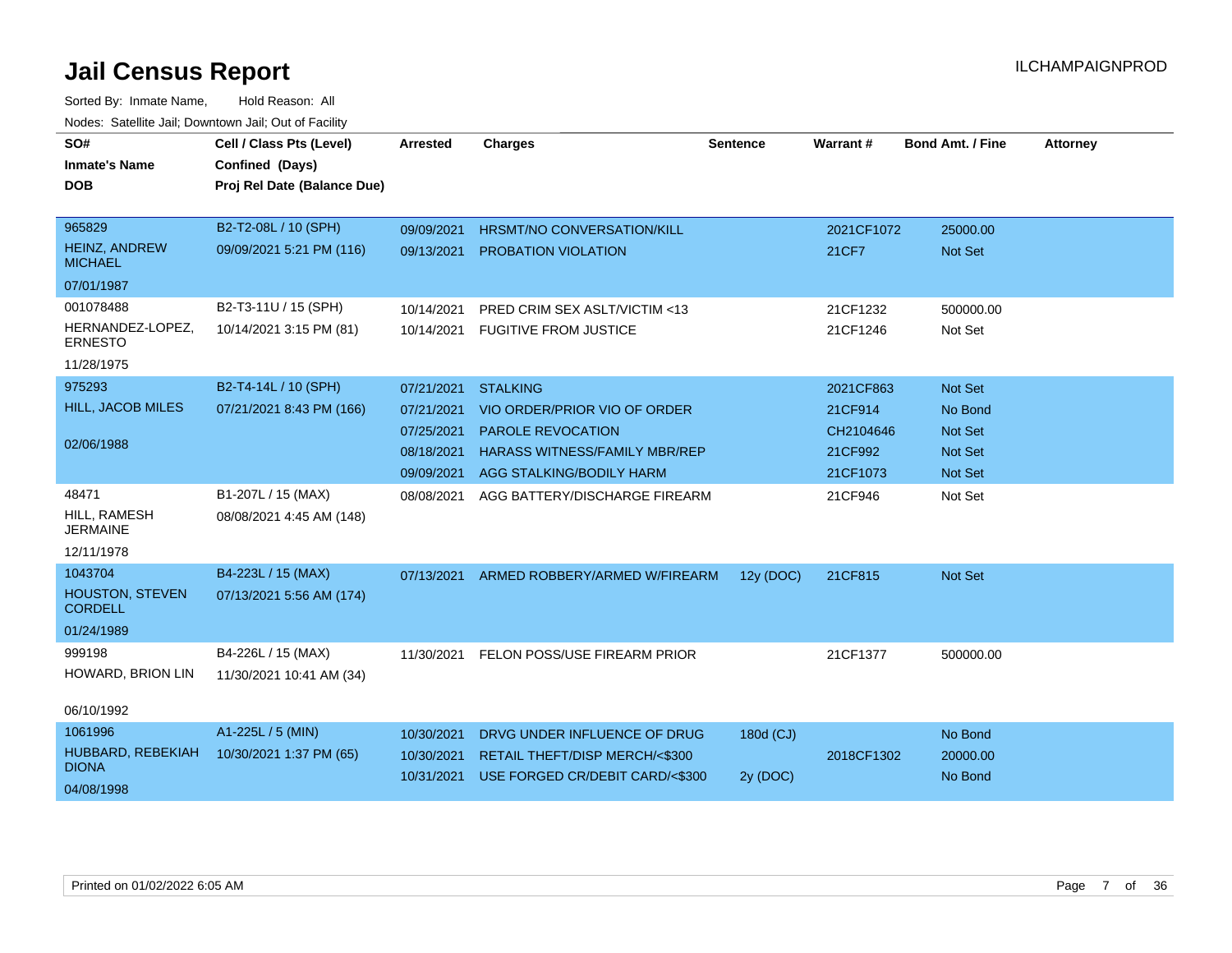| SO#<br><b>Inmate's Name</b><br><b>DOB</b>                         | Cell / Class Pts (Level)<br>Confined (Days)<br>Proj Rel Date (Balance Due) | <b>Arrested</b>                                                    | <b>Charges</b>                                                                                                                                  | <b>Sentence</b>       | <b>Warrant#</b>                                          | <b>Bond Amt. / Fine</b>                                           | <b>Attorney</b> |
|-------------------------------------------------------------------|----------------------------------------------------------------------------|--------------------------------------------------------------------|-------------------------------------------------------------------------------------------------------------------------------------------------|-----------------------|----------------------------------------------------------|-------------------------------------------------------------------|-----------------|
| 965829<br><b>HEINZ, ANDREW</b><br><b>MICHAEL</b>                  | B2-T2-08L / 10 (SPH)<br>09/09/2021 5:21 PM (116)                           | 09/09/2021<br>09/13/2021                                           | HRSMT/NO CONVERSATION/KILL<br><b>PROBATION VIOLATION</b>                                                                                        |                       | 2021CF1072<br>21CF7                                      | 25000.00<br><b>Not Set</b>                                        |                 |
| 07/01/1987<br>001078488                                           | B2-T3-11U / 15 (SPH)                                                       | 10/14/2021                                                         | <b>PRED CRIM SEX ASLT/VICTIM &lt;13</b>                                                                                                         |                       | 21CF1232                                                 | 500000.00                                                         |                 |
| HERNANDEZ-LOPEZ,<br><b>ERNESTO</b><br>11/28/1975                  | 10/14/2021 3:15 PM (81)                                                    | 10/14/2021                                                         | <b>FUGITIVE FROM JUSTICE</b>                                                                                                                    |                       | 21CF1246                                                 | Not Set                                                           |                 |
| 975293<br>HILL, JACOB MILES<br>02/06/1988                         | B2-T4-14L / 10 (SPH)<br>07/21/2021 8:43 PM (166)                           | 07/21/2021<br>07/21/2021<br>07/25/2021<br>08/18/2021<br>09/09/2021 | <b>STALKING</b><br>VIO ORDER/PRIOR VIO OF ORDER<br><b>PAROLE REVOCATION</b><br><b>HARASS WITNESS/FAMILY MBR/REP</b><br>AGG STALKING/BODILY HARM |                       | 2021CF863<br>21CF914<br>CH2104646<br>21CF992<br>21CF1073 | Not Set<br>No Bond<br><b>Not Set</b><br><b>Not Set</b><br>Not Set |                 |
| 48471<br>HILL, RAMESH<br><b>JERMAINE</b><br>12/11/1978            | B1-207L / 15 (MAX)<br>08/08/2021 4:45 AM (148)                             | 08/08/2021                                                         | AGG BATTERY/DISCHARGE FIREARM                                                                                                                   |                       | 21CF946                                                  | Not Set                                                           |                 |
| 1043704<br><b>HOUSTON, STEVEN</b><br><b>CORDELL</b><br>01/24/1989 | B4-223L / 15 (MAX)<br>07/13/2021 5:56 AM (174)                             |                                                                    | 07/13/2021 ARMED ROBBERY/ARMED W/FIREARM                                                                                                        | 12y (DOC)             | 21CF815                                                  | Not Set                                                           |                 |
| 999198<br>HOWARD, BRION LIN                                       | B4-226L / 15 (MAX)<br>11/30/2021 10:41 AM (34)                             | 11/30/2021                                                         | FELON POSS/USE FIREARM PRIOR                                                                                                                    |                       | 21CF1377                                                 | 500000.00                                                         |                 |
| 06/10/1992                                                        |                                                                            |                                                                    |                                                                                                                                                 |                       |                                                          |                                                                   |                 |
| 1061996<br>HUBBARD, REBEKIAH<br><b>DIONA</b><br>04/08/1998        | A1-225L / 5 (MIN)<br>10/30/2021 1:37 PM (65)                               | 10/30/2021<br>10/30/2021<br>10/31/2021                             | DRVG UNDER INFLUENCE OF DRUG<br>RETAIL THEFT/DISP MERCH/<\$300<br>USE FORGED CR/DEBIT CARD/<\$300                                               | 180d (CJ)<br>2y (DOC) | 2018CF1302                                               | No Bond<br>20000.00<br>No Bond                                    |                 |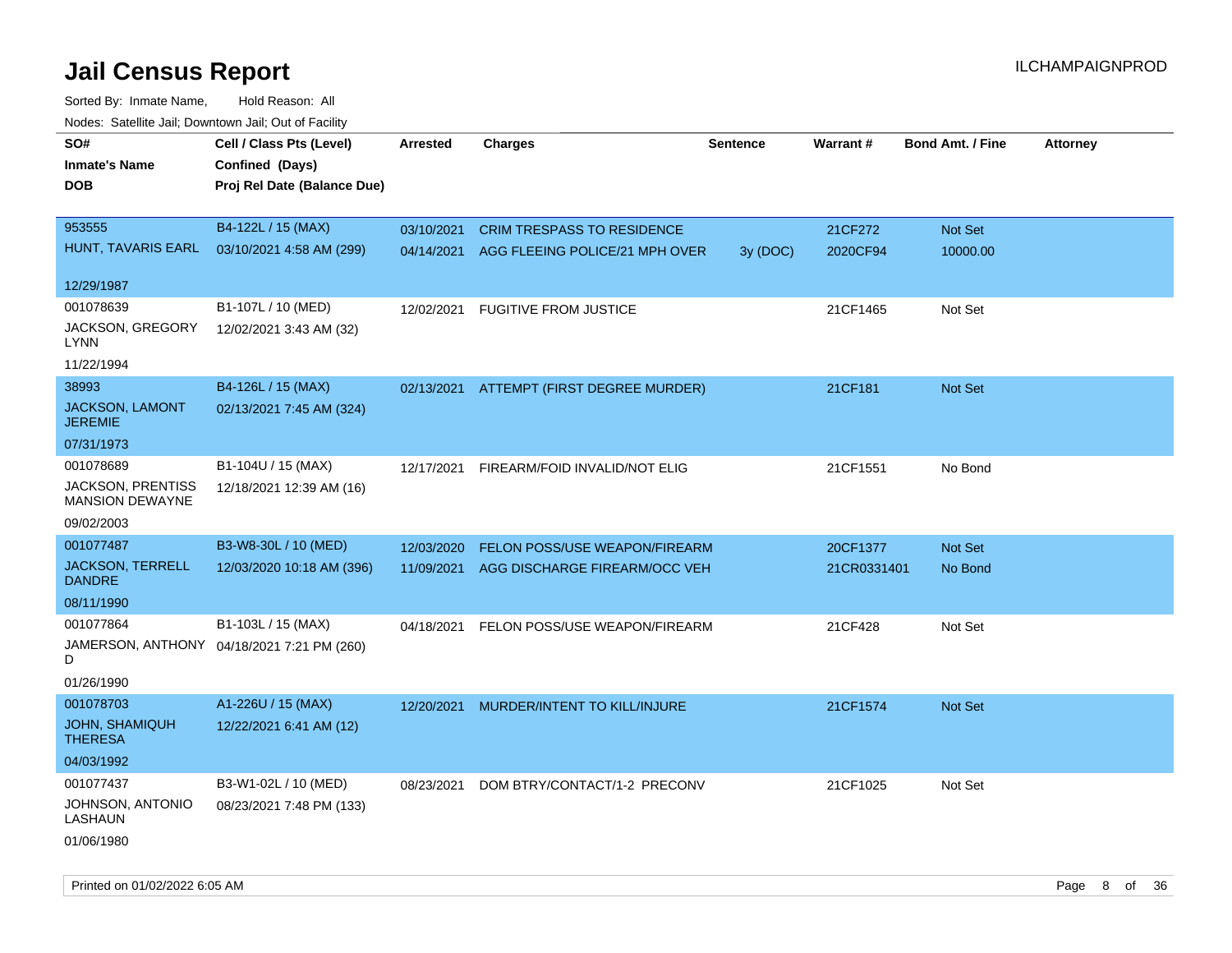| rougs. Calcinic Jan, Downtown Jan, Out of Facility |                                            |                 |                                           |                 |             |                         |                 |
|----------------------------------------------------|--------------------------------------------|-----------------|-------------------------------------------|-----------------|-------------|-------------------------|-----------------|
| SO#                                                | Cell / Class Pts (Level)                   | <b>Arrested</b> | <b>Charges</b>                            | <b>Sentence</b> | Warrant#    | <b>Bond Amt. / Fine</b> | <b>Attorney</b> |
| <b>Inmate's Name</b>                               | Confined (Days)                            |                 |                                           |                 |             |                         |                 |
| <b>DOB</b>                                         | Proj Rel Date (Balance Due)                |                 |                                           |                 |             |                         |                 |
|                                                    |                                            |                 |                                           |                 |             |                         |                 |
| 953555                                             | B4-122L / 15 (MAX)                         | 03/10/2021      | CRIM TRESPASS TO RESIDENCE                |                 | 21CF272     | Not Set                 |                 |
| HUNT, TAVARIS EARL                                 | 03/10/2021 4:58 AM (299)                   |                 | 04/14/2021 AGG FLEEING POLICE/21 MPH OVER | 3y (DOC)        | 2020CF94    | 10000.00                |                 |
|                                                    |                                            |                 |                                           |                 |             |                         |                 |
| 12/29/1987                                         |                                            |                 |                                           |                 |             |                         |                 |
| 001078639                                          | B1-107L / 10 (MED)                         | 12/02/2021      | <b>FUGITIVE FROM JUSTICE</b>              |                 | 21CF1465    | Not Set                 |                 |
| JACKSON, GREGORY<br>LYNN                           | 12/02/2021 3:43 AM (32)                    |                 |                                           |                 |             |                         |                 |
| 11/22/1994                                         |                                            |                 |                                           |                 |             |                         |                 |
| 38993                                              | B4-126L / 15 (MAX)                         |                 | 02/13/2021 ATTEMPT (FIRST DEGREE MURDER)  |                 | 21CF181     | Not Set                 |                 |
| JACKSON, LAMONT<br><b>JEREMIE</b>                  | 02/13/2021 7:45 AM (324)                   |                 |                                           |                 |             |                         |                 |
| 07/31/1973                                         |                                            |                 |                                           |                 |             |                         |                 |
| 001078689                                          | B1-104U / 15 (MAX)                         | 12/17/2021      | FIREARM/FOID INVALID/NOT ELIG             |                 | 21CF1551    | No Bond                 |                 |
| <b>JACKSON, PRENTISS</b><br>MANSION DEWAYNE        | 12/18/2021 12:39 AM (16)                   |                 |                                           |                 |             |                         |                 |
| 09/02/2003                                         |                                            |                 |                                           |                 |             |                         |                 |
| 001077487                                          | B3-W8-30L / 10 (MED)                       | 12/03/2020      | FELON POSS/USE WEAPON/FIREARM             |                 | 20CF1377    | <b>Not Set</b>          |                 |
| <b>JACKSON, TERRELL</b><br><b>DANDRE</b>           | 12/03/2020 10:18 AM (396)                  | 11/09/2021      | AGG DISCHARGE FIREARM/OCC VEH             |                 | 21CR0331401 | No Bond                 |                 |
| 08/11/1990                                         |                                            |                 |                                           |                 |             |                         |                 |
| 001077864                                          | B1-103L / 15 (MAX)                         | 04/18/2021      | FELON POSS/USE WEAPON/FIREARM             |                 | 21CF428     | Not Set                 |                 |
| D                                                  | JAMERSON, ANTHONY 04/18/2021 7:21 PM (260) |                 |                                           |                 |             |                         |                 |
| 01/26/1990                                         |                                            |                 |                                           |                 |             |                         |                 |
| 001078703                                          | A1-226U / 15 (MAX)                         | 12/20/2021      | MURDER/INTENT TO KILL/INJURE              |                 | 21CF1574    | <b>Not Set</b>          |                 |
| <b>JOHN, SHAMIQUH</b><br><b>THERESA</b>            | 12/22/2021 6:41 AM (12)                    |                 |                                           |                 |             |                         |                 |
| 04/03/1992                                         |                                            |                 |                                           |                 |             |                         |                 |
| 001077437                                          | B3-W1-02L / 10 (MED)                       | 08/23/2021      | DOM BTRY/CONTACT/1-2 PRECONV              |                 | 21CF1025    | Not Set                 |                 |
| JOHNSON, ANTONIO<br>LASHAUN                        | 08/23/2021 7:48 PM (133)                   |                 |                                           |                 |             |                         |                 |
| 01/06/1980                                         |                                            |                 |                                           |                 |             |                         |                 |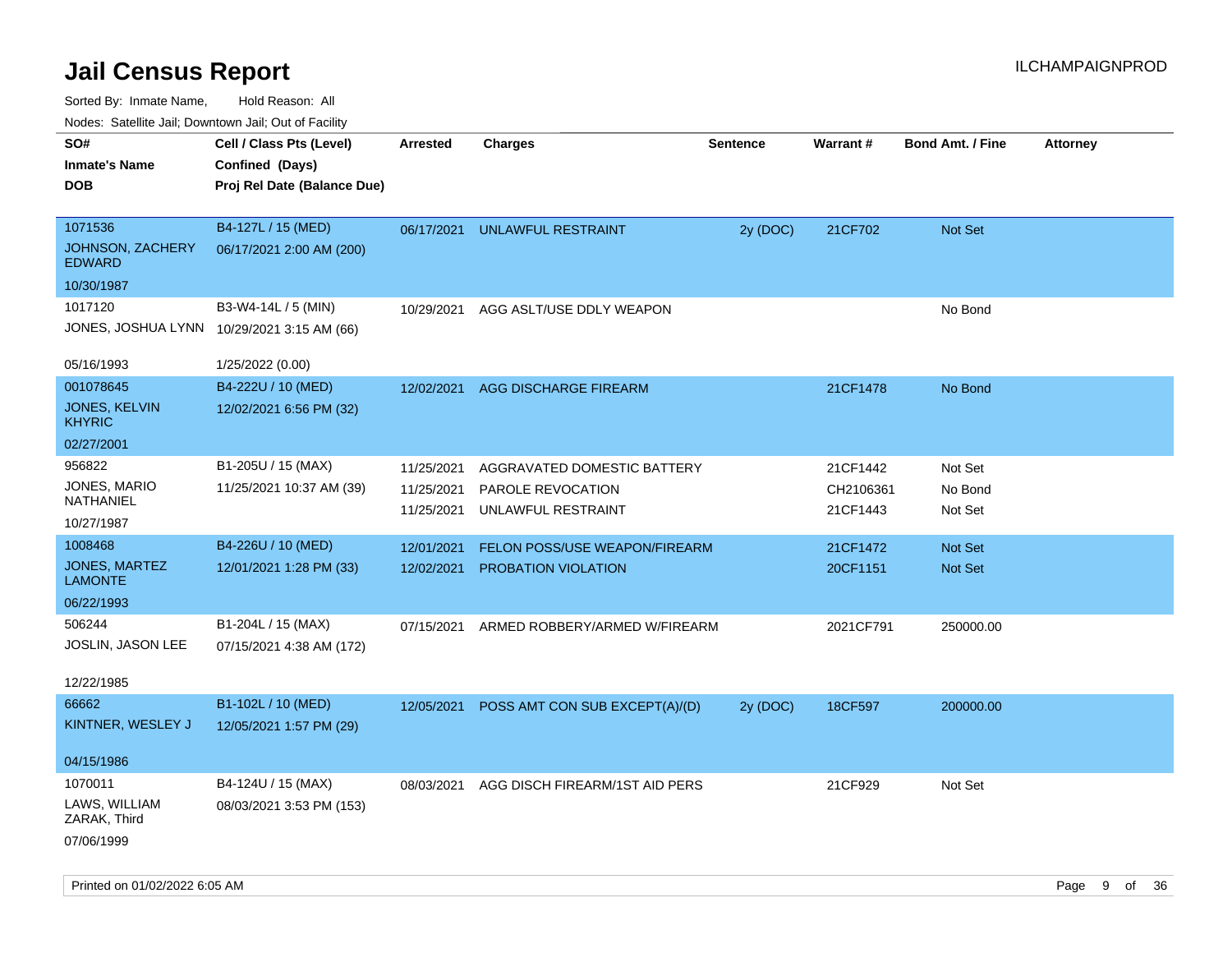| ivouss. Saleling Jali, Downtown Jali, Out of Facility |                             |                 |                                |                 |           |                         |                 |
|-------------------------------------------------------|-----------------------------|-----------------|--------------------------------|-----------------|-----------|-------------------------|-----------------|
| SO#                                                   | Cell / Class Pts (Level)    | <b>Arrested</b> | <b>Charges</b>                 | <b>Sentence</b> | Warrant#  | <b>Bond Amt. / Fine</b> | <b>Attorney</b> |
| <b>Inmate's Name</b>                                  | Confined (Days)             |                 |                                |                 |           |                         |                 |
| <b>DOB</b>                                            | Proj Rel Date (Balance Due) |                 |                                |                 |           |                         |                 |
|                                                       |                             |                 |                                |                 |           |                         |                 |
| 1071536                                               | B4-127L / 15 (MED)          | 06/17/2021      | UNLAWFUL RESTRAINT             | 2y (DOC)        | 21CF702   | Not Set                 |                 |
| JOHNSON, ZACHERY<br><b>EDWARD</b>                     | 06/17/2021 2:00 AM (200)    |                 |                                |                 |           |                         |                 |
| 10/30/1987                                            |                             |                 |                                |                 |           |                         |                 |
| 1017120                                               | B3-W4-14L / 5 (MIN)         | 10/29/2021      | AGG ASLT/USE DDLY WEAPON       |                 |           | No Bond                 |                 |
| JONES, JOSHUA LYNN 10/29/2021 3:15 AM (66)            |                             |                 |                                |                 |           |                         |                 |
| 05/16/1993                                            | 1/25/2022 (0.00)            |                 |                                |                 |           |                         |                 |
| 001078645                                             | B4-222U / 10 (MED)          | 12/02/2021      | AGG DISCHARGE FIREARM          |                 | 21CF1478  | No Bond                 |                 |
| JONES, KELVIN<br><b>KHYRIC</b>                        | 12/02/2021 6:56 PM (32)     |                 |                                |                 |           |                         |                 |
| 02/27/2001                                            |                             |                 |                                |                 |           |                         |                 |
| 956822                                                | B1-205U / 15 (MAX)          | 11/25/2021      | AGGRAVATED DOMESTIC BATTERY    |                 | 21CF1442  | Not Set                 |                 |
| JONES, MARIO                                          | 11/25/2021 10:37 AM (39)    | 11/25/2021      | PAROLE REVOCATION              |                 | CH2106361 | No Bond                 |                 |
| NATHANIEL                                             |                             | 11/25/2021      | UNLAWFUL RESTRAINT             |                 | 21CF1443  | Not Set                 |                 |
| 10/27/1987                                            |                             |                 |                                |                 |           |                         |                 |
| 1008468                                               | B4-226U / 10 (MED)          | 12/01/2021      | FELON POSS/USE WEAPON/FIREARM  |                 | 21CF1472  | Not Set                 |                 |
| <b>JONES, MARTEZ</b><br><b>LAMONTE</b>                | 12/01/2021 1:28 PM (33)     | 12/02/2021      | <b>PROBATION VIOLATION</b>     |                 | 20CF1151  | Not Set                 |                 |
| 06/22/1993                                            |                             |                 |                                |                 |           |                         |                 |
| 506244                                                | B1-204L / 15 (MAX)          | 07/15/2021      | ARMED ROBBERY/ARMED W/FIREARM  |                 | 2021CF791 | 250000.00               |                 |
| JOSLIN, JASON LEE                                     | 07/15/2021 4:38 AM (172)    |                 |                                |                 |           |                         |                 |
|                                                       |                             |                 |                                |                 |           |                         |                 |
| 12/22/1985                                            |                             |                 |                                |                 |           |                         |                 |
| 66662                                                 | B1-102L / 10 (MED)          | 12/05/2021      | POSS AMT CON SUB EXCEPT(A)/(D) | 2y (DOC)        | 18CF597   | 200000.00               |                 |
| KINTNER, WESLEY J                                     | 12/05/2021 1:57 PM (29)     |                 |                                |                 |           |                         |                 |
| 04/15/1986                                            |                             |                 |                                |                 |           |                         |                 |
| 1070011                                               | B4-124U / 15 (MAX)          | 08/03/2021      | AGG DISCH FIREARM/1ST AID PERS |                 | 21CF929   | Not Set                 |                 |
| LAWS, WILLIAM                                         | 08/03/2021 3:53 PM (153)    |                 |                                |                 |           |                         |                 |
| ZARAK, Third                                          |                             |                 |                                |                 |           |                         |                 |
| 07/06/1999                                            |                             |                 |                                |                 |           |                         |                 |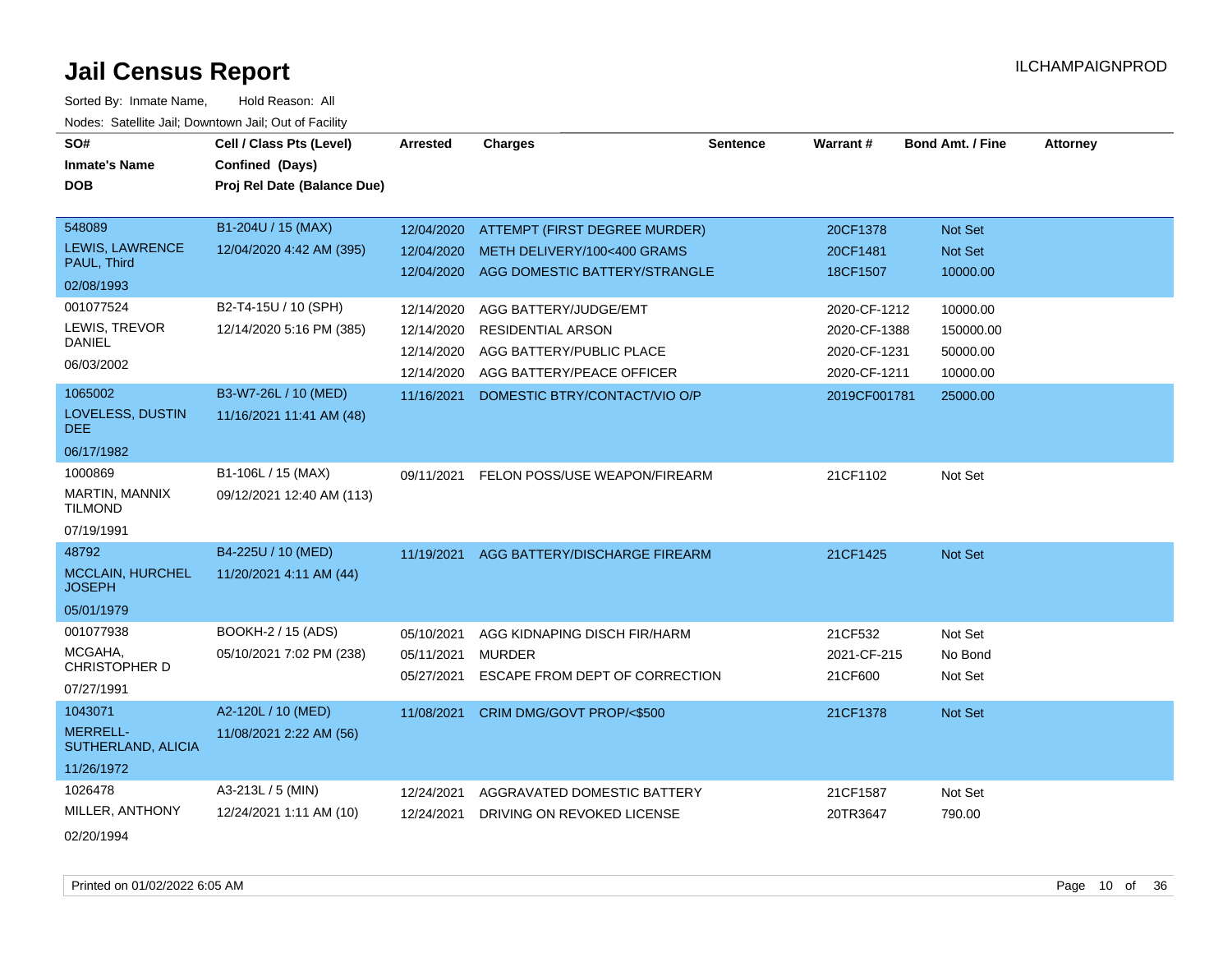| SO#                                   | Cell / Class Pts (Level)    | <b>Arrested</b> | <b>Charges</b>                 | <b>Sentence</b> | Warrant#     | Bond Amt. / Fine | <b>Attorney</b> |
|---------------------------------------|-----------------------------|-----------------|--------------------------------|-----------------|--------------|------------------|-----------------|
| <b>Inmate's Name</b>                  | Confined (Days)             |                 |                                |                 |              |                  |                 |
| <b>DOB</b>                            | Proj Rel Date (Balance Due) |                 |                                |                 |              |                  |                 |
|                                       |                             |                 |                                |                 |              |                  |                 |
| 548089                                | B1-204U / 15 (MAX)          | 12/04/2020      | ATTEMPT (FIRST DEGREE MURDER)  |                 | 20CF1378     | Not Set          |                 |
| <b>LEWIS. LAWRENCE</b><br>PAUL, Third | 12/04/2020 4:42 AM (395)    | 12/04/2020      | METH DELIVERY/100<400 GRAMS    |                 | 20CF1481     | Not Set          |                 |
| 02/08/1993                            |                             | 12/04/2020      | AGG DOMESTIC BATTERY/STRANGLE  |                 | 18CF1507     | 10000.00         |                 |
| 001077524                             | B2-T4-15U / 10 (SPH)        | 12/14/2020      | AGG BATTERY/JUDGE/EMT          |                 | 2020-CF-1212 | 10000.00         |                 |
| LEWIS, TREVOR                         | 12/14/2020 5:16 PM (385)    | 12/14/2020      | RESIDENTIAL ARSON              |                 | 2020-CF-1388 | 150000.00        |                 |
| <b>DANIEL</b>                         |                             | 12/14/2020      | AGG BATTERY/PUBLIC PLACE       |                 | 2020-CF-1231 | 50000.00         |                 |
| 06/03/2002                            |                             | 12/14/2020      | AGG BATTERY/PEACE OFFICER      |                 | 2020-CF-1211 | 10000.00         |                 |
| 1065002                               | B3-W7-26L / 10 (MED)        | 11/16/2021      | DOMESTIC BTRY/CONTACT/VIO O/P  |                 | 2019CF001781 | 25000.00         |                 |
| LOVELESS, DUSTIN                      | 11/16/2021 11:41 AM (48)    |                 |                                |                 |              |                  |                 |
| <b>DEE</b>                            |                             |                 |                                |                 |              |                  |                 |
| 06/17/1982                            |                             |                 |                                |                 |              |                  |                 |
| 1000869                               | B1-106L / 15 (MAX)          | 09/11/2021      | FELON POSS/USE WEAPON/FIREARM  |                 | 21CF1102     | Not Set          |                 |
| MARTIN, MANNIX<br><b>TILMOND</b>      | 09/12/2021 12:40 AM (113)   |                 |                                |                 |              |                  |                 |
| 07/19/1991                            |                             |                 |                                |                 |              |                  |                 |
| 48792                                 | B4-225U / 10 (MED)          | 11/19/2021      | AGG BATTERY/DISCHARGE FIREARM  |                 | 21CF1425     | <b>Not Set</b>   |                 |
| MCCLAIN, HURCHEL<br><b>JOSEPH</b>     | 11/20/2021 4:11 AM (44)     |                 |                                |                 |              |                  |                 |
| 05/01/1979                            |                             |                 |                                |                 |              |                  |                 |
| 001077938                             | BOOKH-2 / 15 (ADS)          | 05/10/2021      | AGG KIDNAPING DISCH FIR/HARM   |                 | 21CF532      | Not Set          |                 |
| MCGAHA,                               | 05/10/2021 7:02 PM (238)    | 05/11/2021      | <b>MURDER</b>                  |                 | 2021-CF-215  | No Bond          |                 |
| CHRISTOPHER D                         |                             | 05/27/2021      | ESCAPE FROM DEPT OF CORRECTION |                 | 21CF600      | Not Set          |                 |
| 07/27/1991                            |                             |                 |                                |                 |              |                  |                 |
| 1043071                               | A2-120L / 10 (MED)          | 11/08/2021      | CRIM DMG/GOVT PROP/<\$500      |                 | 21CF1378     | <b>Not Set</b>   |                 |
| <b>MERRELL-</b><br>SUTHERLAND, ALICIA | 11/08/2021 2:22 AM (56)     |                 |                                |                 |              |                  |                 |
| 11/26/1972                            |                             |                 |                                |                 |              |                  |                 |
| 1026478                               | A3-213L / 5 (MIN)           | 12/24/2021      | AGGRAVATED DOMESTIC BATTERY    |                 | 21CF1587     | Not Set          |                 |
| MILLER, ANTHONY                       | 12/24/2021 1:11 AM (10)     | 12/24/2021      | DRIVING ON REVOKED LICENSE     |                 | 20TR3647     | 790.00           |                 |
| 02/20/1994                            |                             |                 |                                |                 |              |                  |                 |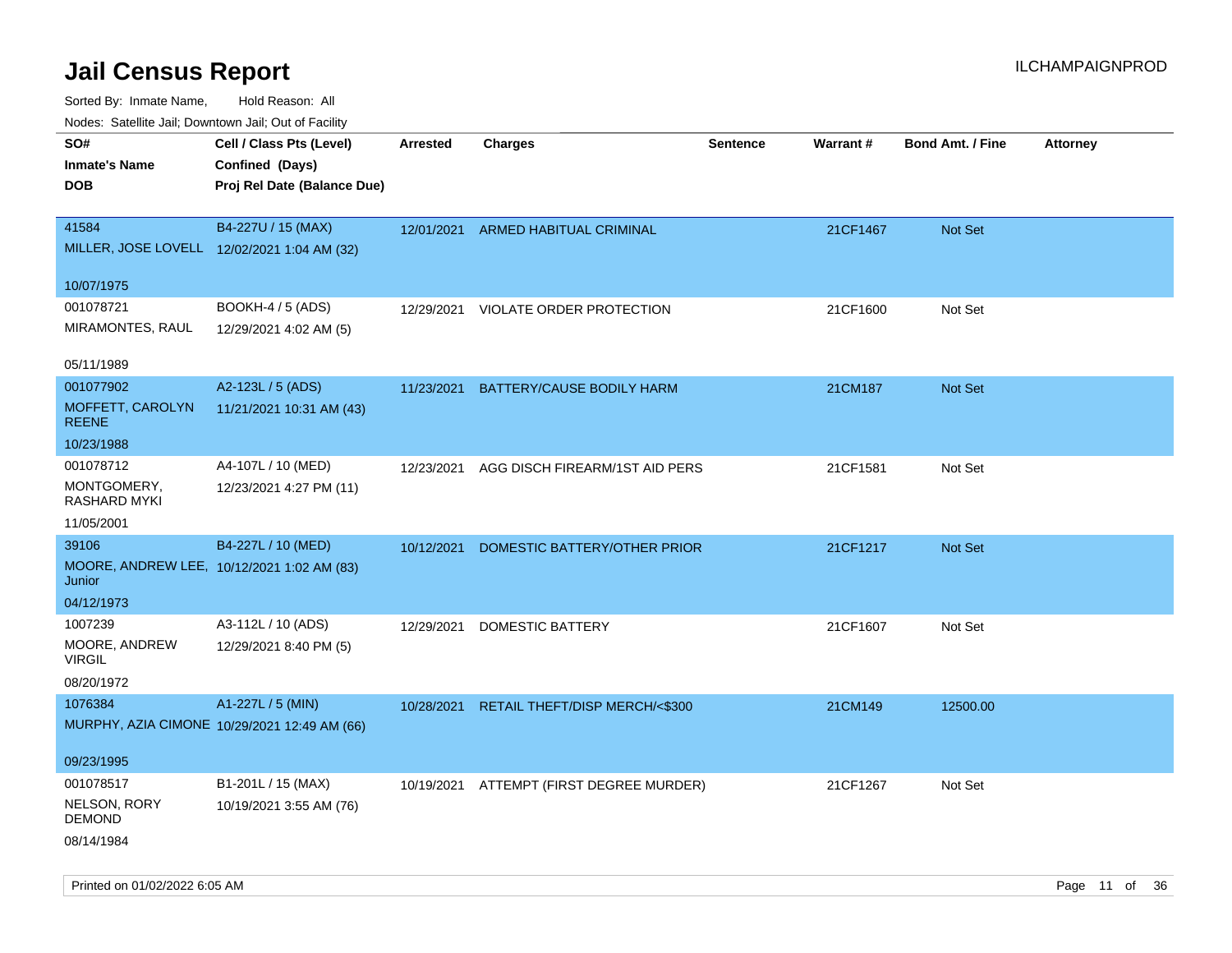Sorted By: Inmate Name, Hold Reason: All

| Nodes: Satellite Jail; Downtown Jail; Out of Facility |                                              |                 |                                |                 |          |                         |          |
|-------------------------------------------------------|----------------------------------------------|-----------------|--------------------------------|-----------------|----------|-------------------------|----------|
| SO#                                                   | Cell / Class Pts (Level)                     | <b>Arrested</b> | <b>Charges</b>                 | <b>Sentence</b> | Warrant# | <b>Bond Amt. / Fine</b> | Attorney |
| <b>Inmate's Name</b>                                  | Confined (Days)                              |                 |                                |                 |          |                         |          |
| <b>DOB</b>                                            | Proj Rel Date (Balance Due)                  |                 |                                |                 |          |                         |          |
|                                                       |                                              |                 |                                |                 |          |                         |          |
| 41584                                                 | B4-227U / 15 (MAX)                           | 12/01/2021      | ARMED HABITUAL CRIMINAL        |                 | 21CF1467 | Not Set                 |          |
|                                                       | MILLER, JOSE LOVELL 12/02/2021 1:04 AM (32)  |                 |                                |                 |          |                         |          |
| 10/07/1975                                            |                                              |                 |                                |                 |          |                         |          |
| 001078721                                             | BOOKH-4 / 5 (ADS)                            | 12/29/2021      | VIOLATE ORDER PROTECTION       |                 | 21CF1600 | Not Set                 |          |
| MIRAMONTES, RAUL                                      | 12/29/2021 4:02 AM (5)                       |                 |                                |                 |          |                         |          |
|                                                       |                                              |                 |                                |                 |          |                         |          |
| 05/11/1989                                            |                                              |                 |                                |                 |          |                         |          |
| 001077902                                             | A2-123L / 5 (ADS)                            | 11/23/2021      | BATTERY/CAUSE BODILY HARM      |                 | 21CM187  | Not Set                 |          |
| MOFFETT, CAROLYN<br><b>REENE</b>                      | 11/21/2021 10:31 AM (43)                     |                 |                                |                 |          |                         |          |
| 10/23/1988                                            |                                              |                 |                                |                 |          |                         |          |
| 001078712                                             | A4-107L / 10 (MED)                           | 12/23/2021      | AGG DISCH FIREARM/1ST AID PERS |                 | 21CF1581 | Not Set                 |          |
| MONTGOMERY,<br>RASHARD MYKI                           | 12/23/2021 4:27 PM (11)                      |                 |                                |                 |          |                         |          |
| 11/05/2001                                            |                                              |                 |                                |                 |          |                         |          |
| 39106                                                 | B4-227L / 10 (MED)                           | 10/12/2021      | DOMESTIC BATTERY/OTHER PRIOR   |                 | 21CF1217 | Not Set                 |          |
| Junior                                                | MOORE, ANDREW LEE, 10/12/2021 1:02 AM (83)   |                 |                                |                 |          |                         |          |
| 04/12/1973                                            |                                              |                 |                                |                 |          |                         |          |
| 1007239                                               | A3-112L / 10 (ADS)                           | 12/29/2021      | <b>DOMESTIC BATTERY</b>        |                 | 21CF1607 | Not Set                 |          |
| MOORE, ANDREW<br><b>VIRGIL</b>                        | 12/29/2021 8:40 PM (5)                       |                 |                                |                 |          |                         |          |
| 08/20/1972                                            |                                              |                 |                                |                 |          |                         |          |
| 1076384                                               | A1-227L / 5 (MIN)                            | 10/28/2021      | RETAIL THEFT/DISP MERCH/<\$300 |                 | 21CM149  | 12500.00                |          |
|                                                       | MURPHY, AZIA CIMONE 10/29/2021 12:49 AM (66) |                 |                                |                 |          |                         |          |
|                                                       |                                              |                 |                                |                 |          |                         |          |
| 09/23/1995                                            |                                              |                 |                                |                 |          |                         |          |
| 001078517                                             | B1-201L / 15 (MAX)                           | 10/19/2021      | ATTEMPT (FIRST DEGREE MURDER)  |                 | 21CF1267 | Not Set                 |          |
| NELSON, RORY<br><b>DEMOND</b>                         | 10/19/2021 3:55 AM (76)                      |                 |                                |                 |          |                         |          |
| 08/14/1984                                            |                                              |                 |                                |                 |          |                         |          |

Printed on 01/02/2022 6:05 AM Page 11 of 36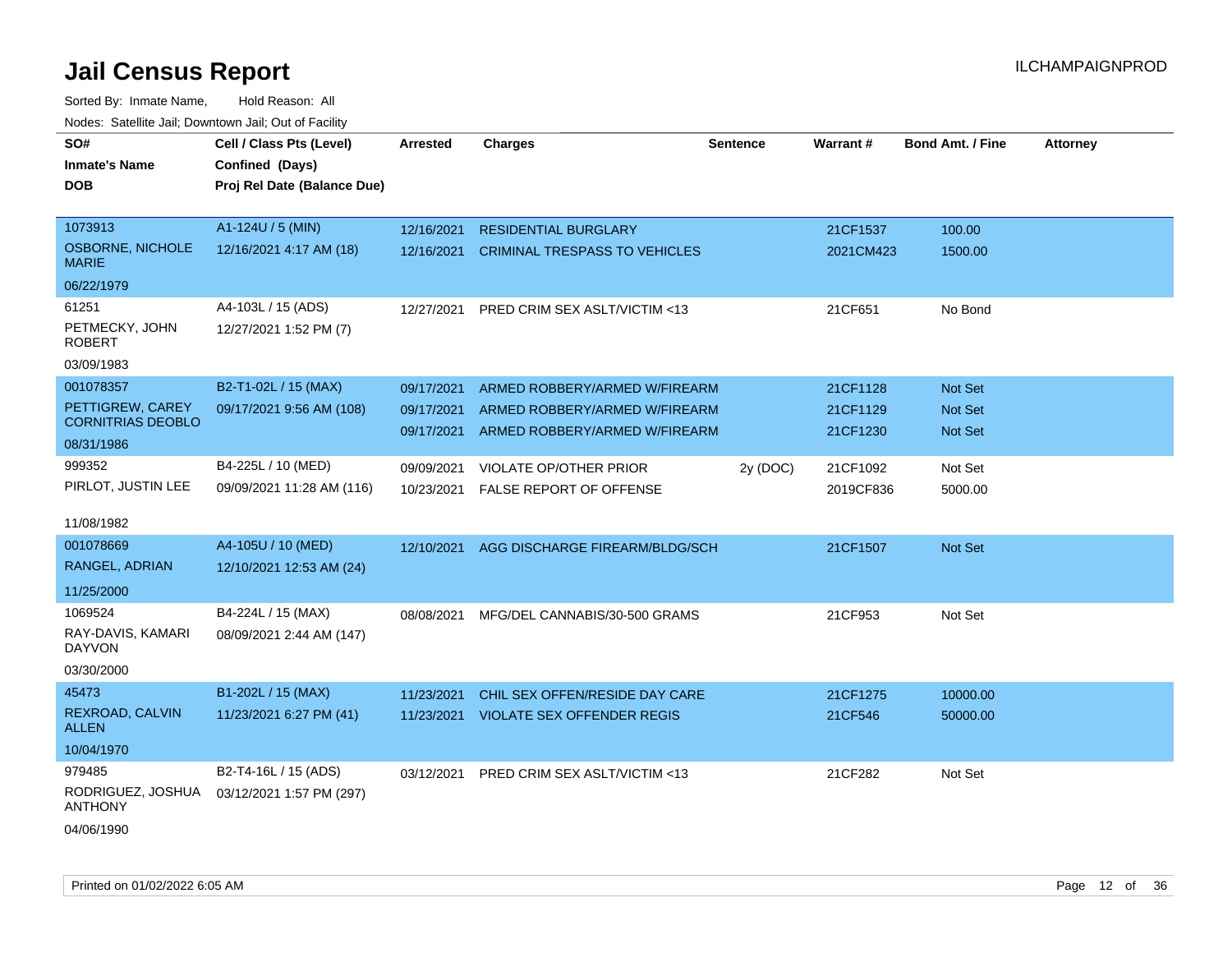| SO#                                 | Cell / Class Pts (Level)    |            | <b>Charges</b>                        | <b>Sentence</b> | <b>Warrant#</b> | <b>Bond Amt. / Fine</b> | <b>Attorney</b> |
|-------------------------------------|-----------------------------|------------|---------------------------------------|-----------------|-----------------|-------------------------|-----------------|
|                                     |                             | Arrested   |                                       |                 |                 |                         |                 |
| <b>Inmate's Name</b>                | Confined (Days)             |            |                                       |                 |                 |                         |                 |
| <b>DOB</b>                          | Proj Rel Date (Balance Due) |            |                                       |                 |                 |                         |                 |
|                                     |                             |            |                                       |                 |                 |                         |                 |
| 1073913                             | A1-124U / 5 (MIN)           | 12/16/2021 | <b>RESIDENTIAL BURGLARY</b>           |                 | 21CF1537        | 100.00                  |                 |
| OSBORNE, NICHOLE<br><b>MARIE</b>    | 12/16/2021 4:17 AM (18)     | 12/16/2021 | <b>CRIMINAL TRESPASS TO VEHICLES</b>  |                 | 2021CM423       | 1500.00                 |                 |
| 06/22/1979                          |                             |            |                                       |                 |                 |                         |                 |
| 61251                               | A4-103L / 15 (ADS)          | 12/27/2021 | PRED CRIM SEX ASLT/VICTIM <13         |                 | 21CF651         | No Bond                 |                 |
| PETMECKY, JOHN<br><b>ROBERT</b>     | 12/27/2021 1:52 PM (7)      |            |                                       |                 |                 |                         |                 |
| 03/09/1983                          |                             |            |                                       |                 |                 |                         |                 |
| 001078357                           | B2-T1-02L / 15 (MAX)        | 09/17/2021 | ARMED ROBBERY/ARMED W/FIREARM         |                 | 21CF1128        | <b>Not Set</b>          |                 |
| PETTIGREW, CAREY                    | 09/17/2021 9:56 AM (108)    | 09/17/2021 | ARMED ROBBERY/ARMED W/FIREARM         |                 | 21CF1129        | Not Set                 |                 |
| <b>CORNITRIAS DEOBLO</b>            |                             | 09/17/2021 | ARMED ROBBERY/ARMED W/FIREARM         |                 | 21CF1230        | Not Set                 |                 |
| 08/31/1986                          |                             |            |                                       |                 |                 |                         |                 |
| 999352                              | B4-225L / 10 (MED)          | 09/09/2021 | <b>VIOLATE OP/OTHER PRIOR</b>         | 2y (DOC)        | 21CF1092        | Not Set                 |                 |
| PIRLOT, JUSTIN LEE                  | 09/09/2021 11:28 AM (116)   | 10/23/2021 | FALSE REPORT OF OFFENSE               |                 | 2019CF836       | 5000.00                 |                 |
| 11/08/1982                          |                             |            |                                       |                 |                 |                         |                 |
| 001078669                           | A4-105U / 10 (MED)          | 12/10/2021 | AGG DISCHARGE FIREARM/BLDG/SCH        |                 | 21CF1507        | Not Set                 |                 |
| RANGEL, ADRIAN                      | 12/10/2021 12:53 AM (24)    |            |                                       |                 |                 |                         |                 |
| 11/25/2000                          |                             |            |                                       |                 |                 |                         |                 |
| 1069524                             | B4-224L / 15 (MAX)          | 08/08/2021 | MFG/DEL CANNABIS/30-500 GRAMS         |                 | 21CF953         | Not Set                 |                 |
| RAY-DAVIS, KAMARI<br><b>DAYVON</b>  | 08/09/2021 2:44 AM (147)    |            |                                       |                 |                 |                         |                 |
| 03/30/2000                          |                             |            |                                       |                 |                 |                         |                 |
| 45473                               | B1-202L / 15 (MAX)          | 11/23/2021 | CHIL SEX OFFEN/RESIDE DAY CARE        |                 | 21CF1275        | 10000.00                |                 |
| REXROAD, CALVIN<br><b>ALLEN</b>     | 11/23/2021 6:27 PM (41)     |            | 11/23/2021 VIOLATE SEX OFFENDER REGIS |                 | 21CF546         | 50000.00                |                 |
| 10/04/1970                          |                             |            |                                       |                 |                 |                         |                 |
| 979485                              | B2-T4-16L / 15 (ADS)        | 03/12/2021 | PRED CRIM SEX ASLT/VICTIM <13         |                 | 21CF282         | Not Set                 |                 |
| RODRIGUEZ, JOSHUA<br><b>ANTHONY</b> | 03/12/2021 1:57 PM (297)    |            |                                       |                 |                 |                         |                 |
| 04/06/1990                          |                             |            |                                       |                 |                 |                         |                 |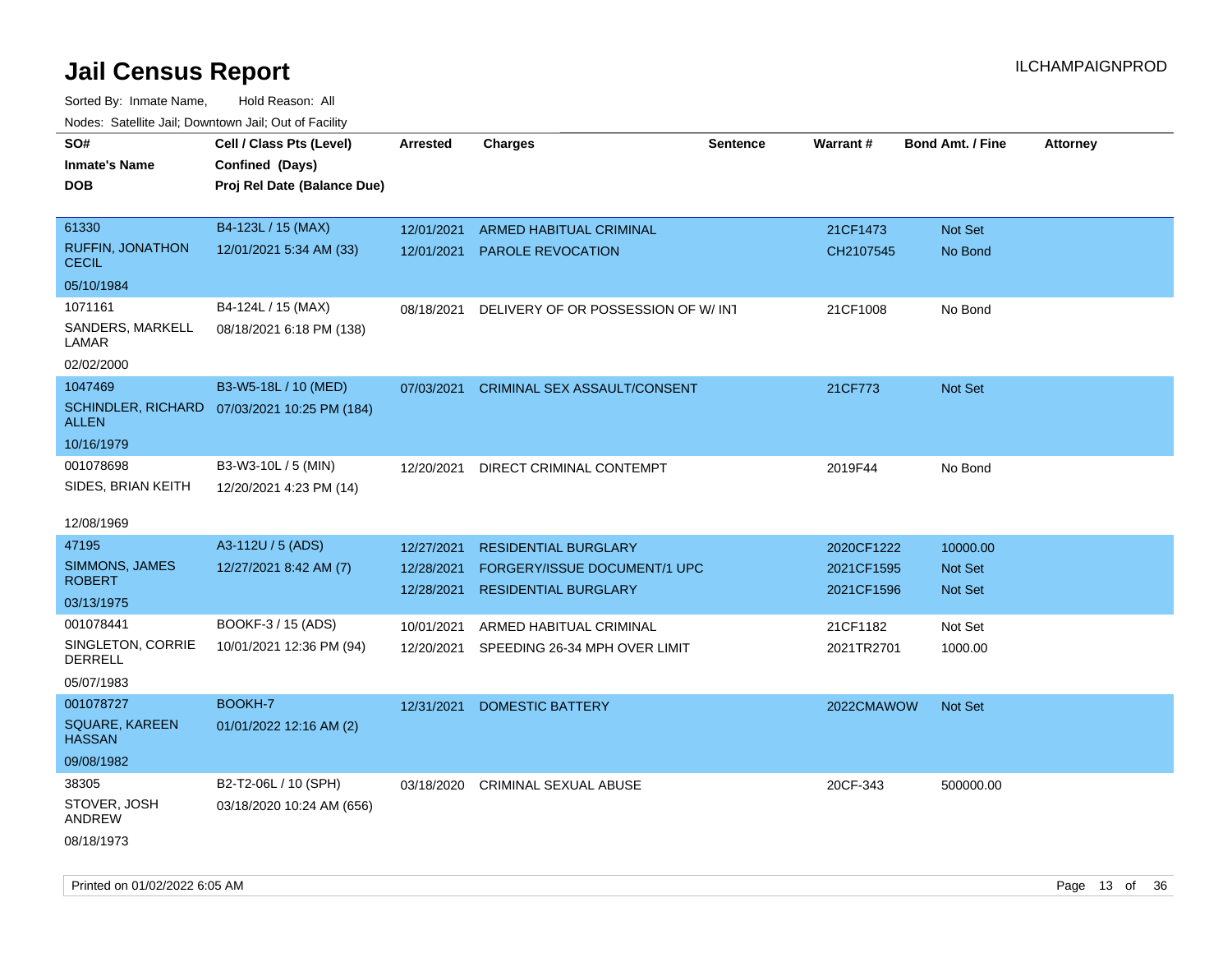| noaco. Catomto can, Domntonn can, Cat or I domt<br>SO#<br><b>Inmate's Name</b><br><b>DOB</b> | Cell / Class Pts (Level)<br>Confined (Days)<br>Proj Rel Date (Balance Due) | Arrested   | <b>Charges</b>                      | <b>Sentence</b> | <b>Warrant#</b> | <b>Bond Amt. / Fine</b> | <b>Attorney</b> |
|----------------------------------------------------------------------------------------------|----------------------------------------------------------------------------|------------|-------------------------------------|-----------------|-----------------|-------------------------|-----------------|
| 61330                                                                                        | B4-123L / 15 (MAX)                                                         | 12/01/2021 | ARMED HABITUAL CRIMINAL             |                 | 21CF1473        | Not Set                 |                 |
| <b>RUFFIN, JONATHON</b><br><b>CECIL</b>                                                      | 12/01/2021 5:34 AM (33)                                                    | 12/01/2021 | PAROLE REVOCATION                   |                 | CH2107545       | No Bond                 |                 |
| 05/10/1984                                                                                   |                                                                            |            |                                     |                 |                 |                         |                 |
| 1071161                                                                                      | B4-124L / 15 (MAX)                                                         | 08/18/2021 | DELIVERY OF OR POSSESSION OF W/INT  |                 | 21CF1008        | No Bond                 |                 |
| SANDERS, MARKELL<br>LAMAR                                                                    | 08/18/2021 6:18 PM (138)                                                   |            |                                     |                 |                 |                         |                 |
| 02/02/2000                                                                                   |                                                                            |            |                                     |                 |                 |                         |                 |
| 1047469                                                                                      | B3-W5-18L / 10 (MED)                                                       | 07/03/2021 | <b>CRIMINAL SEX ASSAULT/CONSENT</b> |                 | 21CF773         | <b>Not Set</b>          |                 |
| ALLEN                                                                                        | SCHINDLER, RICHARD 07/03/2021 10:25 PM (184)                               |            |                                     |                 |                 |                         |                 |
| 10/16/1979                                                                                   |                                                                            |            |                                     |                 |                 |                         |                 |
| 001078698                                                                                    | B3-W3-10L / 5 (MIN)                                                        | 12/20/2021 | DIRECT CRIMINAL CONTEMPT            |                 | 2019F44         | No Bond                 |                 |
| SIDES, BRIAN KEITH                                                                           | 12/20/2021 4:23 PM (14)                                                    |            |                                     |                 |                 |                         |                 |
| 12/08/1969                                                                                   |                                                                            |            |                                     |                 |                 |                         |                 |
| 47195                                                                                        | A3-112U / 5 (ADS)                                                          | 12/27/2021 | <b>RESIDENTIAL BURGLARY</b>         |                 | 2020CF1222      | 10000.00                |                 |
| SIMMONS, JAMES<br><b>ROBERT</b>                                                              | 12/27/2021 8:42 AM (7)                                                     | 12/28/2021 | FORGERY/ISSUE DOCUMENT/1 UPC        |                 | 2021CF1595      | Not Set                 |                 |
| 03/13/1975                                                                                   |                                                                            | 12/28/2021 | <b>RESIDENTIAL BURGLARY</b>         |                 | 2021CF1596      | <b>Not Set</b>          |                 |
| 001078441                                                                                    | BOOKF-3 / 15 (ADS)                                                         | 10/01/2021 | ARMED HABITUAL CRIMINAL             |                 | 21CF1182        | Not Set                 |                 |
| SINGLETON, CORRIE<br>DERRELL                                                                 | 10/01/2021 12:36 PM (94)                                                   | 12/20/2021 | SPEEDING 26-34 MPH OVER LIMIT       |                 | 2021TR2701      | 1000.00                 |                 |
| 05/07/1983                                                                                   |                                                                            |            |                                     |                 |                 |                         |                 |
| 001078727                                                                                    | BOOKH-7                                                                    | 12/31/2021 | <b>DOMESTIC BATTERY</b>             |                 | 2022CMAWOW      | <b>Not Set</b>          |                 |
| <b>SQUARE, KAREEN</b><br><b>HASSAN</b>                                                       | 01/01/2022 12:16 AM (2)                                                    |            |                                     |                 |                 |                         |                 |
| 09/08/1982                                                                                   |                                                                            |            |                                     |                 |                 |                         |                 |
| 38305                                                                                        | B2-T2-06L / 10 (SPH)                                                       | 03/18/2020 | <b>CRIMINAL SEXUAL ABUSE</b>        |                 | 20CF-343        | 500000.00               |                 |
| STOVER, JOSH<br>ANDREW                                                                       | 03/18/2020 10:24 AM (656)                                                  |            |                                     |                 |                 |                         |                 |
| 08/18/1973                                                                                   |                                                                            |            |                                     |                 |                 |                         |                 |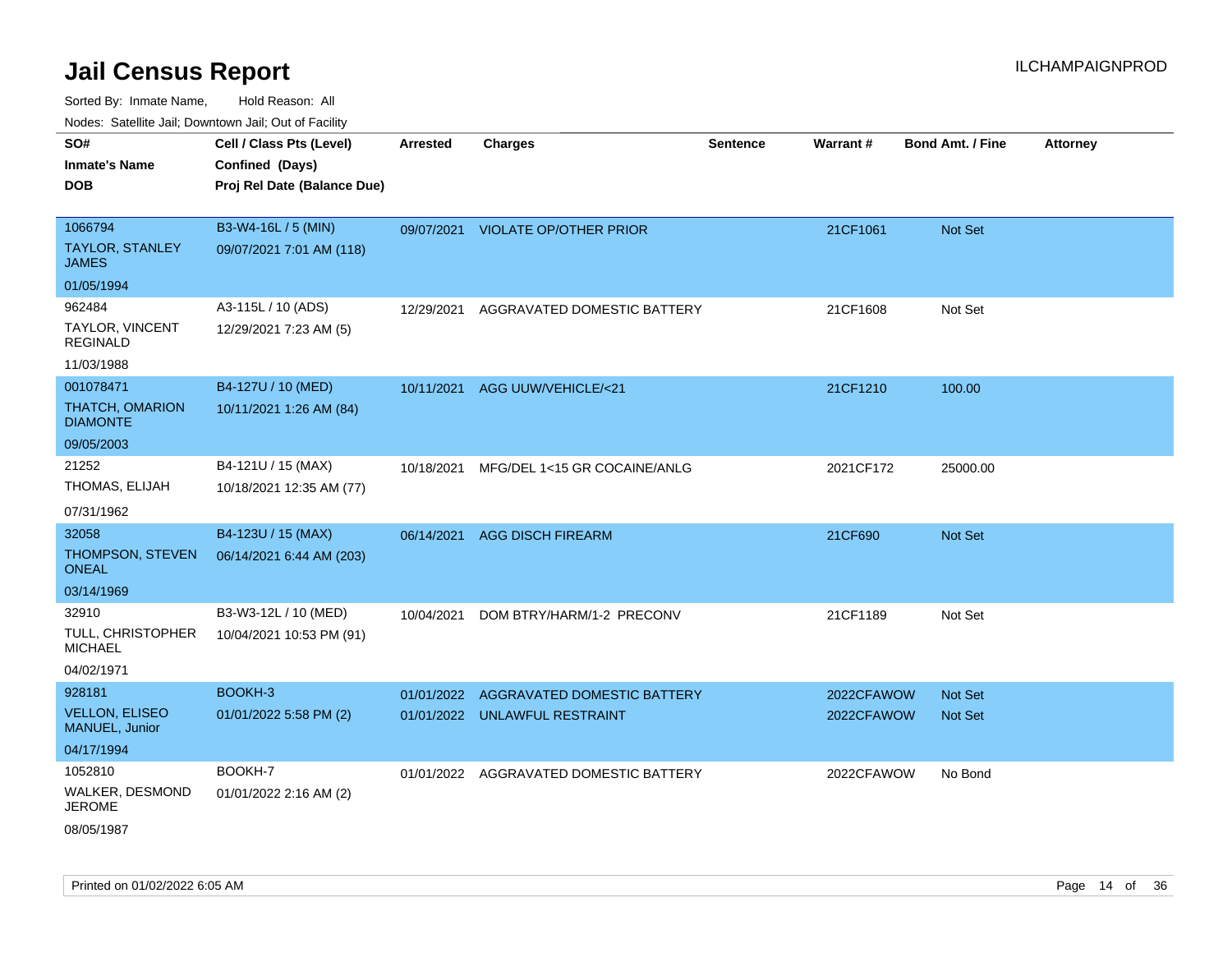| Noues. Salemie Jan, Downtown Jan, Out of Facility |                             |                 |                                        |                 |            |                         |                 |
|---------------------------------------------------|-----------------------------|-----------------|----------------------------------------|-----------------|------------|-------------------------|-----------------|
| SO#                                               | Cell / Class Pts (Level)    | <b>Arrested</b> | <b>Charges</b>                         | <b>Sentence</b> | Warrant#   | <b>Bond Amt. / Fine</b> | <b>Attorney</b> |
| <b>Inmate's Name</b>                              | Confined (Days)             |                 |                                        |                 |            |                         |                 |
| <b>DOB</b>                                        | Proj Rel Date (Balance Due) |                 |                                        |                 |            |                         |                 |
|                                                   |                             |                 |                                        |                 |            |                         |                 |
| 1066794                                           | B3-W4-16L / 5 (MIN)         | 09/07/2021      | <b>VIOLATE OP/OTHER PRIOR</b>          |                 | 21CF1061   | Not Set                 |                 |
| <b>TAYLOR, STANLEY</b><br><b>JAMES</b>            | 09/07/2021 7:01 AM (118)    |                 |                                        |                 |            |                         |                 |
| 01/05/1994                                        |                             |                 |                                        |                 |            |                         |                 |
| 962484                                            | A3-115L / 10 (ADS)          |                 | 12/29/2021 AGGRAVATED DOMESTIC BATTERY |                 | 21CF1608   | Not Set                 |                 |
| TAYLOR, VINCENT<br>REGINALD                       | 12/29/2021 7:23 AM (5)      |                 |                                        |                 |            |                         |                 |
| 11/03/1988                                        |                             |                 |                                        |                 |            |                         |                 |
| 001078471                                         | B4-127U / 10 (MED)          | 10/11/2021      | AGG UUW/VEHICLE/<21                    |                 | 21CF1210   | 100.00                  |                 |
| THATCH, OMARION<br><b>DIAMONTE</b>                | 10/11/2021 1:26 AM (84)     |                 |                                        |                 |            |                         |                 |
| 09/05/2003                                        |                             |                 |                                        |                 |            |                         |                 |
| 21252                                             | B4-121U / 15 (MAX)          | 10/18/2021      | MFG/DEL 1<15 GR COCAINE/ANLG           |                 | 2021CF172  | 25000.00                |                 |
| THOMAS, ELIJAH                                    | 10/18/2021 12:35 AM (77)    |                 |                                        |                 |            |                         |                 |
| 07/31/1962                                        |                             |                 |                                        |                 |            |                         |                 |
| 32058                                             | B4-123U / 15 (MAX)          | 06/14/2021      | <b>AGG DISCH FIREARM</b>               |                 | 21CF690    | Not Set                 |                 |
| THOMPSON, STEVEN<br><b>ONEAL</b>                  | 06/14/2021 6:44 AM (203)    |                 |                                        |                 |            |                         |                 |
| 03/14/1969                                        |                             |                 |                                        |                 |            |                         |                 |
| 32910                                             | B3-W3-12L / 10 (MED)        | 10/04/2021      | DOM BTRY/HARM/1-2 PRECONV              |                 | 21CF1189   | Not Set                 |                 |
| TULL, CHRISTOPHER<br><b>MICHAEL</b>               | 10/04/2021 10:53 PM (91)    |                 |                                        |                 |            |                         |                 |
| 04/02/1971                                        |                             |                 |                                        |                 |            |                         |                 |
| 928181                                            | BOOKH-3                     | 01/01/2022      | AGGRAVATED DOMESTIC BATTERY            |                 | 2022CFAWOW | Not Set                 |                 |
| <b>VELLON, ELISEO</b><br>MANUEL, Junior           | 01/01/2022 5:58 PM (2)      |                 | 01/01/2022 UNLAWFUL RESTRAINT          |                 | 2022CFAWOW | <b>Not Set</b>          |                 |
| 04/17/1994                                        |                             |                 |                                        |                 |            |                         |                 |
| 1052810                                           | BOOKH-7                     |                 | 01/01/2022 AGGRAVATED DOMESTIC BATTERY |                 | 2022CFAWOW | No Bond                 |                 |
| WALKER, DESMOND<br><b>JEROME</b>                  | 01/01/2022 2:16 AM (2)      |                 |                                        |                 |            |                         |                 |
| 08/05/1987                                        |                             |                 |                                        |                 |            |                         |                 |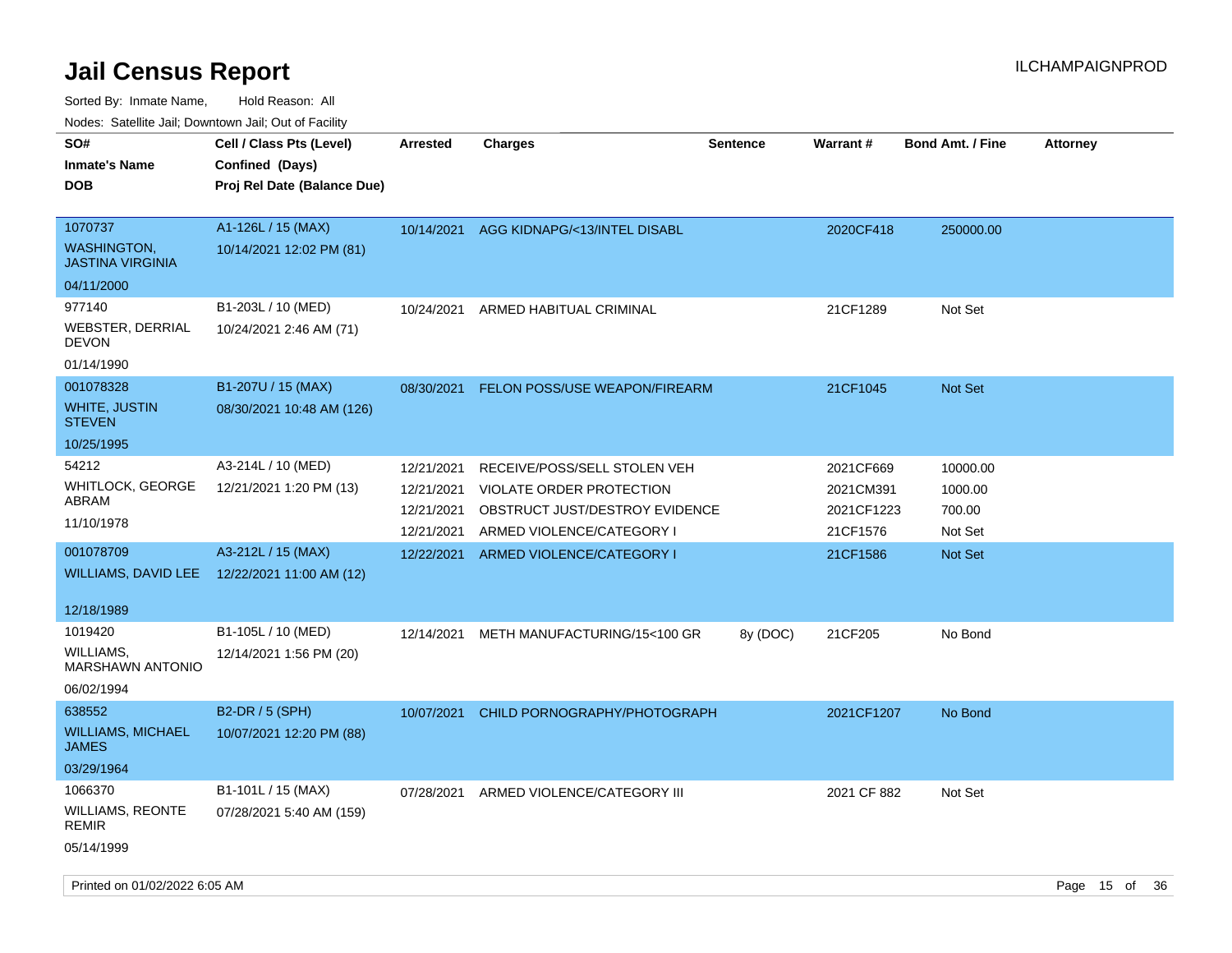Sorted By: Inmate Name, Hold Reason: All

Nodes: Satellite Jail; Downtown Jail; Out of Facility

| SO#                                           | Cell / Class Pts (Level)    | <b>Arrested</b> | <b>Charges</b>                           | <b>Sentence</b> | Warrant#    | <b>Bond Amt. / Fine</b> | <b>Attorney</b> |
|-----------------------------------------------|-----------------------------|-----------------|------------------------------------------|-----------------|-------------|-------------------------|-----------------|
| <b>Inmate's Name</b>                          | Confined (Days)             |                 |                                          |                 |             |                         |                 |
| <b>DOB</b>                                    | Proj Rel Date (Balance Due) |                 |                                          |                 |             |                         |                 |
| 1070737                                       | A1-126L / 15 (MAX)          | 10/14/2021      | AGG KIDNAPG/<13/INTEL DISABL             |                 | 2020CF418   | 250000.00               |                 |
| <b>WASHINGTON,</b><br><b>JASTINA VIRGINIA</b> | 10/14/2021 12:02 PM (81)    |                 |                                          |                 |             |                         |                 |
| 04/11/2000                                    |                             |                 |                                          |                 |             |                         |                 |
| 977140                                        | B1-203L / 10 (MED)          | 10/24/2021      | ARMED HABITUAL CRIMINAL                  |                 | 21CF1289    | Not Set                 |                 |
| <b>WEBSTER, DERRIAL</b><br><b>DEVON</b>       | 10/24/2021 2:46 AM (71)     |                 |                                          |                 |             |                         |                 |
| 01/14/1990                                    |                             |                 |                                          |                 |             |                         |                 |
| 001078328                                     | B1-207U / 15 (MAX)          |                 | 08/30/2021 FELON POSS/USE WEAPON/FIREARM |                 | 21CF1045    | Not Set                 |                 |
| <b>WHITE, JUSTIN</b><br><b>STEVEN</b>         | 08/30/2021 10:48 AM (126)   |                 |                                          |                 |             |                         |                 |
| 10/25/1995                                    |                             |                 |                                          |                 |             |                         |                 |
| 54212                                         | A3-214L / 10 (MED)          | 12/21/2021      | RECEIVE/POSS/SELL STOLEN VEH             |                 | 2021CF669   | 10000.00                |                 |
| <b>WHITLOCK, GEORGE</b>                       | 12/21/2021 1:20 PM (13)     | 12/21/2021      | VIOLATE ORDER PROTECTION                 |                 | 2021CM391   | 1000.00                 |                 |
| ABRAM                                         |                             | 12/21/2021      | OBSTRUCT JUST/DESTROY EVIDENCE           |                 | 2021CF1223  | 700.00                  |                 |
| 11/10/1978                                    |                             | 12/21/2021      | ARMED VIOLENCE/CATEGORY I                |                 | 21CF1576    | Not Set                 |                 |
| 001078709                                     | A3-212L / 15 (MAX)          | 12/22/2021      | ARMED VIOLENCE/CATEGORY I                |                 | 21CF1586    | Not Set                 |                 |
| WILLIAMS, DAVID LEE                           | 12/22/2021 11:00 AM (12)    |                 |                                          |                 |             |                         |                 |
| 12/18/1989                                    |                             |                 |                                          |                 |             |                         |                 |
| 1019420                                       | B1-105L / 10 (MED)          | 12/14/2021      | METH MANUFACTURING/15<100 GR             | 8y (DOC)        | 21CF205     | No Bond                 |                 |
| <b>WILLIAMS,</b><br><b>MARSHAWN ANTONIO</b>   | 12/14/2021 1:56 PM (20)     |                 |                                          |                 |             |                         |                 |
| 06/02/1994                                    |                             |                 |                                          |                 |             |                         |                 |
| 638552                                        | B2-DR / 5 (SPH)             | 10/07/2021      | CHILD PORNOGRAPHY/PHOTOGRAPH             |                 | 2021CF1207  | No Bond                 |                 |
| <b>WILLIAMS, MICHAEL</b><br><b>JAMES</b>      | 10/07/2021 12:20 PM (88)    |                 |                                          |                 |             |                         |                 |
| 03/29/1964                                    |                             |                 |                                          |                 |             |                         |                 |
| 1066370                                       | B1-101L / 15 (MAX)          | 07/28/2021      | ARMED VIOLENCE/CATEGORY III              |                 | 2021 CF 882 | Not Set                 |                 |
| <b>WILLIAMS, REONTE</b><br><b>REMIR</b>       | 07/28/2021 5:40 AM (159)    |                 |                                          |                 |             |                         |                 |
| 05/14/1999                                    |                             |                 |                                          |                 |             |                         |                 |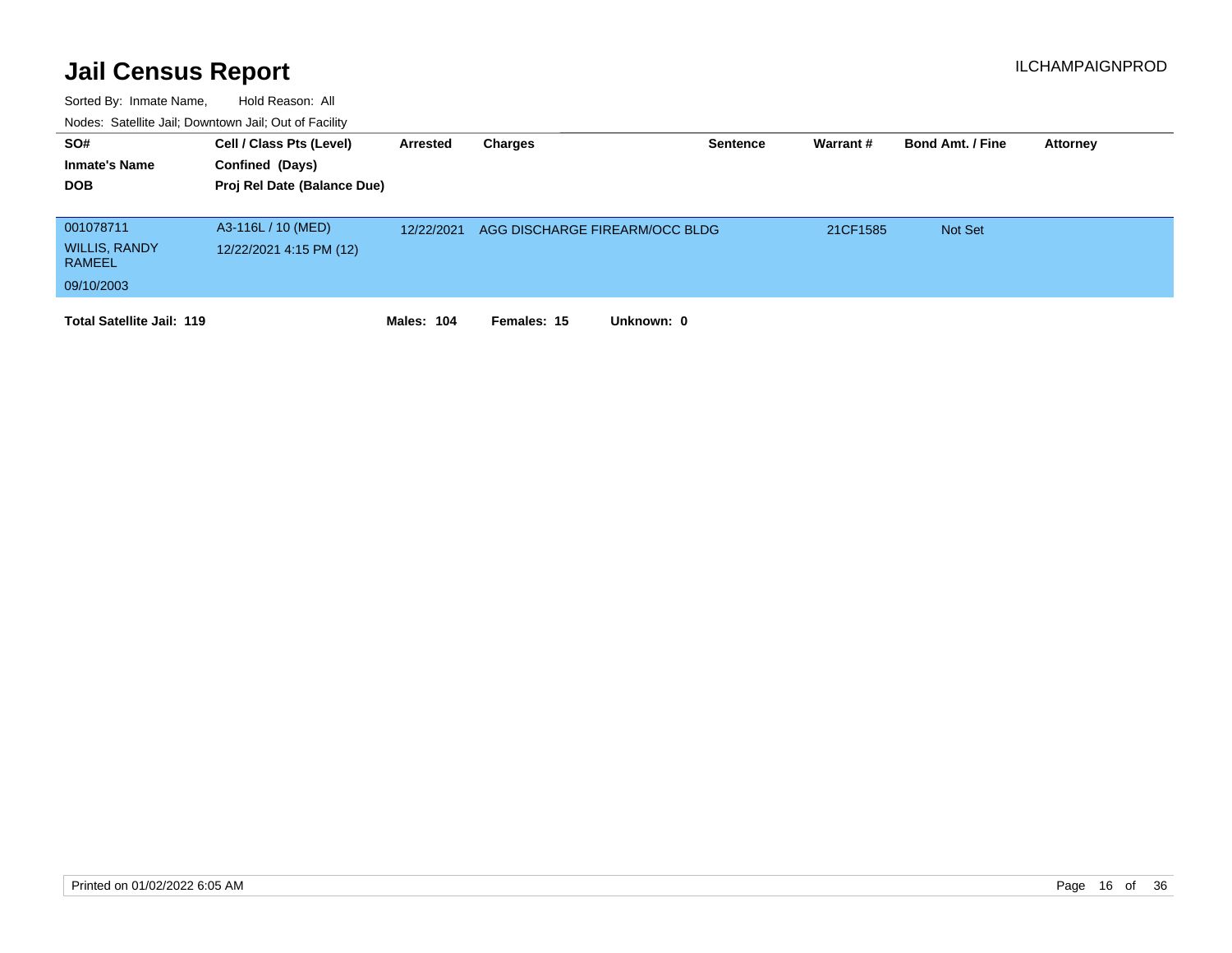| SO#<br><b>Inmate's Name</b><br><b>DOB</b>                 | Cell / Class Pts (Level)<br>Confined (Days)<br>Proj Rel Date (Balance Due) | Arrested          | Charges                        | <b>Sentence</b> | Warrant # | <b>Bond Amt. / Fine</b> | <b>Attorney</b> |
|-----------------------------------------------------------|----------------------------------------------------------------------------|-------------------|--------------------------------|-----------------|-----------|-------------------------|-----------------|
| 001078711<br><b>WILLIS, RANDY</b><br>RAMEEL<br>09/10/2003 | A3-116L / 10 (MED)<br>12/22/2021 4:15 PM (12)                              | 12/22/2021        | AGG DISCHARGE FIREARM/OCC BLDG |                 | 21CF1585  | <b>Not Set</b>          |                 |
| <b>Total Satellite Jail: 119</b>                          |                                                                            | <b>Males: 104</b> | Females: 15<br>Unknown: 0      |                 |           |                         |                 |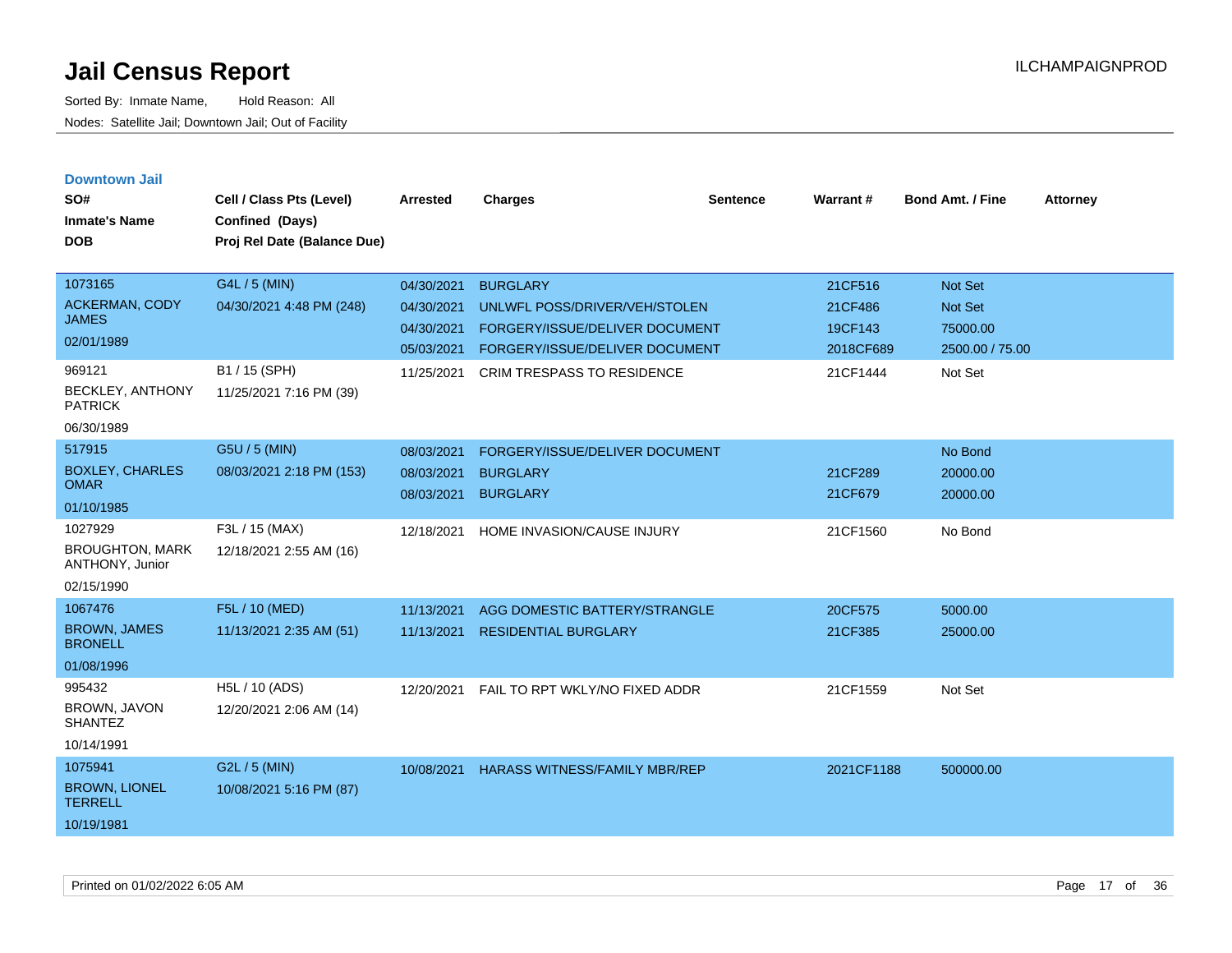| <b>Downtown Jail</b><br>SO#<br><b>Inmate's Name</b><br><b>DOB</b> | Cell / Class Pts (Level)<br>Confined (Days)<br>Proj Rel Date (Balance Due) | <b>Arrested</b>          | <b>Charges</b>                                                   | <b>Sentence</b> | Warrant#             | <b>Bond Amt. / Fine</b>     | <b>Attorney</b> |
|-------------------------------------------------------------------|----------------------------------------------------------------------------|--------------------------|------------------------------------------------------------------|-----------------|----------------------|-----------------------------|-----------------|
| 1073165                                                           | G4L / 5 (MIN)                                                              | 04/30/2021               | <b>BURGLARY</b>                                                  |                 | 21CF516              | <b>Not Set</b>              |                 |
| <b>ACKERMAN, CODY</b><br><b>JAMES</b>                             | 04/30/2021 4:48 PM (248)                                                   | 04/30/2021               | UNLWFL POSS/DRIVER/VEH/STOLEN                                    |                 | 21CF486              | <b>Not Set</b>              |                 |
| 02/01/1989                                                        |                                                                            | 04/30/2021<br>05/03/2021 | FORGERY/ISSUE/DELIVER DOCUMENT<br>FORGERY/ISSUE/DELIVER DOCUMENT |                 | 19CF143<br>2018CF689 | 75000.00<br>2500.00 / 75.00 |                 |
| 969121<br><b>BECKLEY, ANTHONY</b><br><b>PATRICK</b>               | B1 / 15 (SPH)<br>11/25/2021 7:16 PM (39)                                   | 11/25/2021               | <b>CRIM TRESPASS TO RESIDENCE</b>                                |                 | 21CF1444             | Not Set                     |                 |
| 06/30/1989                                                        |                                                                            |                          |                                                                  |                 |                      |                             |                 |
| 517915                                                            | G5U / 5 (MIN)                                                              | 08/03/2021               | FORGERY/ISSUE/DELIVER DOCUMENT                                   |                 |                      | No Bond                     |                 |
| <b>BOXLEY, CHARLES</b><br><b>OMAR</b>                             | 08/03/2021 2:18 PM (153)                                                   | 08/03/2021<br>08/03/2021 | <b>BURGLARY</b><br><b>BURGLARY</b>                               |                 | 21CF289<br>21CF679   | 20000.00                    |                 |
| 01/10/1985                                                        |                                                                            |                          |                                                                  |                 |                      | 20000.00                    |                 |
| 1027929<br><b>BROUGHTON, MARK</b><br>ANTHONY, Junior              | F3L / 15 (MAX)<br>12/18/2021 2:55 AM (16)                                  | 12/18/2021               | HOME INVASION/CAUSE INJURY                                       |                 | 21CF1560             | No Bond                     |                 |
| 02/15/1990                                                        |                                                                            |                          |                                                                  |                 |                      |                             |                 |
| 1067476<br><b>BROWN, JAMES</b><br><b>BRONELL</b>                  | F5L / 10 (MED)<br>11/13/2021 2:35 AM (51)                                  | 11/13/2021<br>11/13/2021 | AGG DOMESTIC BATTERY/STRANGLE<br><b>RESIDENTIAL BURGLARY</b>     |                 | 20CF575<br>21CF385   | 5000.00<br>25000.00         |                 |
| 01/08/1996                                                        |                                                                            |                          |                                                                  |                 |                      |                             |                 |
| 995432<br>BROWN, JAVON<br><b>SHANTEZ</b>                          | H5L / 10 (ADS)<br>12/20/2021 2:06 AM (14)                                  | 12/20/2021               | FAIL TO RPT WKLY/NO FIXED ADDR                                   |                 | 21CF1559             | Not Set                     |                 |
| 10/14/1991                                                        |                                                                            |                          |                                                                  |                 |                      |                             |                 |
| 1075941                                                           | G2L / 5 (MIN)                                                              | 10/08/2021               | <b>HARASS WITNESS/FAMILY MBR/REP</b>                             |                 | 2021CF1188           | 500000.00                   |                 |
| <b>BROWN, LIONEL</b><br><b>TERRELL</b>                            | 10/08/2021 5:16 PM (87)                                                    |                          |                                                                  |                 |                      |                             |                 |
| 10/19/1981                                                        |                                                                            |                          |                                                                  |                 |                      |                             |                 |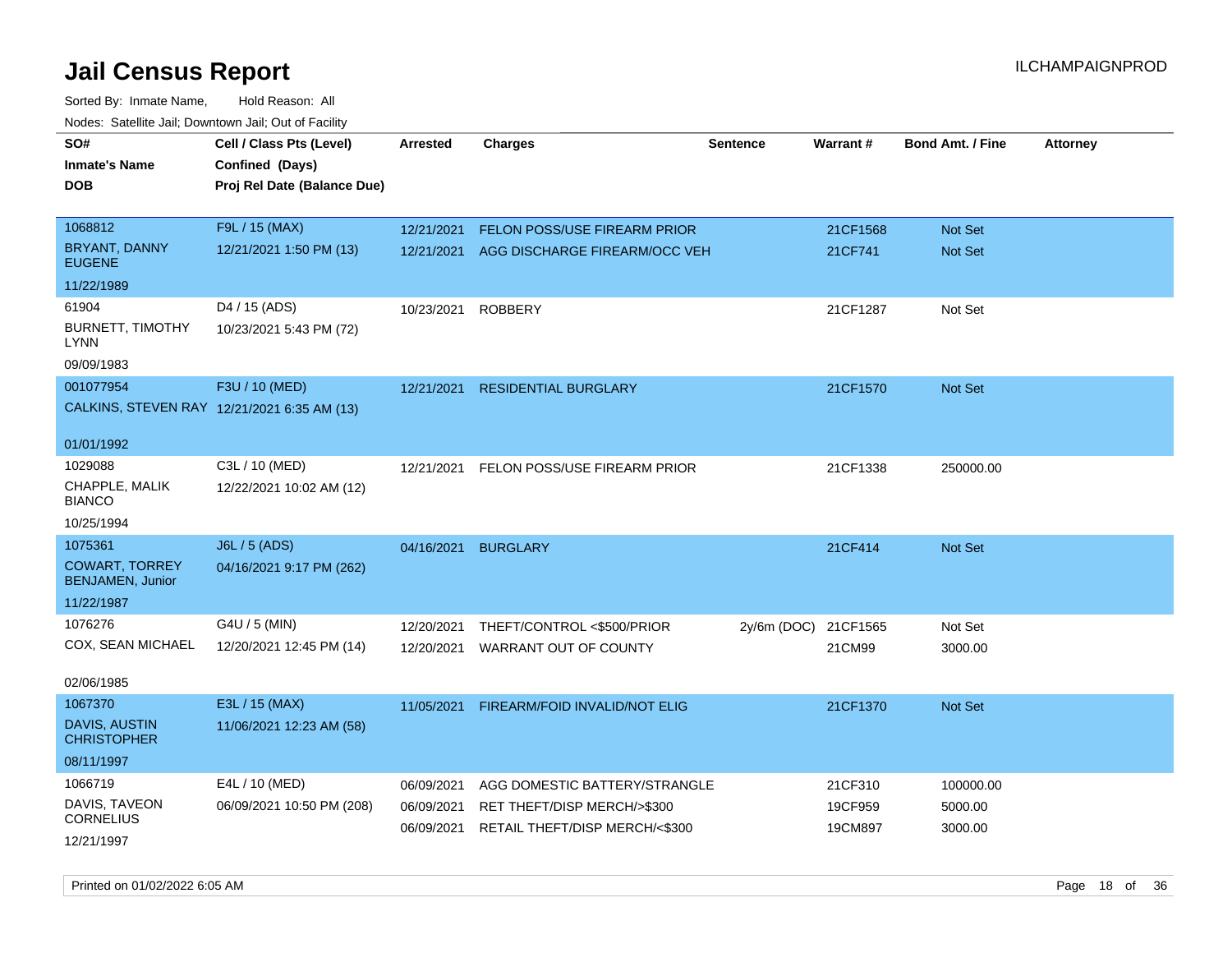Sorted By: Inmate Name, Hold Reason: All Nodes: Satellite Jail; Downtown Jail; Out of Facility

| SO#                                              | Cell / Class Pts (Level)                    | <b>Arrested</b> | <b>Charges</b>                           | <b>Sentence</b> | <b>Warrant#</b> | <b>Bond Amt. / Fine</b> | <b>Attorney</b> |
|--------------------------------------------------|---------------------------------------------|-----------------|------------------------------------------|-----------------|-----------------|-------------------------|-----------------|
| <b>Inmate's Name</b>                             | Confined (Days)                             |                 |                                          |                 |                 |                         |                 |
| <b>DOB</b>                                       | Proj Rel Date (Balance Due)                 |                 |                                          |                 |                 |                         |                 |
| 1068812                                          | F9L / 15 (MAX)                              | 12/21/2021      | FELON POSS/USE FIREARM PRIOR             |                 | 21CF1568        | Not Set                 |                 |
| <b>BRYANT, DANNY</b>                             | 12/21/2021 1:50 PM (13)                     |                 | 12/21/2021 AGG DISCHARGE FIREARM/OCC VEH |                 | 21CF741         | Not Set                 |                 |
| <b>EUGENE</b>                                    |                                             |                 |                                          |                 |                 |                         |                 |
| 11/22/1989                                       |                                             |                 |                                          |                 |                 |                         |                 |
| 61904                                            | D4 / 15 (ADS)                               | 10/23/2021      | <b>ROBBERY</b>                           |                 | 21CF1287        | Not Set                 |                 |
| <b>BURNETT, TIMOTHY</b><br><b>LYNN</b>           | 10/23/2021 5:43 PM (72)                     |                 |                                          |                 |                 |                         |                 |
| 09/09/1983                                       |                                             |                 |                                          |                 |                 |                         |                 |
| 001077954                                        | F3U / 10 (MED)                              | 12/21/2021      | <b>RESIDENTIAL BURGLARY</b>              |                 | 21CF1570        | Not Set                 |                 |
|                                                  | CALKINS, STEVEN RAY 12/21/2021 6:35 AM (13) |                 |                                          |                 |                 |                         |                 |
| 01/01/1992                                       |                                             |                 |                                          |                 |                 |                         |                 |
| 1029088                                          | C3L / 10 (MED)                              |                 | 12/21/2021 FELON POSS/USE FIREARM PRIOR  |                 | 21CF1338        | 250000.00               |                 |
| CHAPPLE, MALIK<br><b>BIANCO</b>                  | 12/22/2021 10:02 AM (12)                    |                 |                                          |                 |                 |                         |                 |
| 10/25/1994                                       |                                             |                 |                                          |                 |                 |                         |                 |
| 1075361                                          | J6L / 5 (ADS)                               |                 | 04/16/2021 BURGLARY                      |                 | 21CF414         | <b>Not Set</b>          |                 |
| <b>COWART, TORREY</b><br><b>BENJAMEN, Junior</b> | 04/16/2021 9:17 PM (262)                    |                 |                                          |                 |                 |                         |                 |
| 11/22/1987                                       |                                             |                 |                                          |                 |                 |                         |                 |
| 1076276                                          | G4U / 5 (MIN)                               | 12/20/2021      | THEFT/CONTROL <\$500/PRIOR               | $2y/6m$ (DOC)   | 21CF1565        | Not Set                 |                 |
| COX, SEAN MICHAEL                                | 12/20/2021 12:45 PM (14)                    | 12/20/2021      | WARRANT OUT OF COUNTY                    |                 | 21CM99          | 3000.00                 |                 |
| 02/06/1985                                       |                                             |                 |                                          |                 |                 |                         |                 |
| 1067370                                          | E3L / 15 (MAX)                              | 11/05/2021      | FIREARM/FOID INVALID/NOT ELIG            |                 | 21CF1370        | Not Set                 |                 |
| DAVIS, AUSTIN<br><b>CHRISTOPHER</b>              | 11/06/2021 12:23 AM (58)                    |                 |                                          |                 |                 |                         |                 |
| 08/11/1997                                       |                                             |                 |                                          |                 |                 |                         |                 |
| 1066719                                          | E4L / 10 (MED)                              | 06/09/2021      | AGG DOMESTIC BATTERY/STRANGLE            |                 | 21CF310         | 100000.00               |                 |
| DAVIS, TAVEON                                    | 06/09/2021 10:50 PM (208)                   | 06/09/2021      | RET THEFT/DISP MERCH/>\$300              |                 | 19CF959         | 5000.00                 |                 |
|                                                  |                                             | 06/09/2021      | RETAIL THEFT/DISP MERCH/<\$300           |                 | 19CM897         | 3000.00                 |                 |
| <b>CORNELIUS</b><br>12/21/1997                   |                                             |                 |                                          |                 |                 |                         |                 |

Printed on 01/02/2022 6:05 AM **Page 18** of 36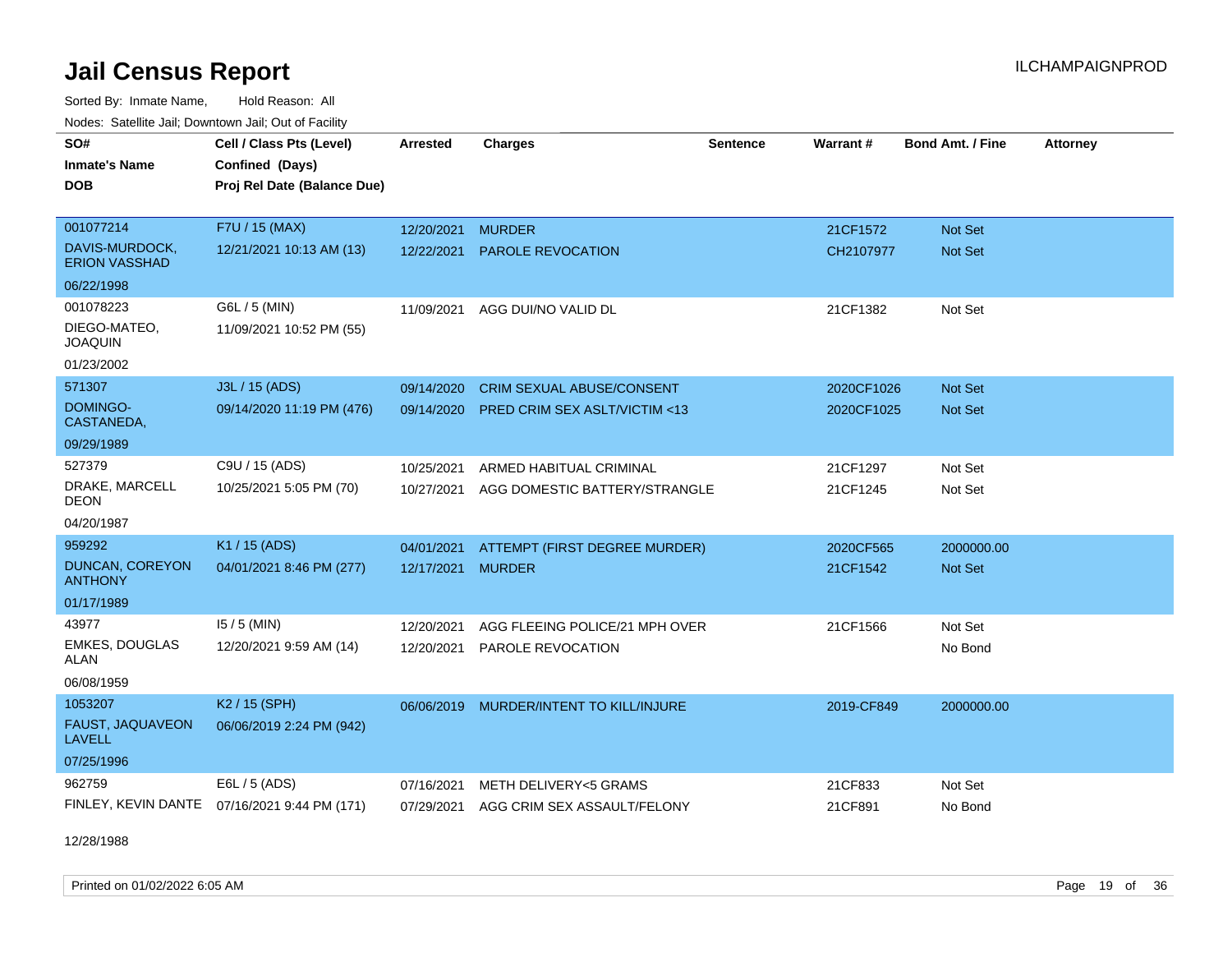Sorted By: Inmate Name, Hold Reason: All Nodes: Satellite Jail; Downtown Jail; Out of Facility

| SO#                                      | Cell / Class Pts (Level)                     | <b>Arrested</b> | <b>Charges</b>                         | <b>Sentence</b> | Warrant#   | Bond Amt. / Fine | <b>Attorney</b> |
|------------------------------------------|----------------------------------------------|-----------------|----------------------------------------|-----------------|------------|------------------|-----------------|
| <b>Inmate's Name</b>                     | Confined (Days)                              |                 |                                        |                 |            |                  |                 |
| <b>DOB</b>                               | Proj Rel Date (Balance Due)                  |                 |                                        |                 |            |                  |                 |
|                                          |                                              |                 |                                        |                 |            |                  |                 |
| 001077214                                | F7U / 15 (MAX)                               | 12/20/2021      | <b>MURDER</b>                          |                 | 21CF1572   | <b>Not Set</b>   |                 |
| DAVIS-MURDOCK,<br><b>ERION VASSHAD</b>   | 12/21/2021 10:13 AM (13)                     | 12/22/2021      | <b>PAROLE REVOCATION</b>               |                 | CH2107977  | <b>Not Set</b>   |                 |
| 06/22/1998                               |                                              |                 |                                        |                 |            |                  |                 |
| 001078223                                | G6L / 5 (MIN)                                | 11/09/2021      | AGG DUI/NO VALID DL                    |                 | 21CF1382   | Not Set          |                 |
| DIEGO-MATEO,<br><b>JOAQUIN</b>           | 11/09/2021 10:52 PM (55)                     |                 |                                        |                 |            |                  |                 |
| 01/23/2002                               |                                              |                 |                                        |                 |            |                  |                 |
| 571307                                   | J3L / 15 (ADS)                               | 09/14/2020      | <b>CRIM SEXUAL ABUSE/CONSENT</b>       |                 | 2020CF1026 | <b>Not Set</b>   |                 |
| DOMINGO-<br>CASTANEDA,                   | 09/14/2020 11:19 PM (476)                    | 09/14/2020      | PRED CRIM SEX ASLT/VICTIM <13          |                 | 2020CF1025 | <b>Not Set</b>   |                 |
| 09/29/1989                               |                                              |                 |                                        |                 |            |                  |                 |
| 527379                                   | C9U / 15 (ADS)                               | 10/25/2021      | ARMED HABITUAL CRIMINAL                |                 | 21CF1297   | Not Set          |                 |
| DRAKE, MARCELL<br><b>DEON</b>            | 10/25/2021 5:05 PM (70)                      | 10/27/2021      | AGG DOMESTIC BATTERY/STRANGLE          |                 | 21CF1245   | Not Set          |                 |
| 04/20/1987                               |                                              |                 |                                        |                 |            |                  |                 |
| 959292                                   | K1 / 15 (ADS)                                | 04/01/2021      | ATTEMPT (FIRST DEGREE MURDER)          |                 | 2020CF565  | 2000000.00       |                 |
| <b>DUNCAN, COREYON</b><br><b>ANTHONY</b> | 04/01/2021 8:46 PM (277)                     | 12/17/2021      | <b>MURDER</b>                          |                 | 21CF1542   | <b>Not Set</b>   |                 |
| 01/17/1989                               |                                              |                 |                                        |                 |            |                  |                 |
| 43977                                    | $15/5$ (MIN)                                 | 12/20/2021      | AGG FLEEING POLICE/21 MPH OVER         |                 | 21CF1566   | Not Set          |                 |
| <b>EMKES, DOUGLAS</b><br><b>ALAN</b>     | 12/20/2021 9:59 AM (14)                      | 12/20/2021      | PAROLE REVOCATION                      |                 |            | No Bond          |                 |
| 06/08/1959                               |                                              |                 |                                        |                 |            |                  |                 |
| 1053207                                  | K <sub>2</sub> / 15 (SPH)                    | 06/06/2019      | MURDER/INTENT TO KILL/INJURE           |                 | 2019-CF849 | 2000000.00       |                 |
| <b>FAUST, JAQUAVEON</b><br><b>LAVELL</b> | 06/06/2019 2:24 PM (942)                     |                 |                                        |                 |            |                  |                 |
| 07/25/1996                               |                                              |                 |                                        |                 |            |                  |                 |
| 962759                                   | E6L / 5 (ADS)                                | 07/16/2021      | METH DELIVERY<5 GRAMS                  |                 | 21CF833    | Not Set          |                 |
|                                          | FINLEY, KEVIN DANTE 07/16/2021 9:44 PM (171) |                 | 07/29/2021 AGG CRIM SEX ASSAULT/FELONY |                 | 21CF891    | No Bond          |                 |

12/28/1988

Printed on 01/02/2022 6:05 AM **Page 19 of 36**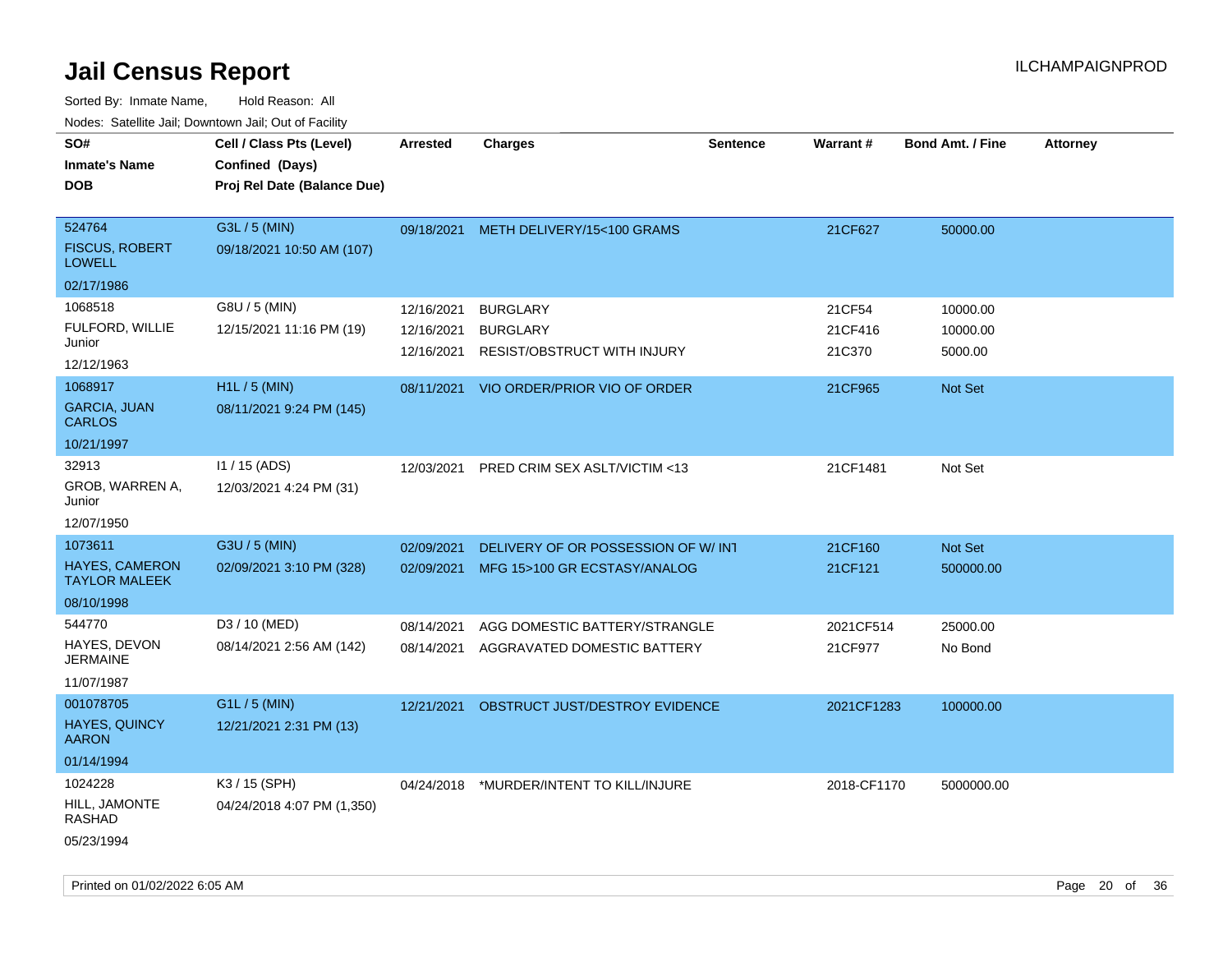| SO#                                              | Cell / Class Pts (Level)                       | <b>Arrested</b>                        | <b>Charges</b>                                                    | <b>Sentence</b> | Warrant#                    | <b>Bond Amt. / Fine</b>         | <b>Attorney</b> |
|--------------------------------------------------|------------------------------------------------|----------------------------------------|-------------------------------------------------------------------|-----------------|-----------------------------|---------------------------------|-----------------|
| <b>Inmate's Name</b><br><b>DOB</b>               | Confined (Days)<br>Proj Rel Date (Balance Due) |                                        |                                                                   |                 |                             |                                 |                 |
| 524764<br><b>FISCUS, ROBERT</b><br><b>LOWELL</b> | G3L / 5 (MIN)<br>09/18/2021 10:50 AM (107)     | 09/18/2021                             | METH DELIVERY/15<100 GRAMS                                        |                 | 21CF627                     | 50000.00                        |                 |
| 02/17/1986                                       |                                                |                                        |                                                                   |                 |                             |                                 |                 |
| 1068518<br>FULFORD, WILLIE<br>Junior             | G8U / 5 (MIN)<br>12/15/2021 11:16 PM (19)      | 12/16/2021<br>12/16/2021<br>12/16/2021 | <b>BURGLARY</b><br><b>BURGLARY</b><br>RESIST/OBSTRUCT WITH INJURY |                 | 21CF54<br>21CF416<br>21C370 | 10000.00<br>10000.00<br>5000.00 |                 |
| 12/12/1963                                       |                                                |                                        |                                                                   |                 |                             |                                 |                 |
| 1068917<br><b>GARCIA, JUAN</b><br><b>CARLOS</b>  | H1L / 5 (MIN)<br>08/11/2021 9:24 PM (145)      | 08/11/2021                             | VIO ORDER/PRIOR VIO OF ORDER                                      |                 | 21CF965                     | Not Set                         |                 |
| 10/21/1997                                       |                                                |                                        |                                                                   |                 |                             |                                 |                 |
| 32913<br>GROB, WARREN A,<br>Junior               | I1 / 15 (ADS)<br>12/03/2021 4:24 PM (31)       | 12/03/2021                             | PRED CRIM SEX ASLT/VICTIM <13                                     |                 | 21CF1481                    | Not Set                         |                 |
| 12/07/1950                                       |                                                |                                        |                                                                   |                 |                             |                                 |                 |
| 1073611                                          | G3U / 5 (MIN)                                  | 02/09/2021                             | DELIVERY OF OR POSSESSION OF W/INT                                |                 | 21CF160                     | Not Set                         |                 |
| <b>HAYES, CAMERON</b><br><b>TAYLOR MALEEK</b>    | 02/09/2021 3:10 PM (328)                       | 02/09/2021                             | MFG 15>100 GR ECSTASY/ANALOG                                      |                 | 21CF121                     | 500000.00                       |                 |
| 08/10/1998                                       |                                                |                                        |                                                                   |                 |                             |                                 |                 |
| 544770                                           | D3 / 10 (MED)                                  | 08/14/2021                             | AGG DOMESTIC BATTERY/STRANGLE                                     |                 | 2021CF514                   | 25000.00                        |                 |
| HAYES, DEVON<br><b>JERMAINE</b>                  | 08/14/2021 2:56 AM (142)                       | 08/14/2021                             | AGGRAVATED DOMESTIC BATTERY                                       |                 | 21CF977                     | No Bond                         |                 |
| 11/07/1987                                       |                                                |                                        |                                                                   |                 |                             |                                 |                 |
| 001078705<br>HAYES, QUINCY<br><b>AARON</b>       | G1L / 5 (MIN)<br>12/21/2021 2:31 PM (13)       | 12/21/2021                             | OBSTRUCT JUST/DESTROY EVIDENCE                                    |                 | 2021CF1283                  | 100000.00                       |                 |
| 01/14/1994                                       |                                                |                                        |                                                                   |                 |                             |                                 |                 |
| 1024228                                          | K3 / 15 (SPH)                                  | 04/24/2018                             | *MURDER/INTENT TO KILL/INJURE                                     |                 | 2018-CF1170                 | 5000000.00                      |                 |
| HILL, JAMONTE<br><b>RASHAD</b>                   | 04/24/2018 4:07 PM (1,350)                     |                                        |                                                                   |                 |                             |                                 |                 |
| 05/23/1994                                       |                                                |                                        |                                                                   |                 |                             |                                 |                 |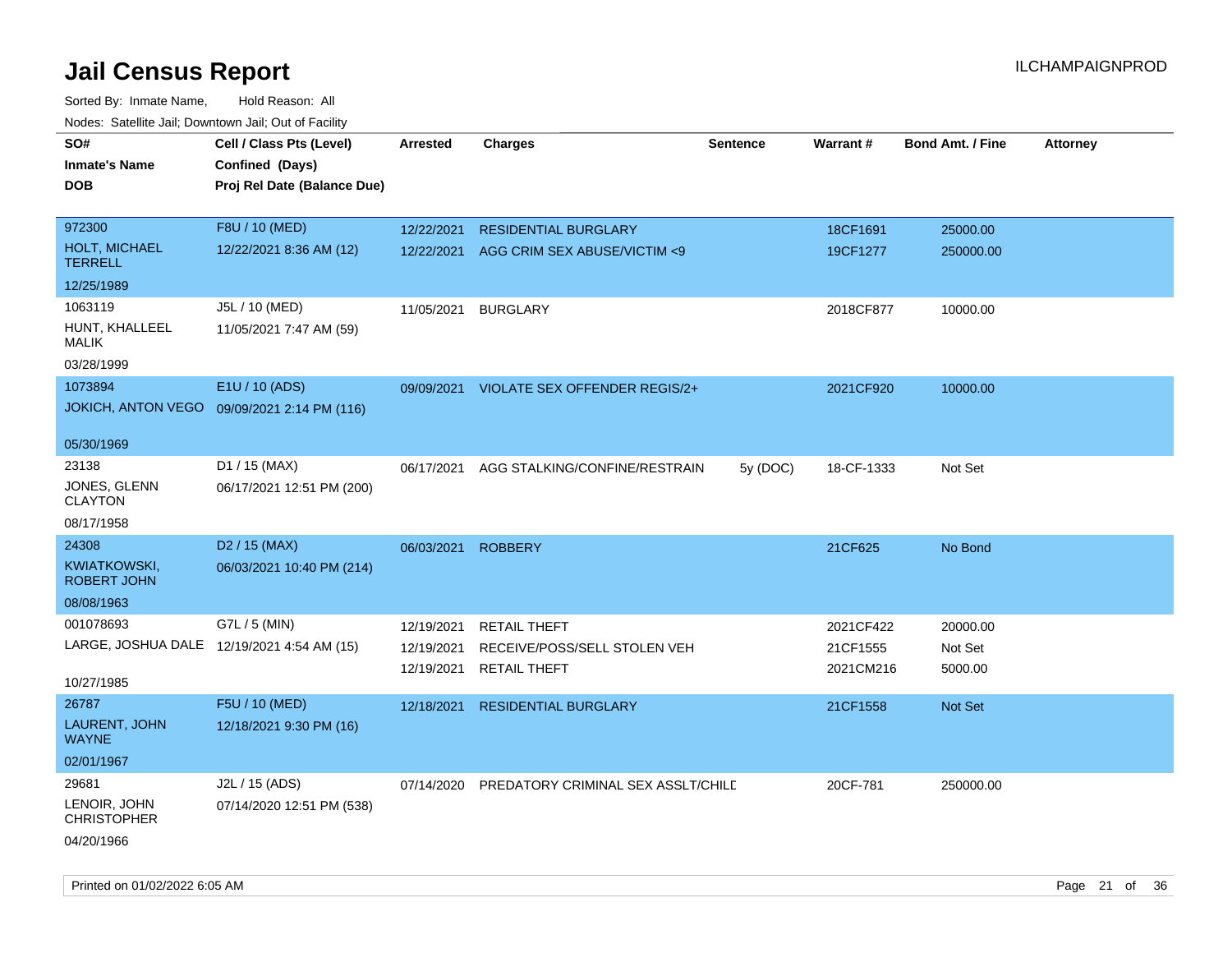| roaco. Catolino dall, Downtown dall, Out of Fability |                                              |                 |                                    |                 |                 |                         |                 |
|------------------------------------------------------|----------------------------------------------|-----------------|------------------------------------|-----------------|-----------------|-------------------------|-----------------|
| SO#                                                  | Cell / Class Pts (Level)                     | <b>Arrested</b> | <b>Charges</b>                     | <b>Sentence</b> | <b>Warrant#</b> | <b>Bond Amt. / Fine</b> | <b>Attorney</b> |
| <b>Inmate's Name</b>                                 | Confined (Days)                              |                 |                                    |                 |                 |                         |                 |
| <b>DOB</b>                                           | Proj Rel Date (Balance Due)                  |                 |                                    |                 |                 |                         |                 |
|                                                      |                                              |                 |                                    |                 |                 |                         |                 |
| 972300                                               | F8U / 10 (MED)                               | 12/22/2021      | <b>RESIDENTIAL BURGLARY</b>        |                 | 18CF1691        | 25000.00                |                 |
| <b>HOLT, MICHAEL</b><br><b>TERRELL</b>               | 12/22/2021 8:36 AM (12)                      | 12/22/2021      | AGG CRIM SEX ABUSE/VICTIM <9       |                 | 19CF1277        | 250000.00               |                 |
| 12/25/1989                                           |                                              |                 |                                    |                 |                 |                         |                 |
| 1063119                                              | J5L / 10 (MED)                               | 11/05/2021      | <b>BURGLARY</b>                    |                 | 2018CF877       | 10000.00                |                 |
| HUNT, KHALLEEL<br><b>MALIK</b>                       | 11/05/2021 7:47 AM (59)                      |                 |                                    |                 |                 |                         |                 |
| 03/28/1999                                           |                                              |                 |                                    |                 |                 |                         |                 |
| 1073894                                              | E1U / 10 (ADS)                               | 09/09/2021      | VIOLATE SEX OFFENDER REGIS/2+      |                 | 2021CF920       | 10000.00                |                 |
|                                                      | JOKICH, ANTON VEGO  09/09/2021 2:14 PM (116) |                 |                                    |                 |                 |                         |                 |
| 05/30/1969                                           |                                              |                 |                                    |                 |                 |                         |                 |
| 23138                                                | D1 / 15 (MAX)                                | 06/17/2021      | AGG STALKING/CONFINE/RESTRAIN      | 5y (DOC)        | 18-CF-1333      | Not Set                 |                 |
| JONES, GLENN<br><b>CLAYTON</b>                       | 06/17/2021 12:51 PM (200)                    |                 |                                    |                 |                 |                         |                 |
| 08/17/1958                                           |                                              |                 |                                    |                 |                 |                         |                 |
| 24308                                                | D <sub>2</sub> / 15 (MAX)                    | 06/03/2021      | <b>ROBBERY</b>                     |                 | 21CF625         | No Bond                 |                 |
| <b>KWIATKOWSKI,</b><br><b>ROBERT JOHN</b>            | 06/03/2021 10:40 PM (214)                    |                 |                                    |                 |                 |                         |                 |
| 08/08/1963                                           |                                              |                 |                                    |                 |                 |                         |                 |
| 001078693                                            | G7L / 5 (MIN)                                | 12/19/2021      | <b>RETAIL THEFT</b>                |                 | 2021CF422       | 20000.00                |                 |
|                                                      | LARGE, JOSHUA DALE 12/19/2021 4:54 AM (15)   | 12/19/2021      | RECEIVE/POSS/SELL STOLEN VEH       |                 | 21CF1555        | Not Set                 |                 |
|                                                      |                                              | 12/19/2021      | <b>RETAIL THEFT</b>                |                 | 2021CM216       | 5000.00                 |                 |
| 10/27/1985                                           |                                              |                 |                                    |                 |                 |                         |                 |
| 26787                                                | F5U / 10 (MED)                               | 12/18/2021      | <b>RESIDENTIAL BURGLARY</b>        |                 | 21CF1558        | <b>Not Set</b>          |                 |
| <b>LAURENT, JOHN</b><br><b>WAYNE</b>                 | 12/18/2021 9:30 PM (16)                      |                 |                                    |                 |                 |                         |                 |
| 02/01/1967                                           |                                              |                 |                                    |                 |                 |                         |                 |
| 29681                                                | J2L / 15 (ADS)                               | 07/14/2020      | PREDATORY CRIMINAL SEX ASSLT/CHILE |                 | 20CF-781        | 250000.00               |                 |
| LENOIR, JOHN<br><b>CHRISTOPHER</b>                   | 07/14/2020 12:51 PM (538)                    |                 |                                    |                 |                 |                         |                 |
| 04/20/1966                                           |                                              |                 |                                    |                 |                 |                         |                 |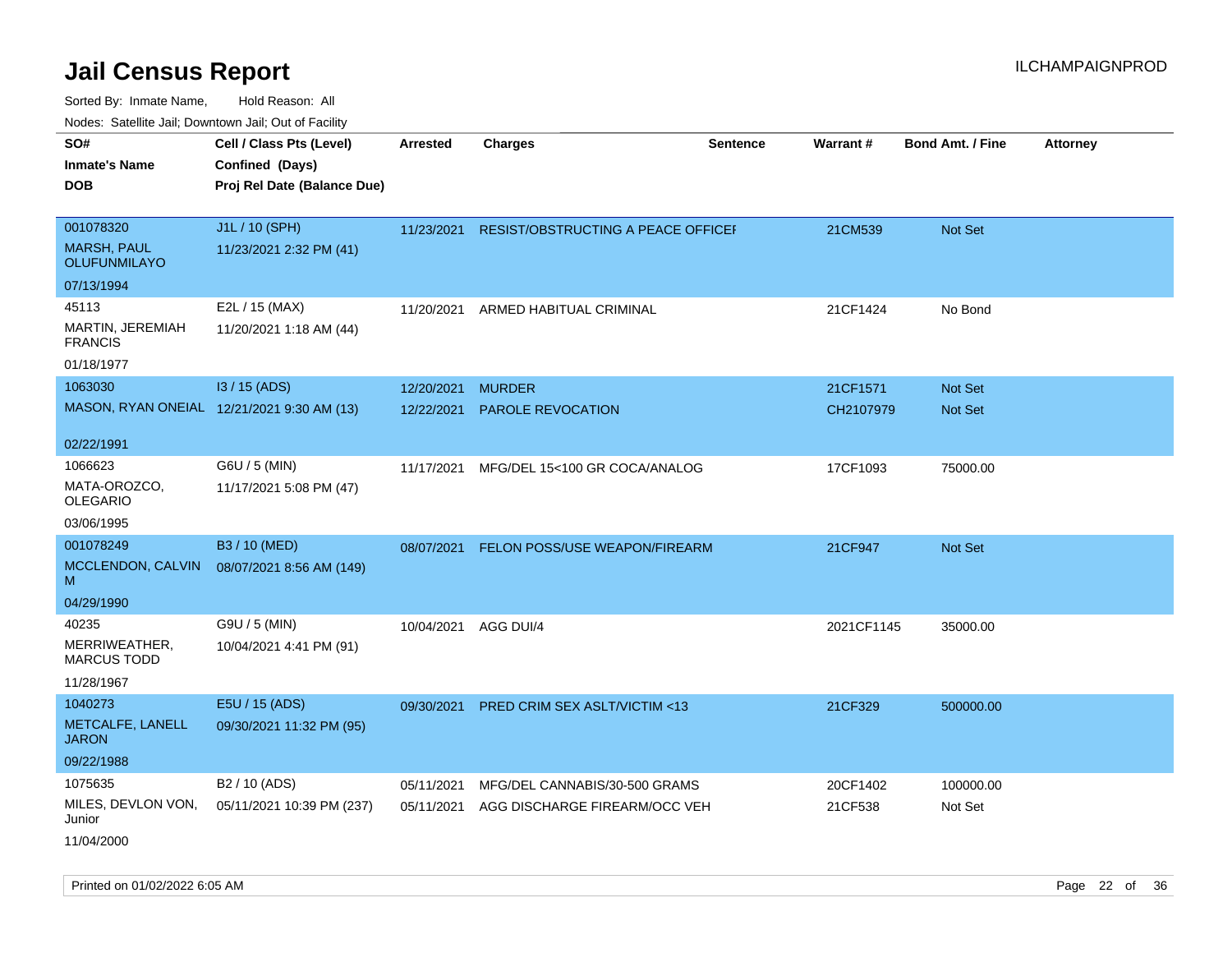| Todoo. Catolino can, Bowritown can, Oat or I domt         |                                                                            |                 |                                      |                 |            |                         |                 |
|-----------------------------------------------------------|----------------------------------------------------------------------------|-----------------|--------------------------------------|-----------------|------------|-------------------------|-----------------|
| SO#<br><b>Inmate's Name</b><br><b>DOB</b>                 | Cell / Class Pts (Level)<br>Confined (Days)<br>Proj Rel Date (Balance Due) | <b>Arrested</b> | <b>Charges</b>                       | <b>Sentence</b> | Warrant#   | <b>Bond Amt. / Fine</b> | <b>Attorney</b> |
| 001078320<br><b>MARSH, PAUL</b><br><b>OLUFUNMILAYO</b>    | J1L / 10 (SPH)<br>11/23/2021 2:32 PM (41)                                  | 11/23/2021      | RESIST/OBSTRUCTING A PEACE OFFICEF   |                 | 21CM539    | Not Set                 |                 |
| 07/13/1994                                                |                                                                            |                 |                                      |                 |            |                         |                 |
| 45113<br>MARTIN, JEREMIAH<br><b>FRANCIS</b><br>01/18/1977 | E2L / 15 (MAX)<br>11/20/2021 1:18 AM (44)                                  | 11/20/2021      | ARMED HABITUAL CRIMINAL              |                 | 21CF1424   | No Bond                 |                 |
| 1063030                                                   | $13/15$ (ADS)                                                              | 12/20/2021      | <b>MURDER</b>                        |                 | 21CF1571   | <b>Not Set</b>          |                 |
|                                                           | MASON, RYAN ONEIAL 12/21/2021 9:30 AM (13)                                 | 12/22/2021      | PAROLE REVOCATION                    |                 | CH2107979  | Not Set                 |                 |
| 02/22/1991                                                |                                                                            |                 |                                      |                 |            |                         |                 |
| 1066623<br>MATA-OROZCO,<br><b>OLEGARIO</b>                | G6U / 5 (MIN)<br>11/17/2021 5:08 PM (47)                                   | 11/17/2021      | MFG/DEL 15<100 GR COCA/ANALOG        |                 | 17CF1093   | 75000.00                |                 |
| 03/06/1995                                                |                                                                            |                 |                                      |                 |            |                         |                 |
| 001078249<br>MCCLENDON, CALVIN<br>M<br>04/29/1990         | B3 / 10 (MED)<br>08/07/2021 8:56 AM (149)                                  | 08/07/2021      | <b>FELON POSS/USE WEAPON/FIREARM</b> |                 | 21CF947    | <b>Not Set</b>          |                 |
|                                                           |                                                                            |                 |                                      |                 |            |                         |                 |
| 40235<br>MERRIWEATHER,<br><b>MARCUS TODD</b>              | G9U / 5 (MIN)<br>10/04/2021 4:41 PM (91)                                   | 10/04/2021      | AGG DUI/4                            |                 | 2021CF1145 | 35000.00                |                 |
| 11/28/1967                                                |                                                                            |                 |                                      |                 |            |                         |                 |
| 1040273<br>METCALFE, LANELL<br><b>JARON</b>               | E5U / 15 (ADS)<br>09/30/2021 11:32 PM (95)                                 | 09/30/2021      | PRED CRIM SEX ASLT/VICTIM <13        |                 | 21CF329    | 500000.00               |                 |
| 09/22/1988                                                |                                                                            |                 |                                      |                 |            |                         |                 |
| 1075635                                                   | B <sub>2</sub> / 10 (ADS)                                                  | 05/11/2021      | MFG/DEL CANNABIS/30-500 GRAMS        |                 | 20CF1402   | 100000.00               |                 |
| MILES, DEVLON VON,<br>Junior<br>11/04/2000                | 05/11/2021 10:39 PM (237)                                                  | 05/11/2021      | AGG DISCHARGE FIREARM/OCC VEH        |                 | 21CF538    | Not Set                 |                 |
|                                                           |                                                                            |                 |                                      |                 |            |                         |                 |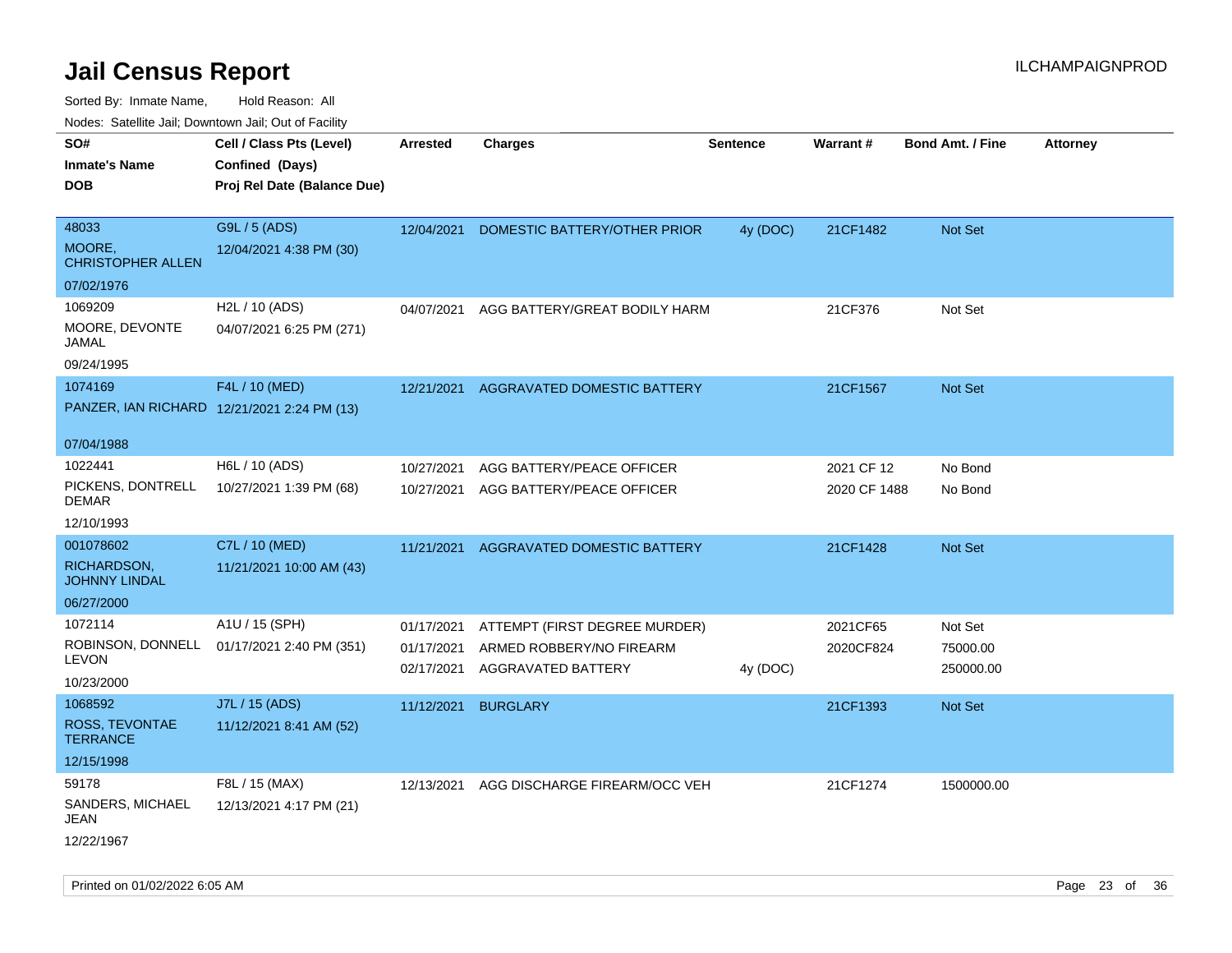| ivuutos. Saltiilit Jali, Duwilluwii Jali, Oul of Facility |                                            |            |                               |                 |                 |                         |                 |
|-----------------------------------------------------------|--------------------------------------------|------------|-------------------------------|-----------------|-----------------|-------------------------|-----------------|
| SO#                                                       | Cell / Class Pts (Level)                   | Arrested   | <b>Charges</b>                | <b>Sentence</b> | <b>Warrant#</b> | <b>Bond Amt. / Fine</b> | <b>Attorney</b> |
| <b>Inmate's Name</b>                                      | Confined (Days)                            |            |                               |                 |                 |                         |                 |
| <b>DOB</b>                                                | Proj Rel Date (Balance Due)                |            |                               |                 |                 |                         |                 |
|                                                           |                                            |            |                               |                 |                 |                         |                 |
| 48033                                                     | G9L / 5 (ADS)                              | 12/04/2021 | DOMESTIC BATTERY/OTHER PRIOR  | 4y (DOC)        | 21CF1482        | Not Set                 |                 |
| MOORE.<br><b>CHRISTOPHER ALLEN</b>                        | 12/04/2021 4:38 PM (30)                    |            |                               |                 |                 |                         |                 |
| 07/02/1976                                                |                                            |            |                               |                 |                 |                         |                 |
| 1069209                                                   | H2L / 10 (ADS)                             | 04/07/2021 | AGG BATTERY/GREAT BODILY HARM |                 | 21CF376         | Not Set                 |                 |
| MOORE, DEVONTE<br>JAMAL                                   | 04/07/2021 6:25 PM (271)                   |            |                               |                 |                 |                         |                 |
| 09/24/1995                                                |                                            |            |                               |                 |                 |                         |                 |
| 1074169                                                   | F4L / 10 (MED)                             | 12/21/2021 | AGGRAVATED DOMESTIC BATTERY   |                 | 21CF1567        | <b>Not Set</b>          |                 |
| PANZER, IAN RICHARD 12/21/2021 2:24 PM (13)               |                                            |            |                               |                 |                 |                         |                 |
|                                                           |                                            |            |                               |                 |                 |                         |                 |
| 07/04/1988                                                |                                            |            |                               |                 |                 |                         |                 |
| 1022441                                                   | H6L / 10 (ADS)                             | 10/27/2021 | AGG BATTERY/PEACE OFFICER     |                 | 2021 CF 12      | No Bond                 |                 |
| PICKENS, DONTRELL<br><b>DEMAR</b>                         | 10/27/2021 1:39 PM (68)                    | 10/27/2021 | AGG BATTERY/PEACE OFFICER     |                 | 2020 CF 1488    | No Bond                 |                 |
| 12/10/1993                                                |                                            |            |                               |                 |                 |                         |                 |
| 001078602                                                 | C7L / 10 (MED)                             | 11/21/2021 | AGGRAVATED DOMESTIC BATTERY   |                 | 21CF1428        | <b>Not Set</b>          |                 |
| RICHARDSON,<br><b>JOHNNY LINDAL</b>                       | 11/21/2021 10:00 AM (43)                   |            |                               |                 |                 |                         |                 |
| 06/27/2000                                                |                                            |            |                               |                 |                 |                         |                 |
| 1072114                                                   | A1U / 15 (SPH)                             | 01/17/2021 | ATTEMPT (FIRST DEGREE MURDER) |                 | 2021CF65        | Not Set                 |                 |
|                                                           | ROBINSON, DONNELL 01/17/2021 2:40 PM (351) | 01/17/2021 | ARMED ROBBERY/NO FIREARM      |                 | 2020CF824       | 75000.00                |                 |
| LEVON                                                     |                                            | 02/17/2021 | <b>AGGRAVATED BATTERY</b>     | 4y (DOC)        |                 | 250000.00               |                 |
| 10/23/2000                                                |                                            |            |                               |                 |                 |                         |                 |
| 1068592                                                   | J7L / 15 (ADS)                             | 11/12/2021 | <b>BURGLARY</b>               |                 | 21CF1393        | <b>Not Set</b>          |                 |
| ROSS, TEVONTAE<br><b>TERRANCE</b>                         | 11/12/2021 8:41 AM (52)                    |            |                               |                 |                 |                         |                 |
| 12/15/1998                                                |                                            |            |                               |                 |                 |                         |                 |
| 59178                                                     | F8L / 15 (MAX)                             | 12/13/2021 | AGG DISCHARGE FIREARM/OCC VEH |                 | 21CF1274        | 1500000.00              |                 |
| SANDERS, MICHAEL<br>JEAN                                  | 12/13/2021 4:17 PM (21)                    |            |                               |                 |                 |                         |                 |
| 12/22/1967                                                |                                            |            |                               |                 |                 |                         |                 |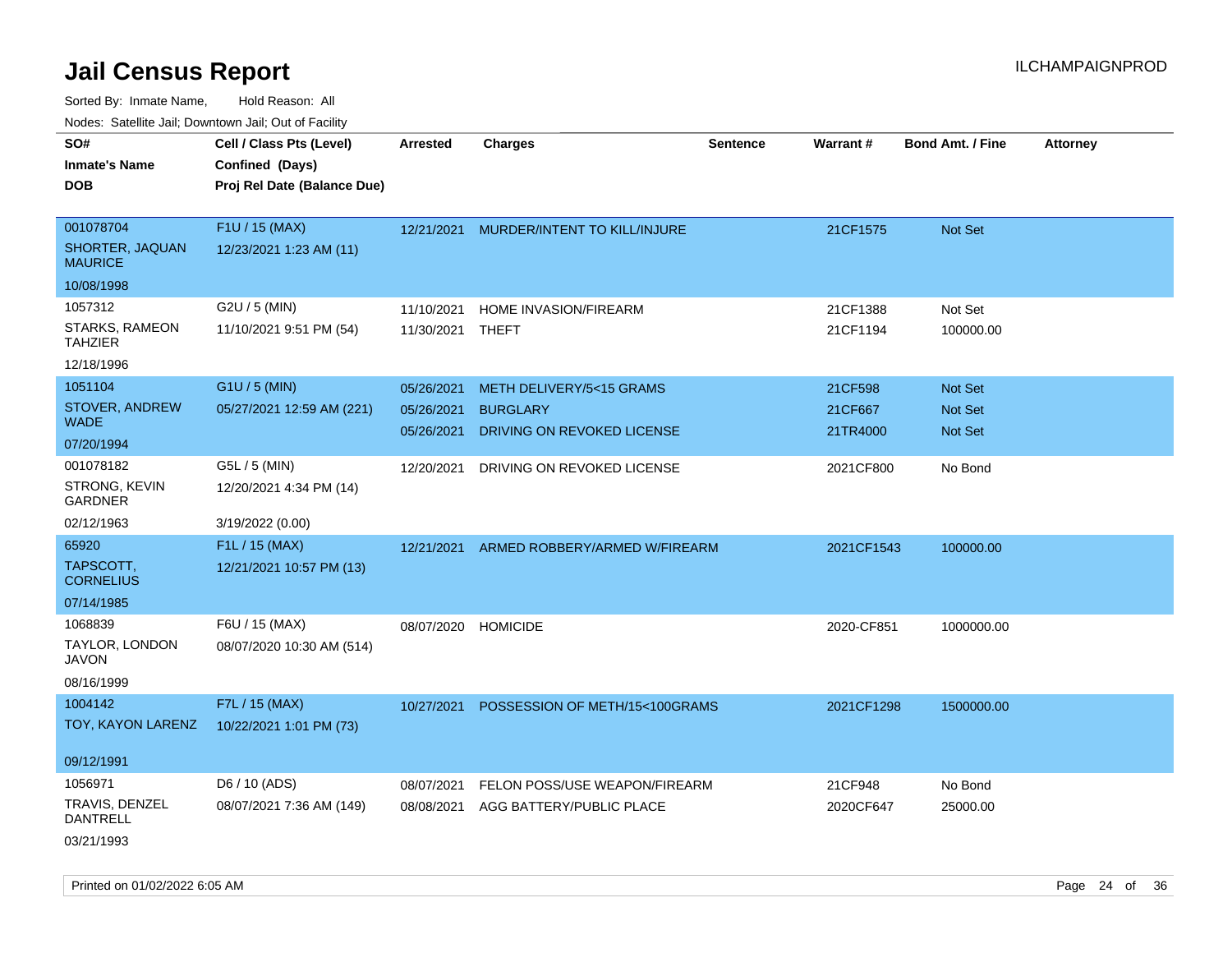| ivouss. Satellite Jali, Downtown Jali, Out of Facility |                                                                            |                  |                                    |                 |            |                         |                 |
|--------------------------------------------------------|----------------------------------------------------------------------------|------------------|------------------------------------|-----------------|------------|-------------------------|-----------------|
| SO#<br>Inmate's Name<br><b>DOB</b>                     | Cell / Class Pts (Level)<br>Confined (Days)<br>Proj Rel Date (Balance Due) | <b>Arrested</b>  | <b>Charges</b>                     | <b>Sentence</b> | Warrant#   | <b>Bond Amt. / Fine</b> | <b>Attorney</b> |
| 001078704<br>SHORTER, JAQUAN<br><b>MAURICE</b>         | F1U / 15 (MAX)<br>12/23/2021 1:23 AM (11)                                  | 12/21/2021       | MURDER/INTENT TO KILL/INJURE       |                 | 21CF1575   | Not Set                 |                 |
| 10/08/1998                                             |                                                                            |                  |                                    |                 |            |                         |                 |
| 1057312                                                | G2U / 5 (MIN)                                                              | 11/10/2021       |                                    |                 | 21CF1388   | Not Set                 |                 |
| STARKS, RAMEON<br>TAHZIER                              | 11/10/2021 9:51 PM (54)                                                    | 11/30/2021 THEFT | HOME INVASION/FIREARM              |                 | 21CF1194   | 100000.00               |                 |
| 12/18/1996                                             |                                                                            |                  |                                    |                 |            |                         |                 |
| 1051104                                                | G1U / 5 (MIN)                                                              | 05/26/2021       | <b>METH DELIVERY/5&lt;15 GRAMS</b> |                 | 21CF598    | <b>Not Set</b>          |                 |
| STOVER, ANDREW<br>WADE.                                | 05/27/2021 12:59 AM (221)                                                  | 05/26/2021       | <b>BURGLARY</b>                    |                 | 21CF667    | <b>Not Set</b>          |                 |
| 07/20/1994                                             |                                                                            | 05/26/2021       | DRIVING ON REVOKED LICENSE         |                 | 21TR4000   | <b>Not Set</b>          |                 |
| 001078182                                              | G5L / 5 (MIN)                                                              | 12/20/2021       | DRIVING ON REVOKED LICENSE         |                 | 2021CF800  | No Bond                 |                 |
| STRONG, KEVIN<br>GARDNER                               | 12/20/2021 4:34 PM (14)                                                    |                  |                                    |                 |            |                         |                 |
| 02/12/1963                                             | 3/19/2022 (0.00)                                                           |                  |                                    |                 |            |                         |                 |
| 65920                                                  | F1L / 15 (MAX)                                                             | 12/21/2021       | ARMED ROBBERY/ARMED W/FIREARM      |                 | 2021CF1543 | 100000.00               |                 |
| TAPSCOTT.<br><b>CORNELIUS</b>                          | 12/21/2021 10:57 PM (13)                                                   |                  |                                    |                 |            |                         |                 |
| 07/14/1985                                             |                                                                            |                  |                                    |                 |            |                         |                 |
| 1068839                                                | F6U / 15 (MAX)                                                             | 08/07/2020       | <b>HOMICIDE</b>                    |                 | 2020-CF851 | 1000000.00              |                 |
| TAYLOR, LONDON<br>JAVON                                | 08/07/2020 10:30 AM (514)                                                  |                  |                                    |                 |            |                         |                 |
| 08/16/1999                                             |                                                                            |                  |                                    |                 |            |                         |                 |
| 1004142                                                | F7L / 15 (MAX)                                                             | 10/27/2021       | POSSESSION OF METH/15<100GRAMS     |                 | 2021CF1298 | 1500000.00              |                 |
| TOY, KAYON LARENZ                                      | 10/22/2021 1:01 PM (73)                                                    |                  |                                    |                 |            |                         |                 |
| 09/12/1991                                             |                                                                            |                  |                                    |                 |            |                         |                 |
| 1056971                                                | D6 / 10 (ADS)                                                              | 08/07/2021       | FELON POSS/USE WEAPON/FIREARM      |                 | 21CF948    | No Bond                 |                 |
| TRAVIS, DENZEL<br>DANTRELL                             | 08/07/2021 7:36 AM (149)                                                   | 08/08/2021       | AGG BATTERY/PUBLIC PLACE           |                 | 2020CF647  | 25000.00                |                 |
| 03/21/1993                                             |                                                                            |                  |                                    |                 |            |                         |                 |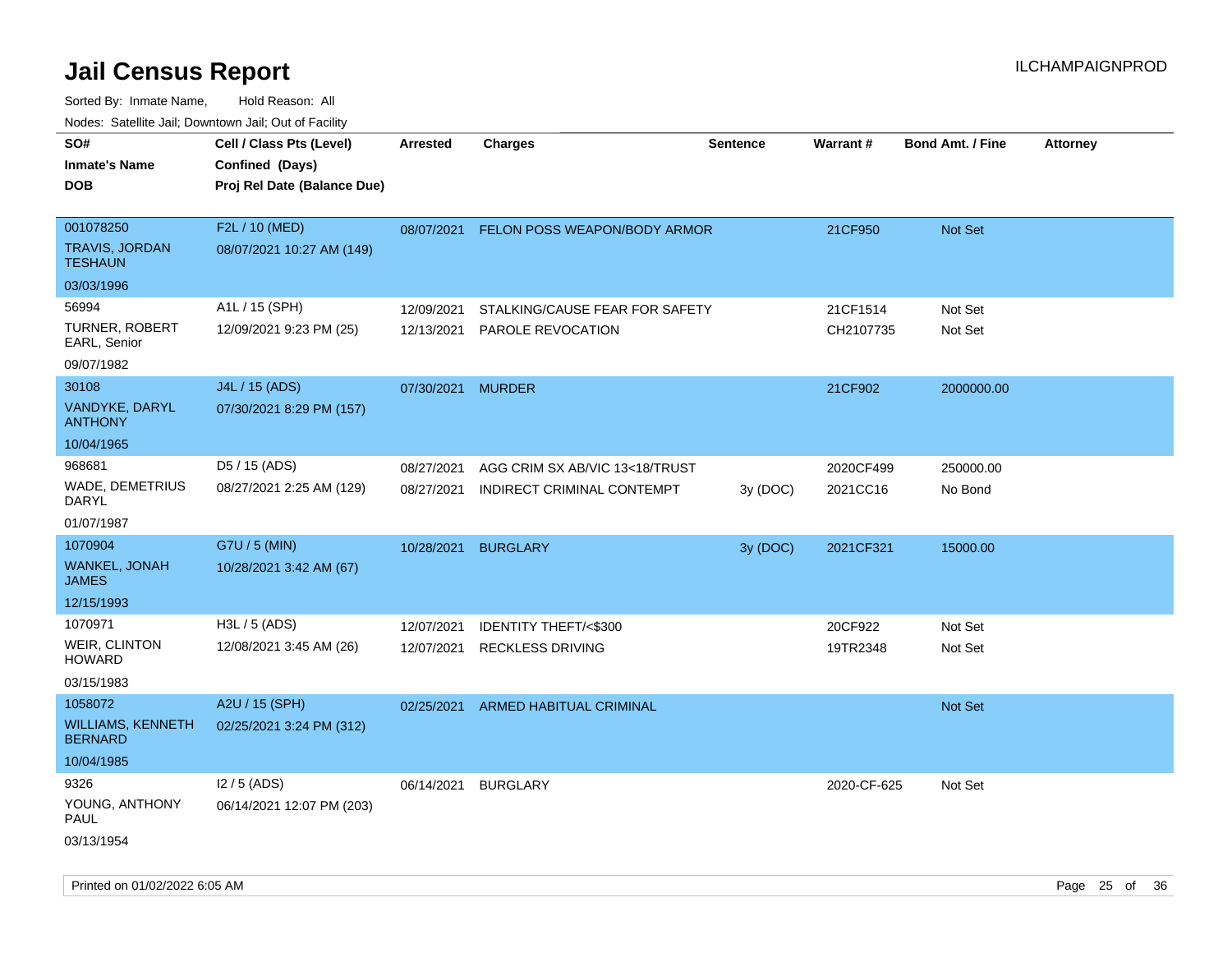Sorted By: Inmate Name, Hold Reason: All Nodes: Satellite Jail; Downtown Jail; Out of Facility

| roaco. Catolino dall, Downtown dall, Out of Fability |                             |                   |                                |                 |                 |                         |                 |
|------------------------------------------------------|-----------------------------|-------------------|--------------------------------|-----------------|-----------------|-------------------------|-----------------|
| SO#                                                  | Cell / Class Pts (Level)    | <b>Arrested</b>   | Charges                        | <b>Sentence</b> | <b>Warrant#</b> | <b>Bond Amt. / Fine</b> | <b>Attorney</b> |
| <b>Inmate's Name</b>                                 | Confined (Days)             |                   |                                |                 |                 |                         |                 |
| <b>DOB</b>                                           | Proj Rel Date (Balance Due) |                   |                                |                 |                 |                         |                 |
|                                                      |                             |                   |                                |                 |                 |                         |                 |
| 001078250                                            | F2L / 10 (MED)              | 08/07/2021        | FELON POSS WEAPON/BODY ARMOR   |                 | 21CF950         | Not Set                 |                 |
| <b>TRAVIS, JORDAN</b><br><b>TESHAUN</b>              | 08/07/2021 10:27 AM (149)   |                   |                                |                 |                 |                         |                 |
| 03/03/1996                                           |                             |                   |                                |                 |                 |                         |                 |
| 56994                                                | A1L / 15 (SPH)              | 12/09/2021        | STALKING/CAUSE FEAR FOR SAFETY |                 | 21CF1514        | Not Set                 |                 |
| <b>TURNER, ROBERT</b><br>EARL, Senior                | 12/09/2021 9:23 PM (25)     | 12/13/2021        | PAROLE REVOCATION              |                 | CH2107735       | Not Set                 |                 |
| 09/07/1982                                           |                             |                   |                                |                 |                 |                         |                 |
| 30108                                                | J4L / 15 (ADS)              | 07/30/2021 MURDER |                                |                 | 21CF902         | 2000000.00              |                 |
| VANDYKE, DARYL<br><b>ANTHONY</b>                     | 07/30/2021 8:29 PM (157)    |                   |                                |                 |                 |                         |                 |
| 10/04/1965                                           |                             |                   |                                |                 |                 |                         |                 |
| 968681                                               | D5 / 15 (ADS)               | 08/27/2021        | AGG CRIM SX AB/VIC 13<18/TRUST |                 | 2020CF499       | 250000.00               |                 |
| <b>WADE, DEMETRIUS</b><br>DARYL                      | 08/27/2021 2:25 AM (129)    | 08/27/2021        | INDIRECT CRIMINAL CONTEMPT     | 3y(DOC)         | 2021CC16        | No Bond                 |                 |
| 01/07/1987                                           |                             |                   |                                |                 |                 |                         |                 |
| 1070904                                              | G7U / 5 (MIN)               | 10/28/2021        | <b>BURGLARY</b>                | 3y (DOC)        | 2021CF321       | 15000.00                |                 |
| <b>WANKEL, JONAH</b><br><b>JAMES</b>                 | 10/28/2021 3:42 AM (67)     |                   |                                |                 |                 |                         |                 |
| 12/15/1993                                           |                             |                   |                                |                 |                 |                         |                 |
| 1070971                                              | H3L / 5 (ADS)               | 12/07/2021        | IDENTITY THEFT/<\$300          |                 | 20CF922         | Not Set                 |                 |
| WEIR, CLINTON<br><b>HOWARD</b>                       | 12/08/2021 3:45 AM (26)     | 12/07/2021        | <b>RECKLESS DRIVING</b>        |                 | 19TR2348        | Not Set                 |                 |
| 03/15/1983                                           |                             |                   |                                |                 |                 |                         |                 |
| 1058072                                              | A2U / 15 (SPH)              | 02/25/2021        | <b>ARMED HABITUAL CRIMINAL</b> |                 |                 | Not Set                 |                 |
| <b>WILLIAMS, KENNETH</b><br><b>BERNARD</b>           | 02/25/2021 3:24 PM (312)    |                   |                                |                 |                 |                         |                 |
| 10/04/1985                                           |                             |                   |                                |                 |                 |                         |                 |
| 9326                                                 | $12/5$ (ADS)                | 06/14/2021        | <b>BURGLARY</b>                |                 | 2020-CF-625     | Not Set                 |                 |
| YOUNG, ANTHONY<br>PAUL                               | 06/14/2021 12:07 PM (203)   |                   |                                |                 |                 |                         |                 |
| 03/13/1954                                           |                             |                   |                                |                 |                 |                         |                 |

Printed on 01/02/2022 6:05 AM Page 25 of 36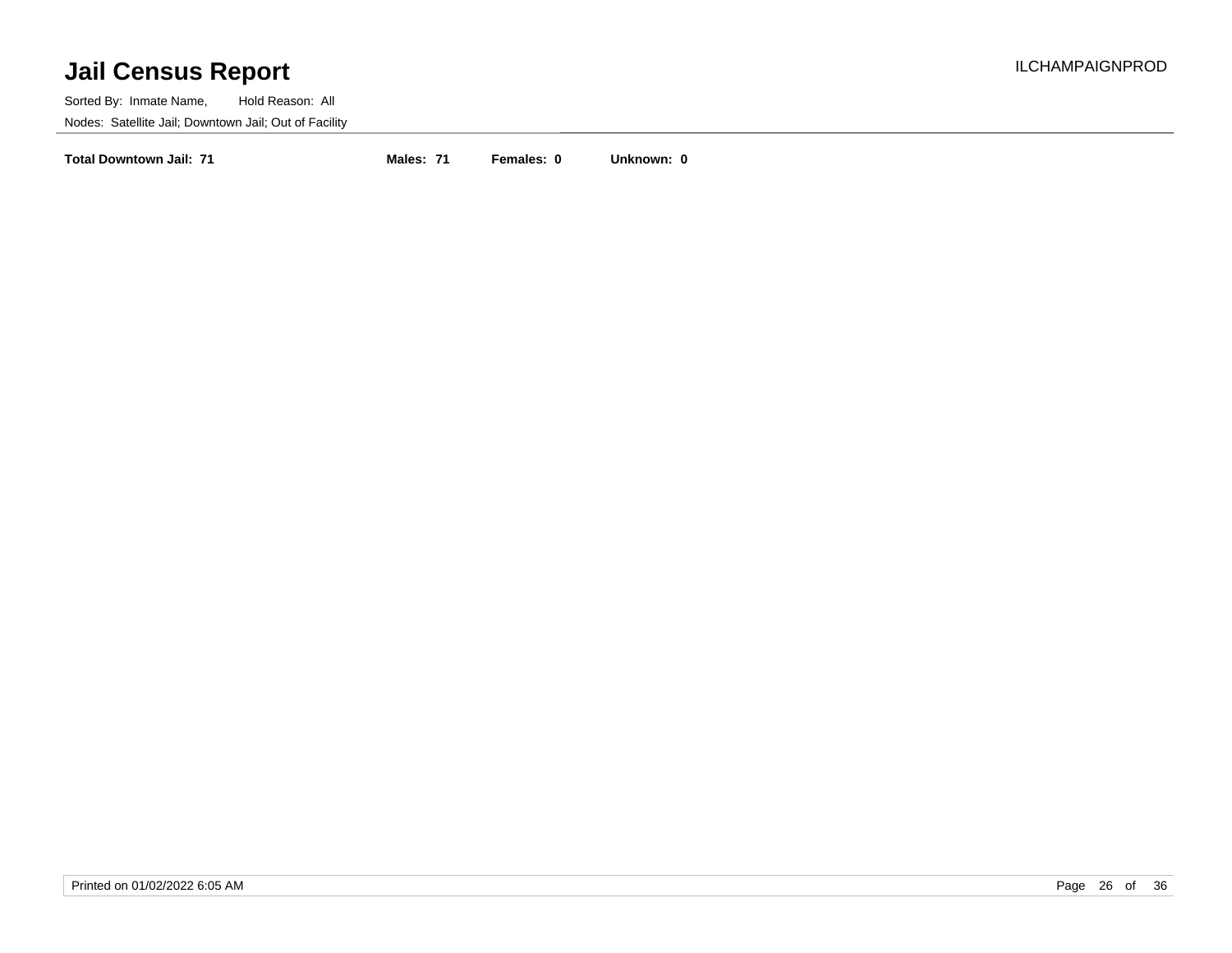Sorted By: Inmate Name, Hold Reason: All Nodes: Satellite Jail; Downtown Jail; Out of Facility

**Total Downtown Jail: 71 Males: 71 Females: 0 Unknown: 0**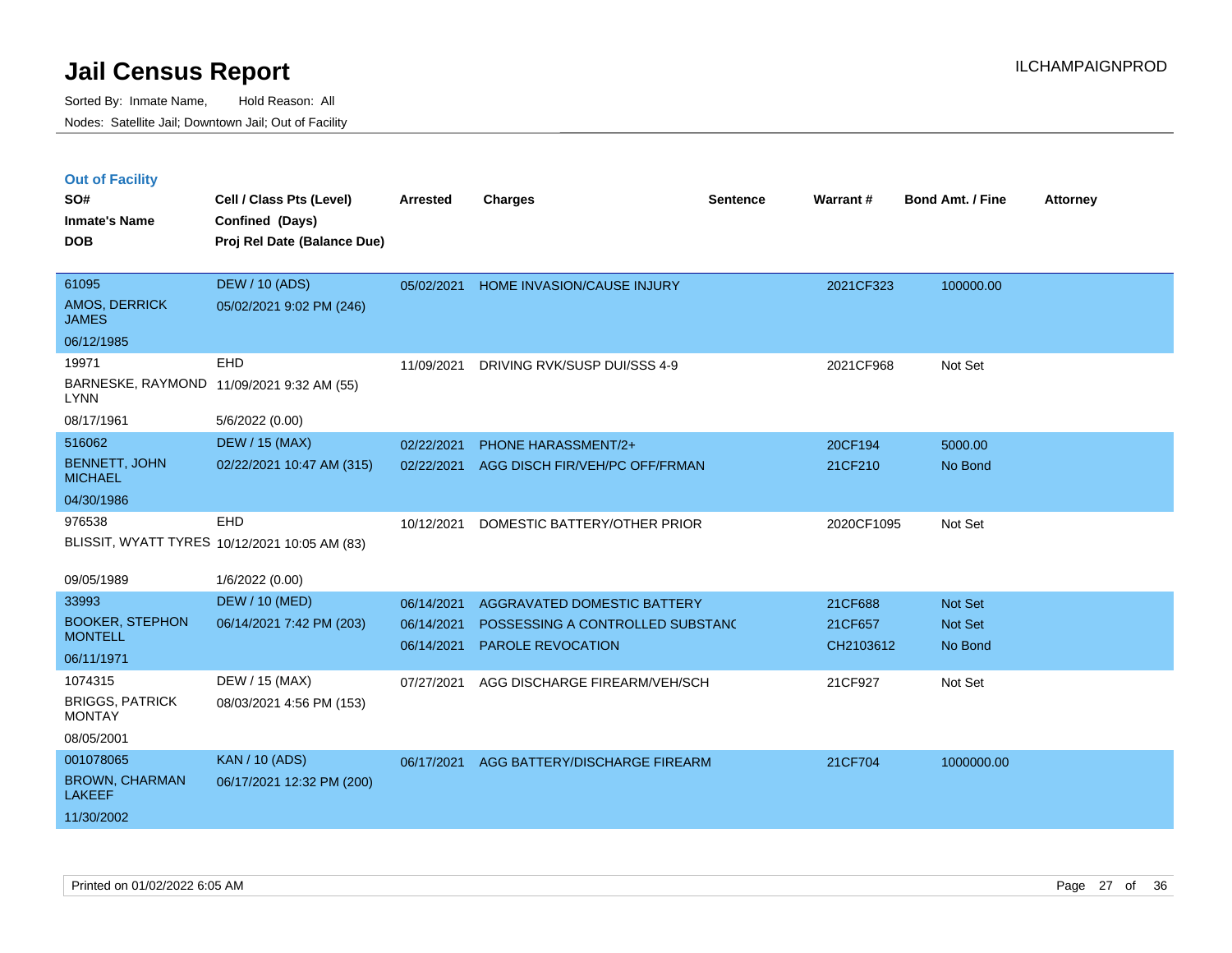|  | <b>Out of Facility</b> |  |
|--|------------------------|--|

| SO#<br><b>Inmate's Name</b>             | Cell / Class Pts (Level)<br>Confined (Days)   | <b>Arrested</b> | <b>Charges</b>                   | <b>Sentence</b> | <b>Warrant#</b> | <b>Bond Amt. / Fine</b> | <b>Attorney</b> |
|-----------------------------------------|-----------------------------------------------|-----------------|----------------------------------|-----------------|-----------------|-------------------------|-----------------|
| <b>DOB</b>                              | Proj Rel Date (Balance Due)                   |                 |                                  |                 |                 |                         |                 |
| 61095                                   | <b>DEW / 10 (ADS)</b>                         | 05/02/2021      | HOME INVASION/CAUSE INJURY       |                 | 2021CF323       | 100000.00               |                 |
| AMOS, DERRICK<br><b>JAMES</b>           | 05/02/2021 9:02 PM (246)                      |                 |                                  |                 |                 |                         |                 |
| 06/12/1985                              |                                               |                 |                                  |                 |                 |                         |                 |
| 19971                                   | EHD                                           | 11/09/2021      | DRIVING RVK/SUSP DUI/SSS 4-9     |                 | 2021CF968       | Not Set                 |                 |
| <b>LYNN</b>                             | BARNESKE, RAYMOND 11/09/2021 9:32 AM (55)     |                 |                                  |                 |                 |                         |                 |
| 08/17/1961                              | 5/6/2022 (0.00)                               |                 |                                  |                 |                 |                         |                 |
| 516062                                  | <b>DEW / 15 (MAX)</b>                         | 02/22/2021      | PHONE HARASSMENT/2+              |                 | 20CF194         | 5000.00                 |                 |
| <b>BENNETT, JOHN</b><br><b>MICHAEL</b>  | 02/22/2021 10:47 AM (315)                     | 02/22/2021      | AGG DISCH FIR/VEH/PC OFF/FRMAN   |                 | 21CF210         | No Bond                 |                 |
| 04/30/1986                              |                                               |                 |                                  |                 |                 |                         |                 |
| 976538                                  | EHD                                           | 10/12/2021      | DOMESTIC BATTERY/OTHER PRIOR     |                 | 2020CF1095      | Not Set                 |                 |
|                                         | BLISSIT, WYATT TYRES 10/12/2021 10:05 AM (83) |                 |                                  |                 |                 |                         |                 |
| 09/05/1989                              | 1/6/2022 (0.00)                               |                 |                                  |                 |                 |                         |                 |
| 33993                                   | <b>DEW / 10 (MED)</b>                         | 06/14/2021      | AGGRAVATED DOMESTIC BATTERY      |                 | 21CF688         | Not Set                 |                 |
| <b>BOOKER, STEPHON</b>                  | 06/14/2021 7:42 PM (203)                      | 06/14/2021      | POSSESSING A CONTROLLED SUBSTANC |                 | 21CF657         | Not Set                 |                 |
| <b>MONTELL</b>                          |                                               | 06/14/2021      | <b>PAROLE REVOCATION</b>         |                 | CH2103612       | No Bond                 |                 |
| 06/11/1971                              |                                               |                 |                                  |                 |                 |                         |                 |
| 1074315                                 | DEW / 15 (MAX)                                | 07/27/2021      | AGG DISCHARGE FIREARM/VEH/SCH    |                 | 21CF927         | Not Set                 |                 |
| <b>BRIGGS, PATRICK</b><br><b>MONTAY</b> | 08/03/2021 4:56 PM (153)                      |                 |                                  |                 |                 |                         |                 |
| 08/05/2001                              |                                               |                 |                                  |                 |                 |                         |                 |
| 001078065                               | <b>KAN / 10 (ADS)</b>                         | 06/17/2021      | AGG BATTERY/DISCHARGE FIREARM    |                 | 21CF704         | 1000000.00              |                 |
| <b>BROWN, CHARMAN</b><br><b>LAKEEF</b>  | 06/17/2021 12:32 PM (200)                     |                 |                                  |                 |                 |                         |                 |
| 11/30/2002                              |                                               |                 |                                  |                 |                 |                         |                 |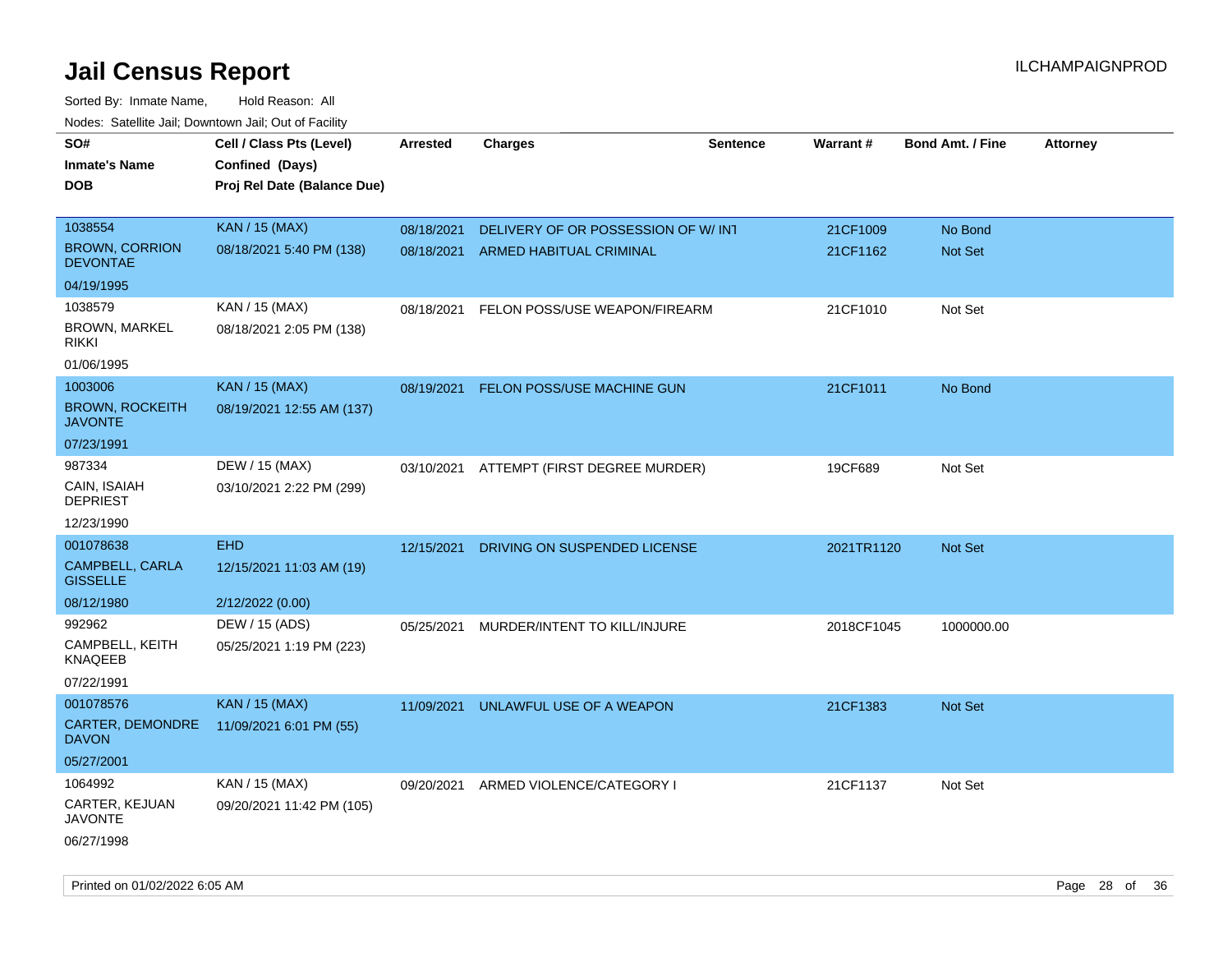| roaco. Catolino dall, Downtown dall, Out of Fability |                             |                 |                                    |                 |                 |                         |                 |
|------------------------------------------------------|-----------------------------|-----------------|------------------------------------|-----------------|-----------------|-------------------------|-----------------|
| SO#                                                  | Cell / Class Pts (Level)    | <b>Arrested</b> | <b>Charges</b>                     | <b>Sentence</b> | <b>Warrant#</b> | <b>Bond Amt. / Fine</b> | <b>Attorney</b> |
| <b>Inmate's Name</b>                                 | Confined (Days)             |                 |                                    |                 |                 |                         |                 |
| <b>DOB</b>                                           | Proj Rel Date (Balance Due) |                 |                                    |                 |                 |                         |                 |
|                                                      |                             |                 |                                    |                 |                 |                         |                 |
| 1038554                                              | <b>KAN / 15 (MAX)</b>       | 08/18/2021      | DELIVERY OF OR POSSESSION OF W/INT |                 | 21CF1009        | No Bond                 |                 |
| <b>BROWN, CORRION</b><br><b>DEVONTAE</b>             | 08/18/2021 5:40 PM (138)    | 08/18/2021      | ARMED HABITUAL CRIMINAL            |                 | 21CF1162        | Not Set                 |                 |
| 04/19/1995                                           |                             |                 |                                    |                 |                 |                         |                 |
| 1038579                                              | KAN / 15 (MAX)              | 08/18/2021      | FELON POSS/USE WEAPON/FIREARM      |                 | 21CF1010        | Not Set                 |                 |
| <b>BROWN, MARKEL</b><br><b>RIKKI</b>                 | 08/18/2021 2:05 PM (138)    |                 |                                    |                 |                 |                         |                 |
| 01/06/1995                                           |                             |                 |                                    |                 |                 |                         |                 |
| 1003006                                              | <b>KAN / 15 (MAX)</b>       | 08/19/2021      | <b>FELON POSS/USE MACHINE GUN</b>  |                 | 21CF1011        | No Bond                 |                 |
| <b>BROWN, ROCKEITH</b><br><b>JAVONTE</b>             | 08/19/2021 12:55 AM (137)   |                 |                                    |                 |                 |                         |                 |
| 07/23/1991                                           |                             |                 |                                    |                 |                 |                         |                 |
| 987334                                               | DEW / 15 (MAX)              | 03/10/2021      | ATTEMPT (FIRST DEGREE MURDER)      |                 | 19CF689         | Not Set                 |                 |
| CAIN, ISAIAH<br><b>DEPRIEST</b>                      | 03/10/2021 2:22 PM (299)    |                 |                                    |                 |                 |                         |                 |
| 12/23/1990                                           |                             |                 |                                    |                 |                 |                         |                 |
| 001078638                                            | <b>EHD</b>                  | 12/15/2021      | DRIVING ON SUSPENDED LICENSE       |                 | 2021TR1120      | Not Set                 |                 |
| CAMPBELL, CARLA<br><b>GISSELLE</b>                   | 12/15/2021 11:03 AM (19)    |                 |                                    |                 |                 |                         |                 |
| 08/12/1980                                           | 2/12/2022 (0.00)            |                 |                                    |                 |                 |                         |                 |
| 992962                                               | DEW / 15 (ADS)              | 05/25/2021      | MURDER/INTENT TO KILL/INJURE       |                 | 2018CF1045      | 1000000.00              |                 |
| CAMPBELL, KEITH<br>KNAQEEB                           | 05/25/2021 1:19 PM (223)    |                 |                                    |                 |                 |                         |                 |
| 07/22/1991                                           |                             |                 |                                    |                 |                 |                         |                 |
| 001078576                                            | <b>KAN / 15 (MAX)</b>       | 11/09/2021      | UNLAWFUL USE OF A WEAPON           |                 | 21CF1383        | <b>Not Set</b>          |                 |
| CARTER, DEMONDRE<br><b>DAVON</b>                     | 11/09/2021 6:01 PM (55)     |                 |                                    |                 |                 |                         |                 |
| 05/27/2001                                           |                             |                 |                                    |                 |                 |                         |                 |
| 1064992                                              | KAN / 15 (MAX)              | 09/20/2021      | ARMED VIOLENCE/CATEGORY I          |                 | 21CF1137        | Not Set                 |                 |
| CARTER, KEJUAN<br>JAVONTE                            | 09/20/2021 11:42 PM (105)   |                 |                                    |                 |                 |                         |                 |
| 06/27/1998                                           |                             |                 |                                    |                 |                 |                         |                 |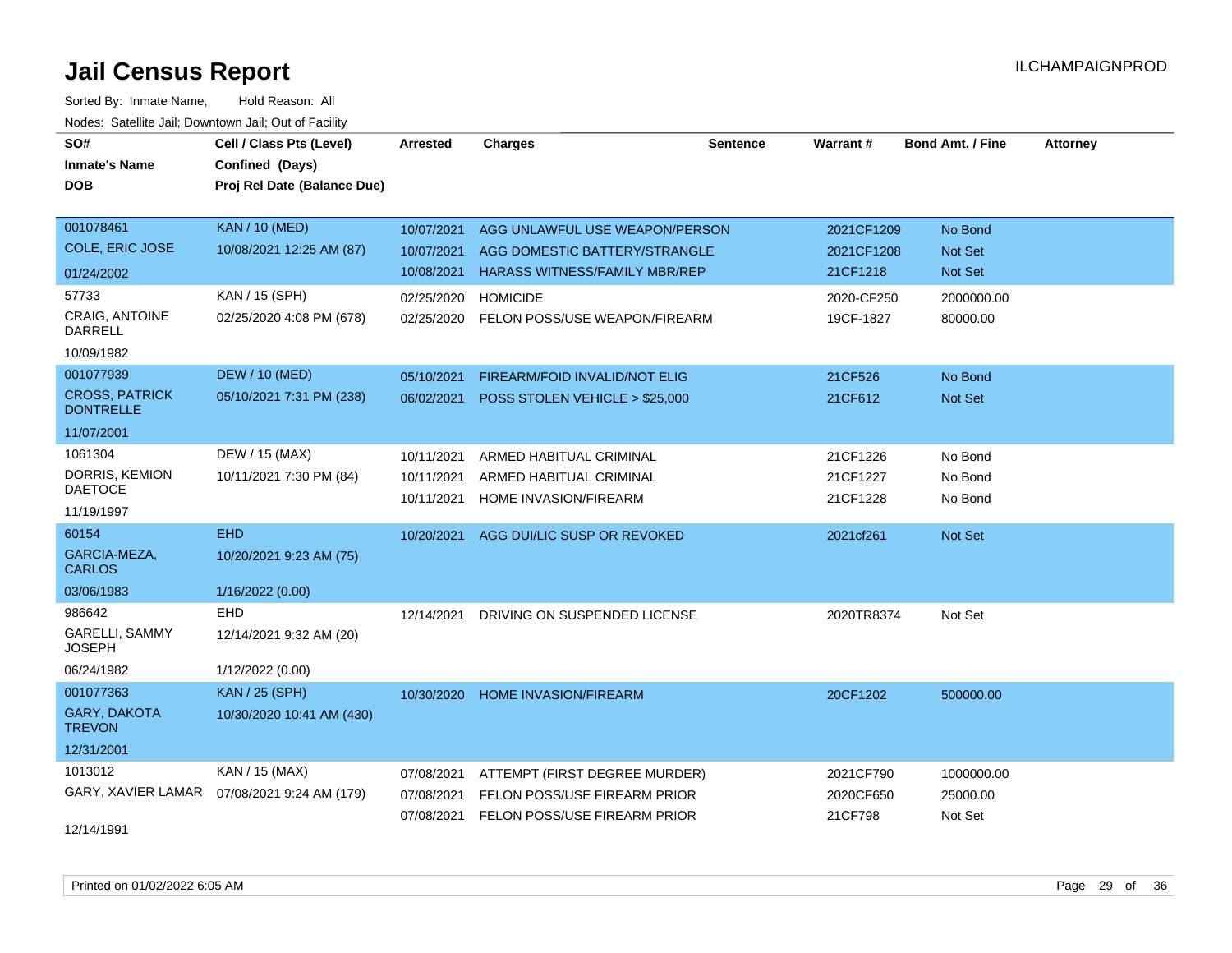| SO#<br><b>Inmate's Name</b><br><b>DOB</b> | Cell / Class Pts (Level)<br>Confined (Days)<br>Proj Rel Date (Balance Due) | <b>Arrested</b> | <b>Charges</b>                       | <b>Sentence</b> | <b>Warrant#</b> | <b>Bond Amt. / Fine</b> | <b>Attorney</b> |
|-------------------------------------------|----------------------------------------------------------------------------|-----------------|--------------------------------------|-----------------|-----------------|-------------------------|-----------------|
| 001078461                                 | <b>KAN / 10 (MED)</b>                                                      | 10/07/2021      | AGG UNLAWFUL USE WEAPON/PERSON       |                 | 2021CF1209      | No Bond                 |                 |
| COLE, ERIC JOSE                           | 10/08/2021 12:25 AM (87)                                                   | 10/07/2021      | AGG DOMESTIC BATTERY/STRANGLE        |                 | 2021CF1208      | <b>Not Set</b>          |                 |
| 01/24/2002                                |                                                                            | 10/08/2021      | <b>HARASS WITNESS/FAMILY MBR/REP</b> |                 | 21CF1218        | Not Set                 |                 |
| 57733                                     | KAN / 15 (SPH)                                                             | 02/25/2020      | <b>HOMICIDE</b>                      |                 | 2020-CF250      | 2000000.00              |                 |
| CRAIG, ANTOINE<br><b>DARRELL</b>          | 02/25/2020 4:08 PM (678)                                                   | 02/25/2020      | FELON POSS/USE WEAPON/FIREARM        |                 | 19CF-1827       | 80000.00                |                 |
| 10/09/1982                                |                                                                            |                 |                                      |                 |                 |                         |                 |
| 001077939                                 | <b>DEW / 10 (MED)</b>                                                      | 05/10/2021      | FIREARM/FOID INVALID/NOT ELIG        |                 | 21CF526         | No Bond                 |                 |
| <b>CROSS, PATRICK</b><br><b>DONTRELLE</b> | 05/10/2021 7:31 PM (238)                                                   | 06/02/2021      | POSS STOLEN VEHICLE > \$25,000       |                 | 21CF612         | <b>Not Set</b>          |                 |
| 11/07/2001                                |                                                                            |                 |                                      |                 |                 |                         |                 |
| 1061304                                   | DEW / 15 (MAX)                                                             | 10/11/2021      | ARMED HABITUAL CRIMINAL              |                 | 21CF1226        | No Bond                 |                 |
| DORRIS, KEMION                            | 10/11/2021 7:30 PM (84)                                                    | 10/11/2021      | ARMED HABITUAL CRIMINAL              |                 | 21CF1227        | No Bond                 |                 |
| <b>DAETOCE</b>                            |                                                                            | 10/11/2021      | HOME INVASION/FIREARM                |                 | 21CF1228        | No Bond                 |                 |
| 11/19/1997                                |                                                                            |                 |                                      |                 |                 |                         |                 |
| 60154                                     | <b>EHD</b>                                                                 | 10/20/2021      | AGG DUI/LIC SUSP OR REVOKED          |                 | 2021cf261       | Not Set                 |                 |
| GARCIA-MEZA,<br><b>CARLOS</b>             | 10/20/2021 9:23 AM (75)                                                    |                 |                                      |                 |                 |                         |                 |
| 03/06/1983                                | 1/16/2022 (0.00)                                                           |                 |                                      |                 |                 |                         |                 |
| 986642                                    | EHD                                                                        | 12/14/2021      | DRIVING ON SUSPENDED LICENSE         |                 | 2020TR8374      | Not Set                 |                 |
| GARELLI, SAMMY<br><b>JOSEPH</b>           | 12/14/2021 9:32 AM (20)                                                    |                 |                                      |                 |                 |                         |                 |
| 06/24/1982                                | 1/12/2022 (0.00)                                                           |                 |                                      |                 |                 |                         |                 |
| 001077363                                 | <b>KAN / 25 (SPH)</b>                                                      | 10/30/2020      | <b>HOME INVASION/FIREARM</b>         |                 | 20CF1202        | 500000.00               |                 |
| <b>GARY, DAKOTA</b><br><b>TREVON</b>      | 10/30/2020 10:41 AM (430)                                                  |                 |                                      |                 |                 |                         |                 |
| 12/31/2001                                |                                                                            |                 |                                      |                 |                 |                         |                 |
| 1013012                                   | KAN / 15 (MAX)                                                             | 07/08/2021      | ATTEMPT (FIRST DEGREE MURDER)        |                 | 2021CF790       | 1000000.00              |                 |
| GARY, XAVIER LAMAR                        | 07/08/2021 9:24 AM (179)                                                   | 07/08/2021      | FELON POSS/USE FIREARM PRIOR         |                 | 2020CF650       | 25000.00                |                 |
| 12/14/1991                                |                                                                            | 07/08/2021      | FELON POSS/USE FIREARM PRIOR         |                 | 21CF798         | Not Set                 |                 |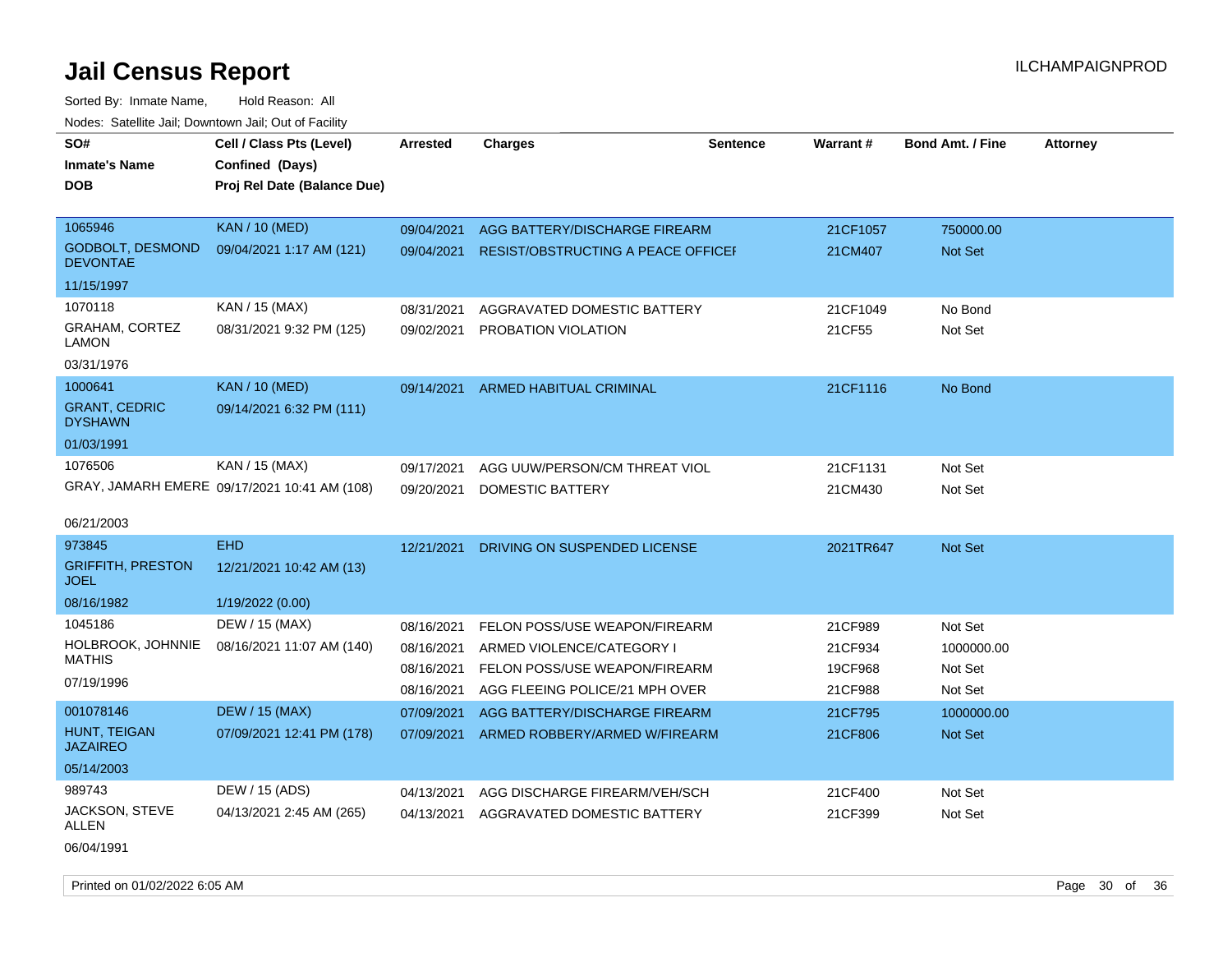| SO#<br><b>Inmate's Name</b>                | Cell / Class Pts (Level)<br>Confined (Days)  | Arrested   | <b>Charges</b>                            | Sentence | Warrant#  | <b>Bond Amt. / Fine</b> | <b>Attorney</b> |
|--------------------------------------------|----------------------------------------------|------------|-------------------------------------------|----------|-----------|-------------------------|-----------------|
| <b>DOB</b>                                 | Proj Rel Date (Balance Due)                  |            |                                           |          |           |                         |                 |
| 1065946                                    | <b>KAN / 10 (MED)</b>                        | 09/04/2021 | AGG BATTERY/DISCHARGE FIREARM             |          | 21CF1057  | 750000.00               |                 |
| <b>GODBOLT, DESMOND</b><br><b>DEVONTAE</b> | 09/04/2021 1:17 AM (121)                     | 09/04/2021 | <b>RESIST/OBSTRUCTING A PEACE OFFICEF</b> |          | 21CM407   | Not Set                 |                 |
| 11/15/1997                                 |                                              |            |                                           |          |           |                         |                 |
| 1070118                                    | KAN / 15 (MAX)                               | 08/31/2021 | AGGRAVATED DOMESTIC BATTERY               |          | 21CF1049  | No Bond                 |                 |
| GRAHAM, CORTEZ<br>LAMON                    | 08/31/2021 9:32 PM (125)                     | 09/02/2021 | PROBATION VIOLATION                       |          | 21CF55    | Not Set                 |                 |
| 03/31/1976                                 |                                              |            |                                           |          |           |                         |                 |
| 1000641                                    | <b>KAN / 10 (MED)</b>                        | 09/14/2021 | ARMED HABITUAL CRIMINAL                   |          | 21CF1116  | No Bond                 |                 |
| <b>GRANT, CEDRIC</b><br><b>DYSHAWN</b>     | 09/14/2021 6:32 PM (111)                     |            |                                           |          |           |                         |                 |
| 01/03/1991                                 |                                              |            |                                           |          |           |                         |                 |
| 1076506                                    | KAN / 15 (MAX)                               | 09/17/2021 | AGG UUW/PERSON/CM THREAT VIOL             |          | 21CF1131  | Not Set                 |                 |
|                                            | GRAY, JAMARH EMERE 09/17/2021 10:41 AM (108) | 09/20/2021 | DOMESTIC BATTERY                          |          | 21CM430   | Not Set                 |                 |
| 06/21/2003                                 |                                              |            |                                           |          |           |                         |                 |
| 973845                                     | <b>EHD</b>                                   | 12/21/2021 | DRIVING ON SUSPENDED LICENSE              |          | 2021TR647 | <b>Not Set</b>          |                 |
| <b>GRIFFITH, PRESTON</b><br><b>JOEL</b>    | 12/21/2021 10:42 AM (13)                     |            |                                           |          |           |                         |                 |
| 08/16/1982                                 | 1/19/2022 (0.00)                             |            |                                           |          |           |                         |                 |
| 1045186                                    | DEW / 15 (MAX)                               | 08/16/2021 | FELON POSS/USE WEAPON/FIREARM             |          | 21CF989   | Not Set                 |                 |
| HOLBROOK, JOHNNIE                          | 08/16/2021 11:07 AM (140)                    | 08/16/2021 | ARMED VIOLENCE/CATEGORY I                 |          | 21CF934   | 1000000.00              |                 |
| <b>MATHIS</b>                              |                                              | 08/16/2021 | FELON POSS/USE WEAPON/FIREARM             |          | 19CF968   | Not Set                 |                 |
| 07/19/1996                                 |                                              | 08/16/2021 | AGG FLEEING POLICE/21 MPH OVER            |          | 21CF988   | Not Set                 |                 |
| 001078146                                  | <b>DEW / 15 (MAX)</b>                        | 07/09/2021 | AGG BATTERY/DISCHARGE FIREARM             |          | 21CF795   | 1000000.00              |                 |
| <b>HUNT, TEIGAN</b><br><b>JAZAIREO</b>     | 07/09/2021 12:41 PM (178)                    | 07/09/2021 | ARMED ROBBERY/ARMED W/FIREARM             |          | 21CF806   | <b>Not Set</b>          |                 |
| 05/14/2003                                 |                                              |            |                                           |          |           |                         |                 |
| 989743                                     | DEW / 15 (ADS)                               | 04/13/2021 | AGG DISCHARGE FIREARM/VEH/SCH             |          | 21CF400   | Not Set                 |                 |
| JACKSON, STEVE<br>ALLEN                    | 04/13/2021 2:45 AM (265)                     | 04/13/2021 | AGGRAVATED DOMESTIC BATTERY               |          | 21CF399   | Not Set                 |                 |
| 06/04/1991                                 |                                              |            |                                           |          |           |                         |                 |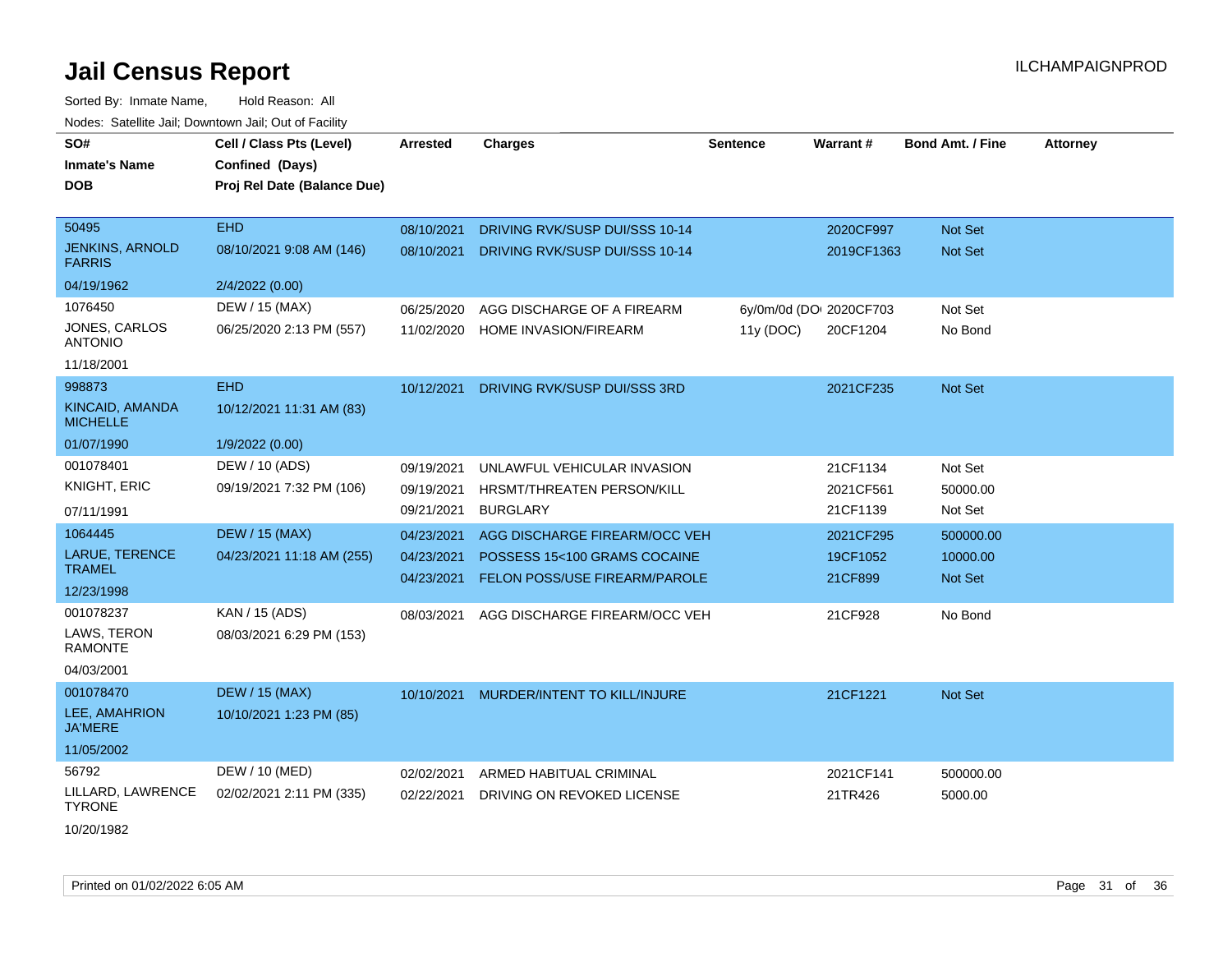| SO#<br><b>Inmate's Name</b><br><b>DOB</b> | Cell / Class Pts (Level)<br>Confined (Days)<br>Proj Rel Date (Balance Due) | <b>Arrested</b> | <b>Charges</b>                       | <b>Sentence</b> | <b>Warrant#</b>         | <b>Bond Amt. / Fine</b> | <b>Attorney</b> |
|-------------------------------------------|----------------------------------------------------------------------------|-----------------|--------------------------------------|-----------------|-------------------------|-------------------------|-----------------|
| 50495                                     | <b>EHD</b>                                                                 | 08/10/2021      | DRIVING RVK/SUSP DUI/SSS 10-14       |                 | 2020CF997               | Not Set                 |                 |
| <b>JENKINS, ARNOLD</b><br><b>FARRIS</b>   | 08/10/2021 9:08 AM (146)                                                   | 08/10/2021      | DRIVING RVK/SUSP DUI/SSS 10-14       |                 | 2019CF1363              | Not Set                 |                 |
| 04/19/1962                                | 2/4/2022 (0.00)                                                            |                 |                                      |                 |                         |                         |                 |
| 1076450                                   | DEW / 15 (MAX)                                                             | 06/25/2020      | AGG DISCHARGE OF A FIREARM           |                 | 6y/0m/0d (DOI 2020CF703 | Not Set                 |                 |
| <b>JONES, CARLOS</b><br><b>ANTONIO</b>    | 06/25/2020 2:13 PM (557)                                                   | 11/02/2020      | HOME INVASION/FIREARM                | 11y (DOC)       | 20CF1204                | No Bond                 |                 |
| 11/18/2001                                |                                                                            |                 |                                      |                 |                         |                         |                 |
| 998873                                    | <b>EHD</b>                                                                 | 10/12/2021      | DRIVING RVK/SUSP DUI/SSS 3RD         |                 | 2021CF235               | Not Set                 |                 |
| KINCAID, AMANDA<br><b>MICHELLE</b>        | 10/12/2021 11:31 AM (83)                                                   |                 |                                      |                 |                         |                         |                 |
| 01/07/1990                                | 1/9/2022 (0.00)                                                            |                 |                                      |                 |                         |                         |                 |
| 001078401                                 | DEW / 10 (ADS)                                                             | 09/19/2021      | UNLAWFUL VEHICULAR INVASION          |                 | 21CF1134                | Not Set                 |                 |
| KNIGHT, ERIC                              | 09/19/2021 7:32 PM (106)                                                   | 09/19/2021      | HRSMT/THREATEN PERSON/KILL           |                 | 2021CF561               | 50000.00                |                 |
| 07/11/1991                                |                                                                            | 09/21/2021      | <b>BURGLARY</b>                      |                 | 21CF1139                | Not Set                 |                 |
| 1064445                                   | <b>DEW / 15 (MAX)</b>                                                      | 04/23/2021      | AGG DISCHARGE FIREARM/OCC VEH        |                 | 2021CF295               | 500000.00               |                 |
| <b>LARUE, TERENCE</b>                     | 04/23/2021 11:18 AM (255)                                                  | 04/23/2021      | POSSESS 15<100 GRAMS COCAINE         |                 | 19CF1052                | 10000.00                |                 |
| <b>TRAMEL</b><br>12/23/1998               |                                                                            | 04/23/2021      | <b>FELON POSS/USE FIREARM/PAROLE</b> |                 | 21CF899                 | Not Set                 |                 |
| 001078237                                 | KAN / 15 (ADS)                                                             | 08/03/2021      | AGG DISCHARGE FIREARM/OCC VEH        |                 | 21CF928                 | No Bond                 |                 |
| LAWS, TERON<br><b>RAMONTE</b>             | 08/03/2021 6:29 PM (153)                                                   |                 |                                      |                 |                         |                         |                 |
| 04/03/2001                                |                                                                            |                 |                                      |                 |                         |                         |                 |
| 001078470                                 | <b>DEW / 15 (MAX)</b>                                                      | 10/10/2021      | MURDER/INTENT TO KILL/INJURE         |                 | 21CF1221                | Not Set                 |                 |
| LEE, AMAHRION<br><b>JA'MERE</b>           | 10/10/2021 1:23 PM (85)                                                    |                 |                                      |                 |                         |                         |                 |
| 11/05/2002                                |                                                                            |                 |                                      |                 |                         |                         |                 |
| 56792                                     | DEW / 10 (MED)                                                             | 02/02/2021      | ARMED HABITUAL CRIMINAL              |                 | 2021CF141               | 500000.00               |                 |
| LILLARD, LAWRENCE<br><b>TYRONE</b>        | 02/02/2021 2:11 PM (335)                                                   | 02/22/2021      | DRIVING ON REVOKED LICENSE           |                 | 21TR426                 | 5000.00                 |                 |
| 10/20/1982                                |                                                                            |                 |                                      |                 |                         |                         |                 |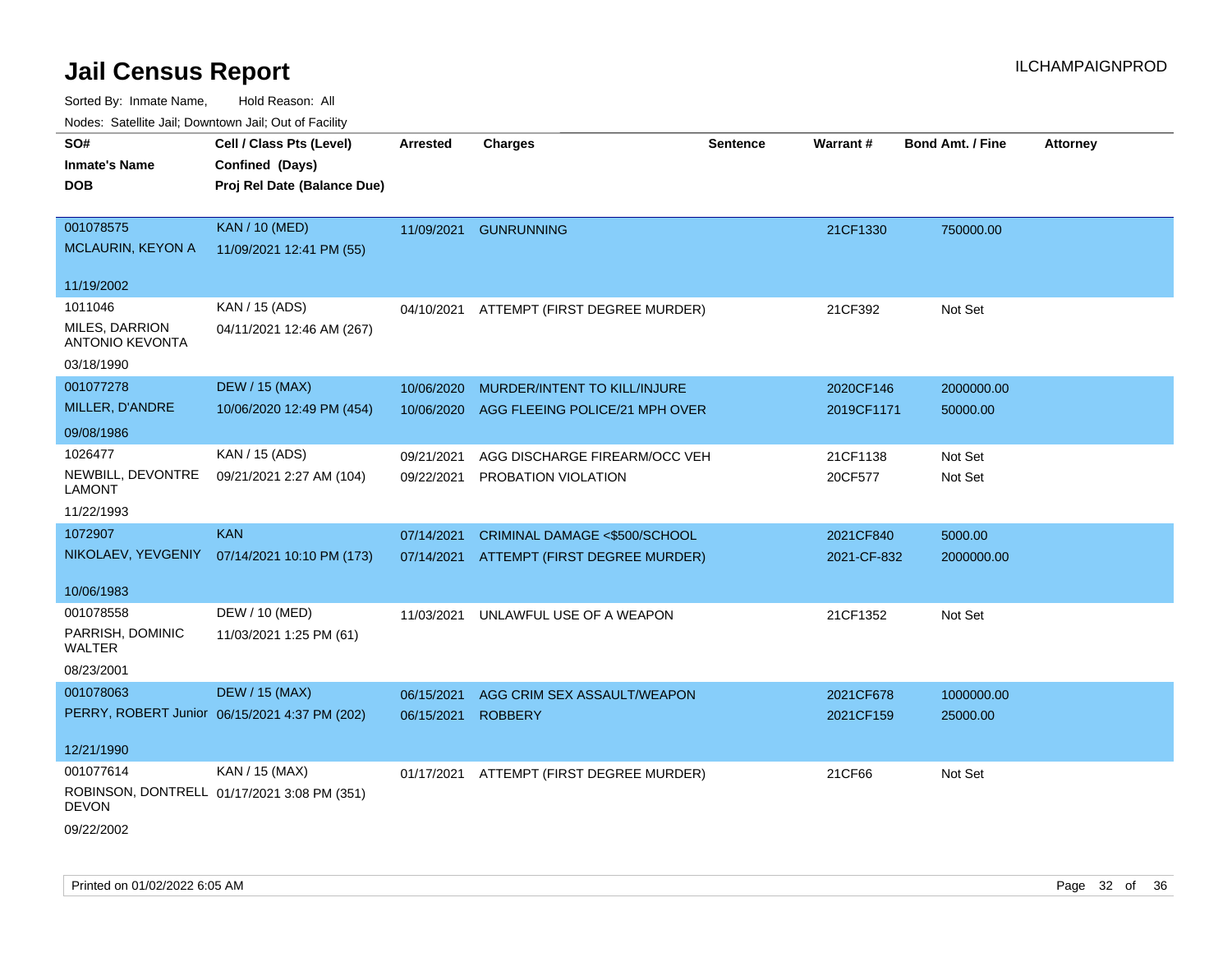| roaco. Calcinio dan, Domntonn dan, Out or Fability |                                               |                 |                                          |                 |             |                         |                 |
|----------------------------------------------------|-----------------------------------------------|-----------------|------------------------------------------|-----------------|-------------|-------------------------|-----------------|
| SO#                                                | Cell / Class Pts (Level)                      | <b>Arrested</b> | <b>Charges</b>                           | <b>Sentence</b> | Warrant#    | <b>Bond Amt. / Fine</b> | <b>Attorney</b> |
| <b>Inmate's Name</b>                               | Confined (Days)                               |                 |                                          |                 |             |                         |                 |
| <b>DOB</b>                                         | Proj Rel Date (Balance Due)                   |                 |                                          |                 |             |                         |                 |
|                                                    |                                               |                 |                                          |                 |             |                         |                 |
| 001078575                                          | <b>KAN / 10 (MED)</b>                         | 11/09/2021      | <b>GUNRUNNING</b>                        |                 | 21CF1330    | 750000.00               |                 |
| MCLAURIN, KEYON A                                  | 11/09/2021 12:41 PM (55)                      |                 |                                          |                 |             |                         |                 |
|                                                    |                                               |                 |                                          |                 |             |                         |                 |
| 11/19/2002                                         |                                               |                 |                                          |                 |             |                         |                 |
| 1011046                                            | KAN / 15 (ADS)                                |                 | 04/10/2021 ATTEMPT (FIRST DEGREE MURDER) |                 | 21CF392     | Not Set                 |                 |
| MILES, DARRION                                     | 04/11/2021 12:46 AM (267)                     |                 |                                          |                 |             |                         |                 |
| <b>ANTONIO KEVONTA</b>                             |                                               |                 |                                          |                 |             |                         |                 |
| 03/18/1990                                         |                                               |                 |                                          |                 |             |                         |                 |
| 001077278                                          | <b>DEW / 15 (MAX)</b>                         | 10/06/2020      | MURDER/INTENT TO KILL/INJURE             |                 | 2020CF146   | 2000000.00              |                 |
| MILLER, D'ANDRE                                    | 10/06/2020 12:49 PM (454)                     | 10/06/2020      | AGG FLEEING POLICE/21 MPH OVER           |                 | 2019CF1171  | 50000.00                |                 |
| 09/08/1986                                         |                                               |                 |                                          |                 |             |                         |                 |
| 1026477                                            | KAN / 15 (ADS)                                | 09/21/2021      | AGG DISCHARGE FIREARM/OCC VEH            |                 | 21CF1138    | Not Set                 |                 |
| NEWBILL, DEVONTRE                                  | 09/21/2021 2:27 AM (104)                      | 09/22/2021      | PROBATION VIOLATION                      |                 | 20CF577     | Not Set                 |                 |
| <b>LAMONT</b>                                      |                                               |                 |                                          |                 |             |                         |                 |
| 11/22/1993                                         |                                               |                 |                                          |                 |             |                         |                 |
| 1072907                                            | <b>KAN</b>                                    | 07/14/2021      | CRIMINAL DAMAGE <\$500/SCHOOL            |                 | 2021CF840   | 5000.00                 |                 |
| NIKOLAEV, YEVGENIY                                 | 07/14/2021 10:10 PM (173)                     | 07/14/2021      | ATTEMPT (FIRST DEGREE MURDER)            |                 | 2021-CF-832 | 2000000.00              |                 |
|                                                    |                                               |                 |                                          |                 |             |                         |                 |
| 10/06/1983                                         |                                               |                 |                                          |                 |             |                         |                 |
| 001078558                                          | DEW / 10 (MED)                                | 11/03/2021      | UNLAWFUL USE OF A WEAPON                 |                 | 21CF1352    | Not Set                 |                 |
| PARRISH, DOMINIC                                   | 11/03/2021 1:25 PM (61)                       |                 |                                          |                 |             |                         |                 |
| WALTER                                             |                                               |                 |                                          |                 |             |                         |                 |
| 08/23/2001                                         |                                               |                 |                                          |                 |             |                         |                 |
| 001078063                                          | <b>DEW / 15 (MAX)</b>                         | 06/15/2021      | AGG CRIM SEX ASSAULT/WEAPON              |                 | 2021CF678   | 1000000.00              |                 |
|                                                    | PERRY, ROBERT Junior 06/15/2021 4:37 PM (202) | 06/15/2021      | <b>ROBBERY</b>                           |                 | 2021CF159   | 25000.00                |                 |
| 12/21/1990                                         |                                               |                 |                                          |                 |             |                         |                 |
|                                                    |                                               |                 |                                          |                 |             |                         |                 |
| 001077614                                          | KAN / 15 (MAX)                                |                 | 01/17/2021 ATTEMPT (FIRST DEGREE MURDER) |                 | 21CF66      | Not Set                 |                 |
| <b>DEVON</b>                                       | ROBINSON, DONTRELL 01/17/2021 3:08 PM (351)   |                 |                                          |                 |             |                         |                 |
| 09/22/2002                                         |                                               |                 |                                          |                 |             |                         |                 |
|                                                    |                                               |                 |                                          |                 |             |                         |                 |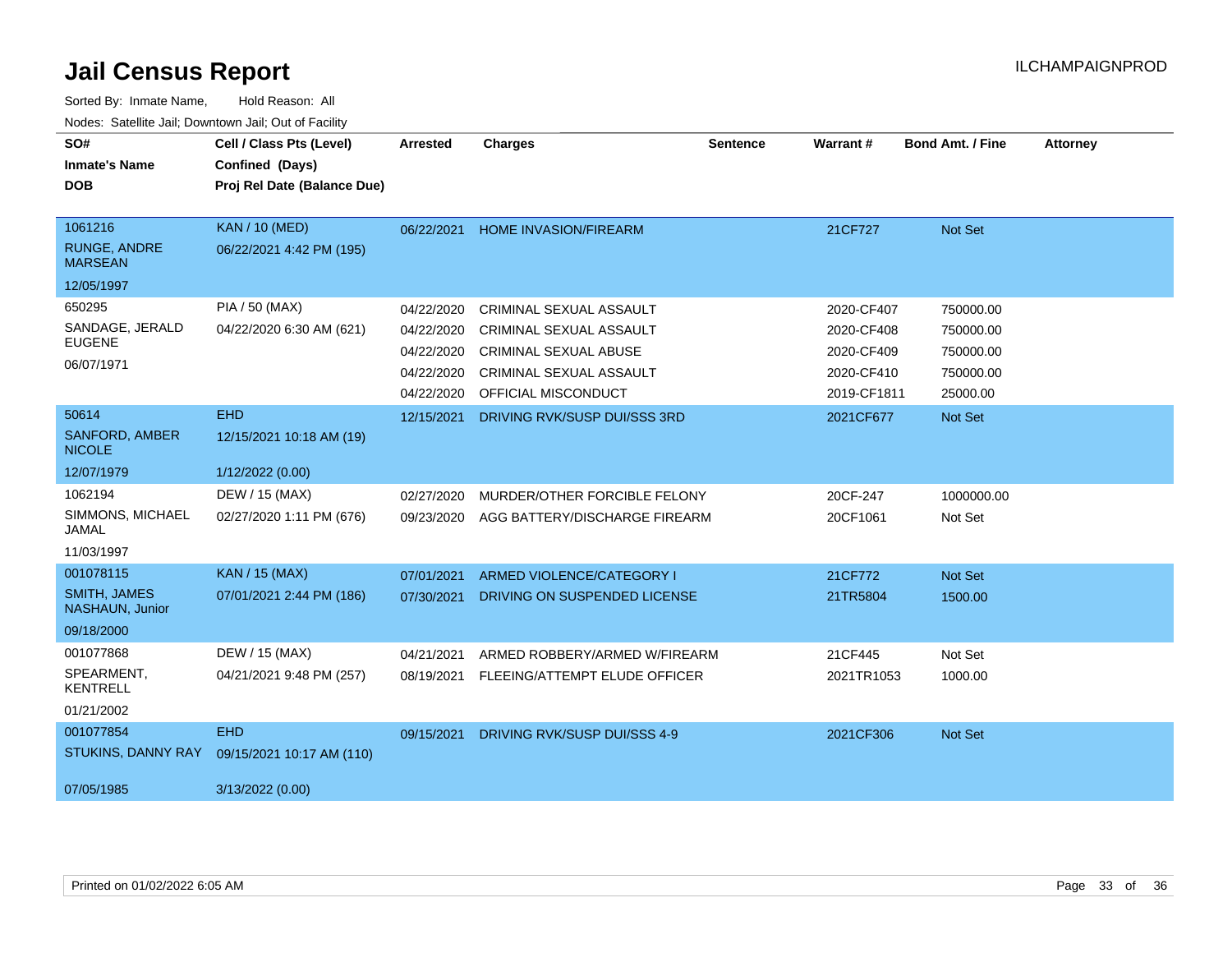| SO#                                    | Cell / Class Pts (Level)    | <b>Arrested</b> | <b>Charges</b>                   | <b>Sentence</b> | Warrant#    | <b>Bond Amt. / Fine</b> | <b>Attorney</b> |
|----------------------------------------|-----------------------------|-----------------|----------------------------------|-----------------|-------------|-------------------------|-----------------|
| <b>Inmate's Name</b>                   | Confined (Days)             |                 |                                  |                 |             |                         |                 |
| <b>DOB</b>                             | Proj Rel Date (Balance Due) |                 |                                  |                 |             |                         |                 |
|                                        |                             |                 |                                  |                 |             |                         |                 |
| 1061216                                | <b>KAN / 10 (MED)</b>       | 06/22/2021      | <b>HOME INVASION/FIREARM</b>     |                 | 21CF727     | Not Set                 |                 |
| <b>RUNGE, ANDRE</b><br><b>MARSEAN</b>  | 06/22/2021 4:42 PM (195)    |                 |                                  |                 |             |                         |                 |
| 12/05/1997                             |                             |                 |                                  |                 |             |                         |                 |
| 650295                                 | PIA / 50 (MAX)              | 04/22/2020      | CRIMINAL SEXUAL ASSAULT          |                 | 2020-CF407  | 750000.00               |                 |
| SANDAGE, JERALD                        | 04/22/2020 6:30 AM (621)    | 04/22/2020      | CRIMINAL SEXUAL ASSAULT          |                 | 2020-CF408  | 750000.00               |                 |
| <b>EUGENE</b>                          |                             | 04/22/2020      | <b>CRIMINAL SEXUAL ABUSE</b>     |                 | 2020-CF409  | 750000.00               |                 |
| 06/07/1971                             |                             | 04/22/2020      | CRIMINAL SEXUAL ASSAULT          |                 | 2020-CF410  | 750000.00               |                 |
|                                        |                             | 04/22/2020      | OFFICIAL MISCONDUCT              |                 | 2019-CF1811 | 25000.00                |                 |
| 50614                                  | <b>EHD</b>                  | 12/15/2021      | DRIVING RVK/SUSP DUI/SSS 3RD     |                 | 2021CF677   | Not Set                 |                 |
| <b>SANFORD, AMBER</b><br><b>NICOLE</b> | 12/15/2021 10:18 AM (19)    |                 |                                  |                 |             |                         |                 |
| 12/07/1979                             | 1/12/2022 (0.00)            |                 |                                  |                 |             |                         |                 |
| 1062194                                | DEW / 15 (MAX)              | 02/27/2020      | MURDER/OTHER FORCIBLE FELONY     |                 | 20CF-247    | 1000000.00              |                 |
| SIMMONS, MICHAEL<br>JAMAL              | 02/27/2020 1:11 PM (676)    | 09/23/2020      | AGG BATTERY/DISCHARGE FIREARM    |                 | 20CF1061    | Not Set                 |                 |
| 11/03/1997                             |                             |                 |                                  |                 |             |                         |                 |
| 001078115                              | <b>KAN / 15 (MAX)</b>       | 07/01/2021      | <b>ARMED VIOLENCE/CATEGORY I</b> |                 | 21CF772     | Not Set                 |                 |
| <b>SMITH, JAMES</b><br>NASHAUN, Junior | 07/01/2021 2:44 PM (186)    | 07/30/2021      | DRIVING ON SUSPENDED LICENSE     |                 | 21TR5804    | 1500.00                 |                 |
| 09/18/2000                             |                             |                 |                                  |                 |             |                         |                 |
| 001077868                              | DEW / 15 (MAX)              | 04/21/2021      | ARMED ROBBERY/ARMED W/FIREARM    |                 | 21CF445     | Not Set                 |                 |
| SPEARMENT,<br><b>KENTRELL</b>          | 04/21/2021 9:48 PM (257)    | 08/19/2021      | FLEEING/ATTEMPT ELUDE OFFICER    |                 | 2021TR1053  | 1000.00                 |                 |
| 01/21/2002                             |                             |                 |                                  |                 |             |                         |                 |
| 001077854                              | <b>EHD</b>                  | 09/15/2021      | DRIVING RVK/SUSP DUI/SSS 4-9     |                 | 2021CF306   | Not Set                 |                 |
| STUKINS, DANNY RAY                     | 09/15/2021 10:17 AM (110)   |                 |                                  |                 |             |                         |                 |
| 07/05/1985                             | 3/13/2022 (0.00)            |                 |                                  |                 |             |                         |                 |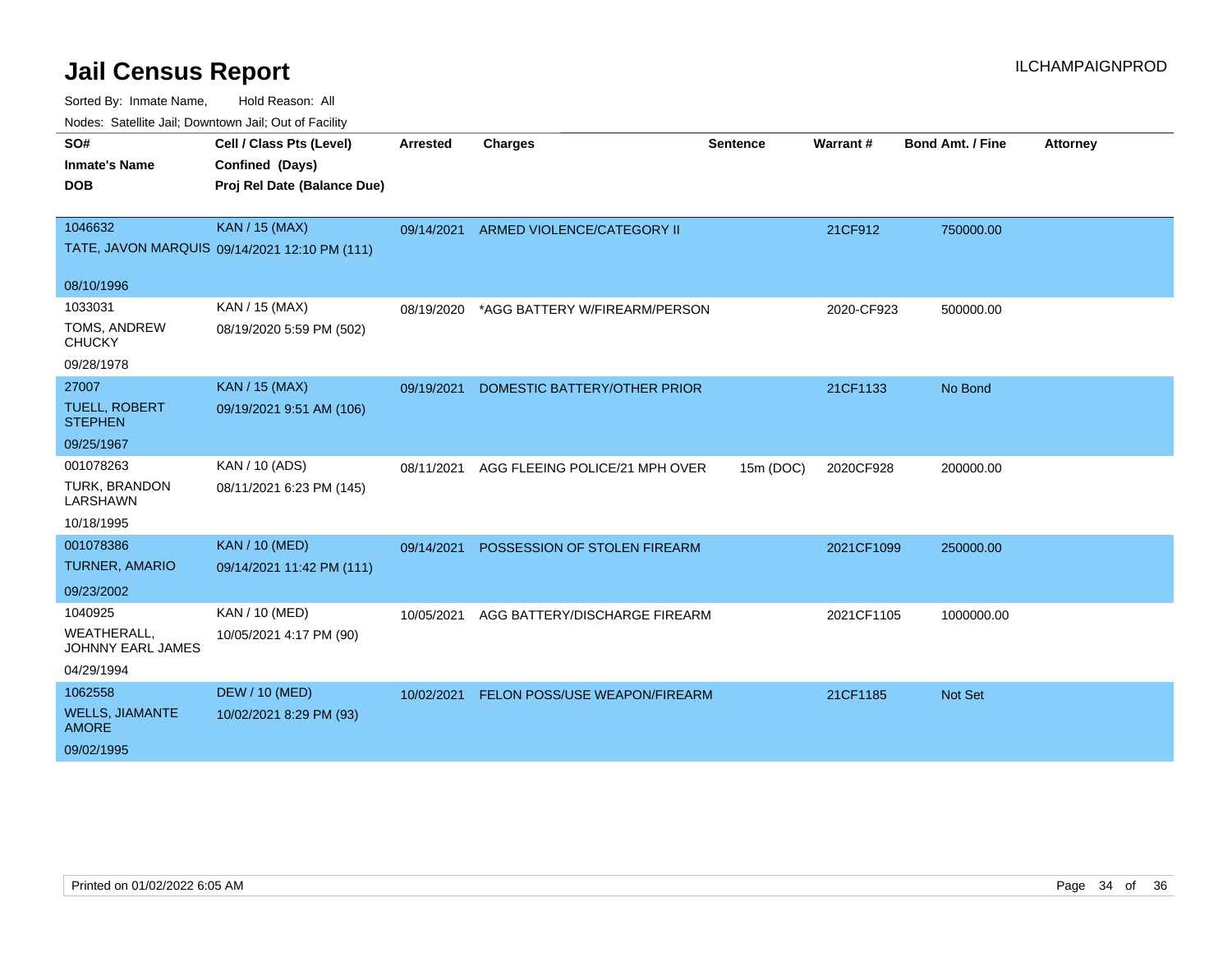| SO#                                     | Cell / Class Pts (Level)                      | <b>Arrested</b> | Charges                        | <b>Sentence</b> | Warrant#   | <b>Bond Amt. / Fine</b> | <b>Attorney</b> |
|-----------------------------------------|-----------------------------------------------|-----------------|--------------------------------|-----------------|------------|-------------------------|-----------------|
| <b>Inmate's Name</b>                    | Confined (Days)                               |                 |                                |                 |            |                         |                 |
| <b>DOB</b>                              | Proj Rel Date (Balance Due)                   |                 |                                |                 |            |                         |                 |
|                                         |                                               |                 |                                |                 |            |                         |                 |
| 1046632                                 | <b>KAN / 15 (MAX)</b>                         | 09/14/2021      | ARMED VIOLENCE/CATEGORY II     |                 | 21CF912    | 750000.00               |                 |
|                                         | TATE, JAVON MARQUIS 09/14/2021 12:10 PM (111) |                 |                                |                 |            |                         |                 |
| 08/10/1996                              |                                               |                 |                                |                 |            |                         |                 |
| 1033031                                 | KAN / 15 (MAX)                                | 08/19/2020      | *AGG BATTERY W/FIREARM/PERSON  |                 | 2020-CF923 | 500000.00               |                 |
| TOMS, ANDREW<br><b>CHUCKY</b>           | 08/19/2020 5:59 PM (502)                      |                 |                                |                 |            |                         |                 |
| 09/28/1978                              |                                               |                 |                                |                 |            |                         |                 |
| 27007                                   | <b>KAN / 15 (MAX)</b>                         | 09/19/2021      | DOMESTIC BATTERY/OTHER PRIOR   |                 | 21CF1133   | No Bond                 |                 |
| <b>TUELL, ROBERT</b><br><b>STEPHEN</b>  | 09/19/2021 9:51 AM (106)                      |                 |                                |                 |            |                         |                 |
| 09/25/1967                              |                                               |                 |                                |                 |            |                         |                 |
| 001078263                               | KAN / 10 (ADS)                                | 08/11/2021      | AGG FLEEING POLICE/21 MPH OVER | 15m (DOC)       | 2020CF928  | 200000.00               |                 |
| TURK, BRANDON<br>LARSHAWN               | 08/11/2021 6:23 PM (145)                      |                 |                                |                 |            |                         |                 |
| 10/18/1995                              |                                               |                 |                                |                 |            |                         |                 |
| 001078386                               | <b>KAN / 10 (MED)</b>                         | 09/14/2021      | POSSESSION OF STOLEN FIREARM   |                 | 2021CF1099 | 250000.00               |                 |
| <b>TURNER, AMARIO</b>                   | 09/14/2021 11:42 PM (111)                     |                 |                                |                 |            |                         |                 |
| 09/23/2002                              |                                               |                 |                                |                 |            |                         |                 |
| 1040925                                 | KAN / 10 (MED)                                | 10/05/2021      | AGG BATTERY/DISCHARGE FIREARM  |                 | 2021CF1105 | 1000000.00              |                 |
| <b>WEATHERALL,</b><br>JOHNNY EARL JAMES | 10/05/2021 4:17 PM (90)                       |                 |                                |                 |            |                         |                 |
| 04/29/1994                              |                                               |                 |                                |                 |            |                         |                 |
| 1062558                                 | <b>DEW / 10 (MED)</b>                         | 10/02/2021      | FELON POSS/USE WEAPON/FIREARM  |                 | 21CF1185   | <b>Not Set</b>          |                 |
| <b>WELLS, JIAMANTE</b><br><b>AMORE</b>  | 10/02/2021 8:29 PM (93)                       |                 |                                |                 |            |                         |                 |
| 09/02/1995                              |                                               |                 |                                |                 |            |                         |                 |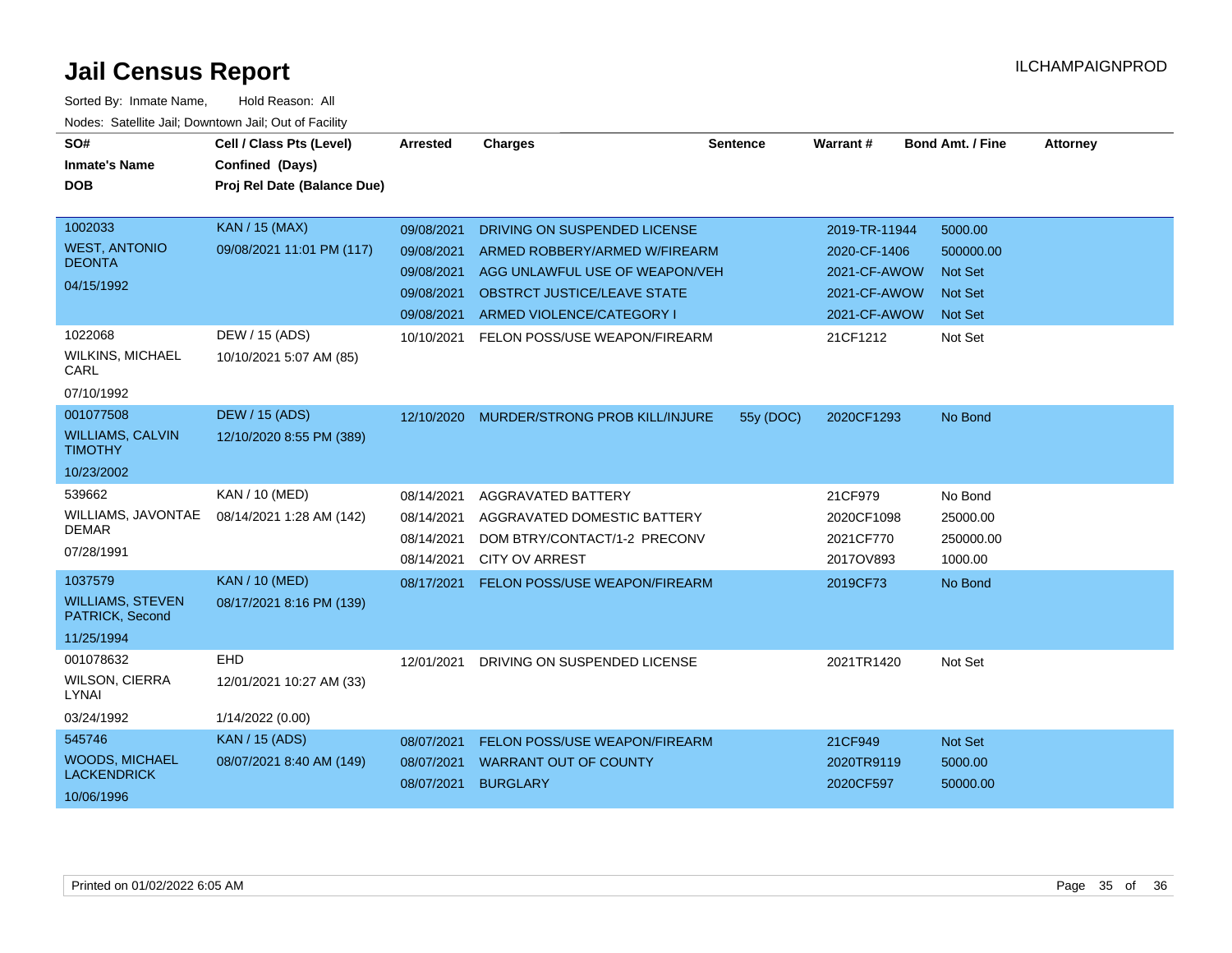| SO#<br><b>Inmate's Name</b><br><b>DOB</b>                            | Cell / Class Pts (Level)<br>Confined (Days)<br>Proj Rel Date (Balance Due) | <b>Arrested</b>                                                    | <b>Charges</b>                                                                                                                                              | <b>Sentence</b> | Warrant#                                                                      | <b>Bond Amt. / Fine</b>                                                    | <b>Attorney</b> |
|----------------------------------------------------------------------|----------------------------------------------------------------------------|--------------------------------------------------------------------|-------------------------------------------------------------------------------------------------------------------------------------------------------------|-----------------|-------------------------------------------------------------------------------|----------------------------------------------------------------------------|-----------------|
| 1002033<br><b>WEST, ANTONIO</b><br><b>DEONTA</b><br>04/15/1992       | <b>KAN / 15 (MAX)</b><br>09/08/2021 11:01 PM (117)                         | 09/08/2021<br>09/08/2021<br>09/08/2021<br>09/08/2021<br>09/08/2021 | DRIVING ON SUSPENDED LICENSE<br>ARMED ROBBERY/ARMED W/FIREARM<br>AGG UNLAWFUL USE OF WEAPON/VEH<br>OBSTRCT JUSTICE/LEAVE STATE<br>ARMED VIOLENCE/CATEGORY I |                 | 2019-TR-11944<br>2020-CF-1406<br>2021-CF-AWOW<br>2021-CF-AWOW<br>2021-CF-AWOW | 5000.00<br>500000.00<br><b>Not Set</b><br><b>Not Set</b><br><b>Not Set</b> |                 |
| 1022068<br><b>WILKINS, MICHAEL</b><br>CARL<br>07/10/1992             | DEW / 15 (ADS)<br>10/10/2021 5:07 AM (85)                                  | 10/10/2021                                                         | FELON POSS/USE WEAPON/FIREARM                                                                                                                               |                 | 21CF1212                                                                      | Not Set                                                                    |                 |
| 001077508<br><b>WILLIAMS, CALVIN</b><br><b>TIMOTHY</b><br>10/23/2002 | <b>DEW / 15 (ADS)</b><br>12/10/2020 8:55 PM (389)                          | 12/10/2020                                                         | MURDER/STRONG PROB KILL/INJURE                                                                                                                              | 55y (DOC)       | 2020CF1293                                                                    | No Bond                                                                    |                 |
| 539662<br>WILLIAMS, JAVONTAE<br><b>DEMAR</b><br>07/28/1991           | KAN / 10 (MED)<br>08/14/2021 1:28 AM (142)                                 | 08/14/2021<br>08/14/2021<br>08/14/2021<br>08/14/2021               | <b>AGGRAVATED BATTERY</b><br>AGGRAVATED DOMESTIC BATTERY<br>DOM BTRY/CONTACT/1-2 PRECONV<br><b>CITY OV ARREST</b>                                           |                 | 21CF979<br>2020CF1098<br>2021CF770<br>2017OV893                               | No Bond<br>25000.00<br>250000.00<br>1000.00                                |                 |
| 1037579<br><b>WILLIAMS, STEVEN</b><br>PATRICK, Second<br>11/25/1994  | <b>KAN / 10 (MED)</b><br>08/17/2021 8:16 PM (139)                          | 08/17/2021                                                         | FELON POSS/USE WEAPON/FIREARM                                                                                                                               |                 | 2019CF73                                                                      | No Bond                                                                    |                 |
| 001078632<br><b>WILSON, CIERRA</b><br>LYNAI<br>03/24/1992            | EHD<br>12/01/2021 10:27 AM (33)<br>1/14/2022 (0.00)                        | 12/01/2021                                                         | DRIVING ON SUSPENDED LICENSE                                                                                                                                |                 | 2021TR1420                                                                    | Not Set                                                                    |                 |
| 545746<br><b>WOODS, MICHAEL</b><br><b>LACKENDRICK</b><br>10/06/1996  | <b>KAN / 15 (ADS)</b><br>08/07/2021 8:40 AM (149)                          | 08/07/2021<br>08/07/2021<br>08/07/2021                             | FELON POSS/USE WEAPON/FIREARM<br><b>WARRANT OUT OF COUNTY</b><br><b>BURGLARY</b>                                                                            |                 | 21CF949<br>2020TR9119<br>2020CF597                                            | Not Set<br>5000.00<br>50000.00                                             |                 |